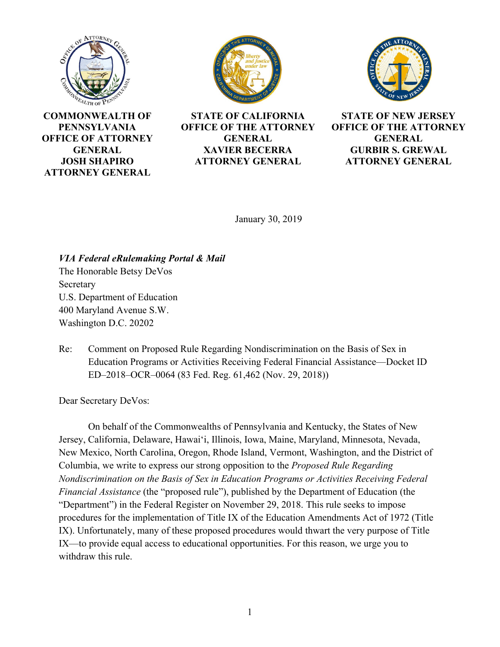





**COMMONWEALTH OF PENNSYLVANIA OFFICE OF ATTORNEY GENERAL JOSH SHAPIRO ATTORNEY GENERAL**

**STATE OF CALIFORNIA OFFICE OF THE ATTORNEY GENERAL XAVIER BECERRA ATTORNEY GENERAL**

**STATE OF NEW JERSEY OFFICE OF THE ATTORNEY GENERAL GURBIR S. GREWAL ATTORNEY GENERAL**

January 30, 2019

*VIA Federal eRulemaking Portal & Mail* The Honorable Betsy DeVos Secretary U.S. Department of Education 400 Maryland Avenue S.W. Washington D.C. 20202

Re: Comment on Proposed Rule Regarding Nondiscrimination on the Basis of Sex in Education Programs or Activities Receiving Federal Financial Assistance—Docket ID ED–2018–OCR–0064 (83 Fed. Reg. 61,462 (Nov. 29, 2018))

Dear Secretary DeVos:

On behalf of the Commonwealths of Pennsylvania and Kentucky, the States of New Jersey, California, Delaware, Hawaiʻi, Illinois, Iowa, Maine, Maryland, Minnesota, Nevada, New Mexico, North Carolina, Oregon, Rhode Island, Vermont, Washington, and the District of Columbia, we write to express our strong opposition to the *Proposed Rule Regarding Nondiscrimination on the Basis of Sex in Education Programs or Activities Receiving Federal Financial Assistance* (the "proposed rule"), published by the Department of Education (the "Department") in the Federal Register on November 29, 2018. This rule seeks to impose procedures for the implementation of Title IX of the Education Amendments Act of 1972 (Title IX). Unfortunately, many of these proposed procedures would thwart the very purpose of Title IX—to provide equal access to educational opportunities. For this reason, we urge you to withdraw this rule.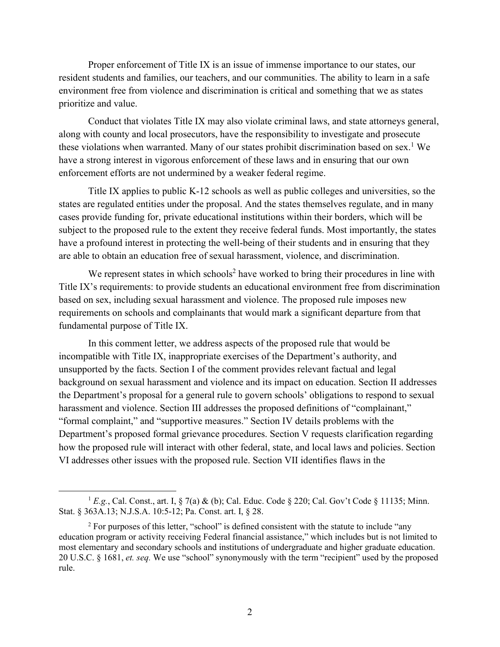Proper enforcement of Title IX is an issue of immense importance to our states, our resident students and families, our teachers, and our communities. The ability to learn in a safe environment free from violence and discrimination is critical and something that we as states prioritize and value.

Conduct that violates Title IX may also violate criminal laws, and state attorneys general, along with county and local prosecutors, have the responsibility to investigate and prosecute these violations when warranted. Many of our states prohibit discrimination based on sex.<sup>1</sup> We have a strong interest in vigorous enforcement of these laws and in ensuring that our own enforcement efforts are not undermined by a weaker federal regime.

Title IX applies to public K-12 schools as well as public colleges and universities, so the states are regulated entities under the proposal. And the states themselves regulate, and in many cases provide funding for, private educational institutions within their borders, which will be subject to the proposed rule to the extent they receive federal funds. Most importantly, the states have a profound interest in protecting the well-being of their students and in ensuring that they are able to obtain an education free of sexual harassment, violence, and discrimination.

We represent states in which schools<sup>2</sup> have worked to bring their procedures in line with Title IX's requirements: to provide students an educational environment free from discrimination based on sex, including sexual harassment and violence. The proposed rule imposes new requirements on schools and complainants that would mark a significant departure from that fundamental purpose of Title IX.

In this comment letter, we address aspects of the proposed rule that would be incompatible with Title IX, inappropriate exercises of the Department's authority, and unsupported by the facts. Section I of the comment provides relevant factual and legal background on sexual harassment and violence and its impact on education. Section II addresses the Department's proposal for a general rule to govern schools' obligations to respond to sexual harassment and violence. Section III addresses the proposed definitions of "complainant," "formal complaint," and "supportive measures." Section IV details problems with the Department's proposed formal grievance procedures. Section V requests clarification regarding how the proposed rule will interact with other federal, state, and local laws and policies. Section VI addresses other issues with the proposed rule. Section VII identifies flaws in the

<sup>&</sup>lt;sup>1</sup> *E.g.*, Cal. Const., art. I,  $\S$  7(a) & (b); Cal. Educ. Code  $\S$  220; Cal. Gov't Code  $\S$  11135; Minn. Stat. § 363A.13; N.J.S.A. 10:5-12; Pa. Const. art. I, § 28.

<sup>&</sup>lt;sup>2</sup> For purposes of this letter, "school" is defined consistent with the statute to include "any education program or activity receiving Federal financial assistance," which includes but is not limited to most elementary and secondary schools and institutions of undergraduate and higher graduate education. 20 U.S.C. § 1681, *et. seq.* We use "school" synonymously with the term "recipient" used by the proposed rule.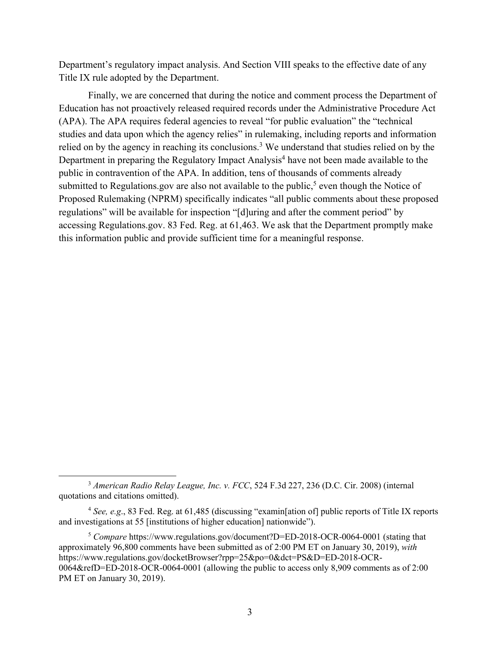Department's regulatory impact analysis. And Section VIII speaks to the effective date of any Title IX rule adopted by the Department.

Finally, we are concerned that during the notice and comment process the Department of Education has not proactively released required records under the Administrative Procedure Act (APA). The APA requires federal agencies to reveal "for public evaluation" the "technical studies and data upon which the agency relies" in rulemaking, including reports and information relied on by the agency in reaching its conclusions.<sup>3</sup> We understand that studies relied on by the Department in preparing the Regulatory Impact Analysis<sup>4</sup> have not been made available to the public in contravention of the APA. In addition, tens of thousands of comments already submitted to Regulations.gov are also not available to the public,<sup>5</sup> even though the Notice of Proposed Rulemaking (NPRM) specifically indicates "all public comments about these proposed regulations" will be available for inspection "[d]uring and after the comment period" by accessing Regulations.gov. 83 Fed. Reg. at 61,463. We ask that the Department promptly make this information public and provide sufficient time for a meaningful response.

 <sup>3</sup> *American Radio Relay League, Inc. v. FCC*, 524 F.3d 227, 236 (D.C. Cir. 2008) (internal quotations and citations omitted).

<sup>4</sup> *See, e.g*., 83 Fed. Reg. at 61,485 (discussing "examin[ation of] public reports of Title IX reports and investigations at 55 [institutions of higher education] nationwide").

<sup>5</sup> *Compare* https://www.regulations.gov/document?D=ED-2018-OCR-0064-0001 (stating that approximately 96,800 comments have been submitted as of 2:00 PM ET on January 30, 2019), *with*  https://www.regulations.gov/docketBrowser?rpp=25&po=0&dct=PS&D=ED-2018-OCR-0064&refD=ED-2018-OCR-0064-0001 (allowing the public to access only 8,909 comments as of 2:00 PM ET on January 30, 2019).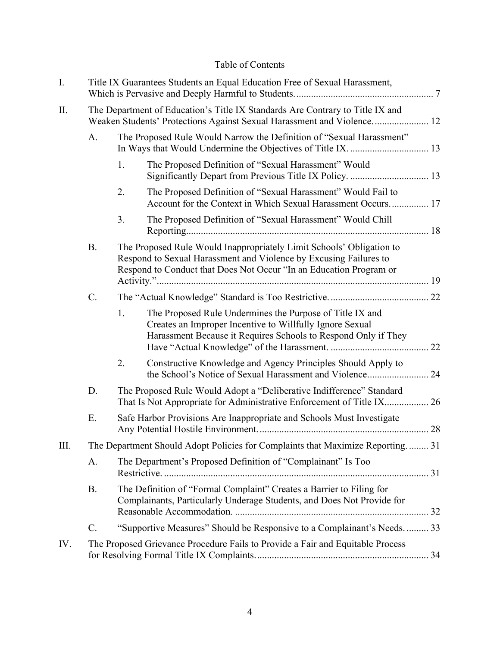# Table of Contents

| I.   |                                                                                                                                                         | Title IX Guarantees Students an Equal Education Free of Sexual Harassment,                                                                                                                                      |                                                                                                                                                                                        |  |  |  |
|------|---------------------------------------------------------------------------------------------------------------------------------------------------------|-----------------------------------------------------------------------------------------------------------------------------------------------------------------------------------------------------------------|----------------------------------------------------------------------------------------------------------------------------------------------------------------------------------------|--|--|--|
| II.  | The Department of Education's Title IX Standards Are Contrary to Title IX and<br>Weaken Students' Protections Against Sexual Harassment and Violence 12 |                                                                                                                                                                                                                 |                                                                                                                                                                                        |  |  |  |
|      | A.                                                                                                                                                      | The Proposed Rule Would Narrow the Definition of "Sexual Harassment"<br>In Ways that Would Undermine the Objectives of Title IX.  13                                                                            |                                                                                                                                                                                        |  |  |  |
|      |                                                                                                                                                         | 1.                                                                                                                                                                                                              | The Proposed Definition of "Sexual Harassment" Would<br>Significantly Depart from Previous Title IX Policy.  13                                                                        |  |  |  |
|      |                                                                                                                                                         | 2.                                                                                                                                                                                                              | The Proposed Definition of "Sexual Harassment" Would Fail to<br>Account for the Context in Which Sexual Harassment Occurs 17                                                           |  |  |  |
|      |                                                                                                                                                         | 3.                                                                                                                                                                                                              | The Proposed Definition of "Sexual Harassment" Would Chill                                                                                                                             |  |  |  |
|      | <b>B.</b>                                                                                                                                               | The Proposed Rule Would Inappropriately Limit Schools' Obligation to<br>Respond to Sexual Harassment and Violence by Excusing Failures to<br>Respond to Conduct that Does Not Occur "In an Education Program or |                                                                                                                                                                                        |  |  |  |
|      | $C$ .                                                                                                                                                   |                                                                                                                                                                                                                 |                                                                                                                                                                                        |  |  |  |
|      |                                                                                                                                                         | 1.                                                                                                                                                                                                              | The Proposed Rule Undermines the Purpose of Title IX and<br>Creates an Improper Incentive to Willfully Ignore Sexual<br>Harassment Because it Requires Schools to Respond Only if They |  |  |  |
|      |                                                                                                                                                         | 2.                                                                                                                                                                                                              | Constructive Knowledge and Agency Principles Should Apply to                                                                                                                           |  |  |  |
|      | D.                                                                                                                                                      | The Proposed Rule Would Adopt a "Deliberative Indifference" Standard<br>That Is Not Appropriate for Administrative Enforcement of Title IX 26                                                                   |                                                                                                                                                                                        |  |  |  |
|      | Ε.                                                                                                                                                      | Safe Harbor Provisions Are Inappropriate and Schools Must Investigate                                                                                                                                           |                                                                                                                                                                                        |  |  |  |
| III. | The Department Should Adopt Policies for Complaints that Maximize Reporting 31                                                                          |                                                                                                                                                                                                                 |                                                                                                                                                                                        |  |  |  |
|      | A.                                                                                                                                                      | The Department's Proposed Definition of "Complainant" Is Too                                                                                                                                                    |                                                                                                                                                                                        |  |  |  |
|      | <b>B.</b>                                                                                                                                               | The Definition of "Formal Complaint" Creates a Barrier to Filing for<br>Complainants, Particularly Underage Students, and Does Not Provide for                                                                  |                                                                                                                                                                                        |  |  |  |
|      | C.                                                                                                                                                      | "Supportive Measures" Should be Responsive to a Complainant's Needs.  33                                                                                                                                        |                                                                                                                                                                                        |  |  |  |
| IV.  |                                                                                                                                                         | The Proposed Grievance Procedure Fails to Provide a Fair and Equitable Process                                                                                                                                  |                                                                                                                                                                                        |  |  |  |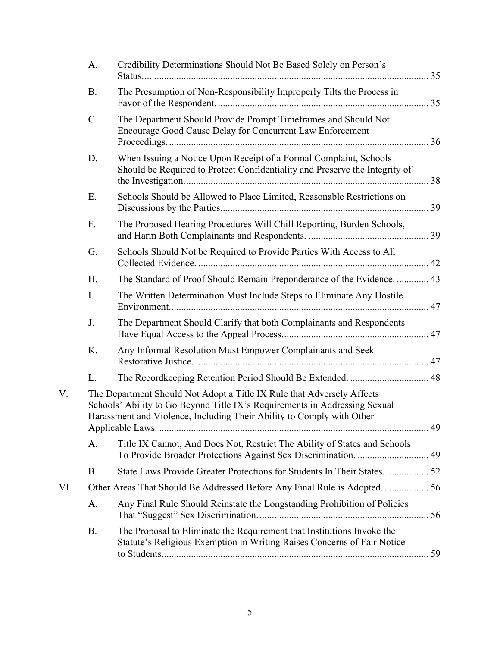|     | А. | Credibility Determinations Should Not Be Based Solely on Person's                                                                                                                                                             |  |  |
|-----|----|-------------------------------------------------------------------------------------------------------------------------------------------------------------------------------------------------------------------------------|--|--|
|     | B. | The Presumption of Non-Responsibility Improperly Tilts the Process in                                                                                                                                                         |  |  |
|     | C. | The Department Should Provide Prompt Timeframes and Should Not<br>Encourage Good Cause Delay for Concurrent Law Enforcement                                                                                                   |  |  |
|     | D. | When Issuing a Notice Upon Receipt of a Formal Complaint, Schools<br>Should be Required to Protect Confidentiality and Preserve the Integrity of                                                                              |  |  |
|     | Ε. | Schools Should be Allowed to Place Limited, Reasonable Restrictions on                                                                                                                                                        |  |  |
|     | F. | The Proposed Hearing Procedures Will Chill Reporting, Burden Schools,                                                                                                                                                         |  |  |
|     | G. | Schools Should Not be Required to Provide Parties With Access to All                                                                                                                                                          |  |  |
|     | Η. | The Standard of Proof Should Remain Preponderance of the Evidence.  43                                                                                                                                                        |  |  |
|     | I. | The Written Determination Must Include Steps to Eliminate Any Hostile                                                                                                                                                         |  |  |
|     | J. | The Department Should Clarify that both Complainants and Respondents                                                                                                                                                          |  |  |
|     | К. | Any Informal Resolution Must Empower Complainants and Seek                                                                                                                                                                    |  |  |
|     | L. |                                                                                                                                                                                                                               |  |  |
| V.  |    | The Department Should Not Adopt a Title IX Rule that Adversely Affects<br>Schools' Ability to Go Beyond Title IX's Requirements in Addressing Sexual<br>Harassment and Violence, Including Their Ability to Comply with Other |  |  |
|     |    |                                                                                                                                                                                                                               |  |  |
|     | А. | Title IX Cannot, And Does Not, Restrict The Ability of States and Schools<br>To Provide Broader Protections Against Sex Discrimination.  49                                                                                   |  |  |
|     | Β. | State Laws Provide Greater Protections for Students In Their States.  52                                                                                                                                                      |  |  |
| VI. |    | Other Areas That Should Be Addressed Before Any Final Rule is Adopted 56                                                                                                                                                      |  |  |
|     | A. | Any Final Rule Should Reinstate the Longstanding Prohibition of Policies                                                                                                                                                      |  |  |
|     | B. | The Proposal to Eliminate the Requirement that Institutions Invoke the<br>Statute's Religious Exemption in Writing Raises Concerns of Fair Notice                                                                             |  |  |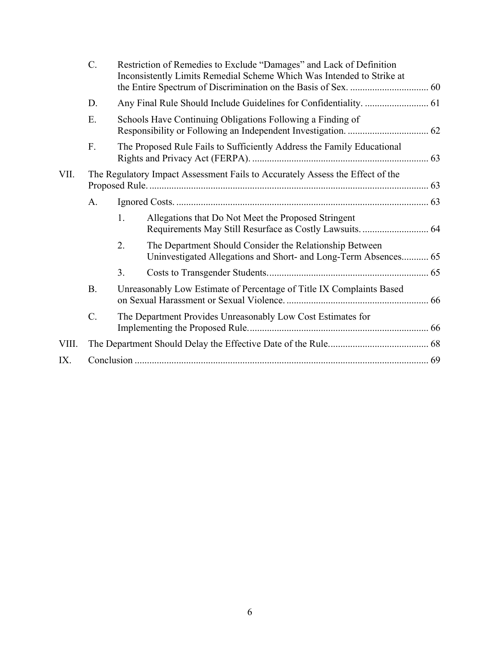|       | C.              | Restriction of Remedies to Exclude "Damages" and Lack of Definition<br>Inconsistently Limits Remedial Scheme Which Was Intended to Strike at |                                                                                                                            |  |  |  |  |
|-------|-----------------|----------------------------------------------------------------------------------------------------------------------------------------------|----------------------------------------------------------------------------------------------------------------------------|--|--|--|--|
|       | D.              |                                                                                                                                              |                                                                                                                            |  |  |  |  |
|       | Ε.              | Schools Have Continuing Obligations Following a Finding of                                                                                   |                                                                                                                            |  |  |  |  |
|       | F.              | The Proposed Rule Fails to Sufficiently Address the Family Educational                                                                       |                                                                                                                            |  |  |  |  |
| VII.  |                 | The Regulatory Impact Assessment Fails to Accurately Assess the Effect of the                                                                |                                                                                                                            |  |  |  |  |
|       | A.              |                                                                                                                                              |                                                                                                                            |  |  |  |  |
|       |                 | 1.                                                                                                                                           | Allegations that Do Not Meet the Proposed Stringent                                                                        |  |  |  |  |
|       |                 | 2.                                                                                                                                           | The Department Should Consider the Relationship Between<br>Uninvestigated Allegations and Short- and Long-Term Absences 65 |  |  |  |  |
|       |                 | 3.                                                                                                                                           |                                                                                                                            |  |  |  |  |
|       | <b>B.</b>       | Unreasonably Low Estimate of Percentage of Title IX Complaints Based                                                                         |                                                                                                                            |  |  |  |  |
|       | $\mathcal{C}$ . | The Department Provides Unreasonably Low Cost Estimates for                                                                                  |                                                                                                                            |  |  |  |  |
| VIII. |                 |                                                                                                                                              |                                                                                                                            |  |  |  |  |
| IX.   |                 |                                                                                                                                              |                                                                                                                            |  |  |  |  |
|       |                 |                                                                                                                                              |                                                                                                                            |  |  |  |  |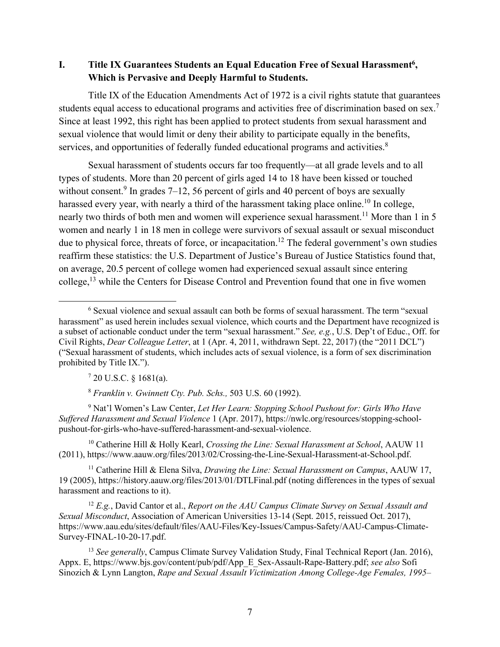**I.** Title IX Guarantees Students an Equal Education Free of Sexual Harassment<sup>6</sup>, **Which is Pervasive and Deeply Harmful to Students.** 

Title IX of the Education Amendments Act of 1972 is a civil rights statute that guarantees students equal access to educational programs and activities free of discrimination based on sex.<sup>7</sup> Since at least 1992, this right has been applied to protect students from sexual harassment and sexual violence that would limit or deny their ability to participate equally in the benefits, services, and opportunities of federally funded educational programs and activities.<sup>8</sup>

Sexual harassment of students occurs far too frequently—at all grade levels and to all types of students. More than 20 percent of girls aged 14 to 18 have been kissed or touched without consent.<sup>9</sup> In grades  $7-12$ , 56 percent of girls and 40 percent of boys are sexually harassed every year, with nearly a third of the harassment taking place online.<sup>10</sup> In college, nearly two thirds of both men and women will experience sexual harassment.<sup>11</sup> More than 1 in 5 women and nearly 1 in 18 men in college were survivors of sexual assault or sexual misconduct due to physical force, threats of force, or incapacitation.<sup>12</sup> The federal government's own studies reaffirm these statistics: the U.S. Department of Justice's Bureau of Justice Statistics found that, on average, 20.5 percent of college women had experienced sexual assault since entering college,<sup>13</sup> while the Centers for Disease Control and Prevention found that one in five women

 $720$  U.S.C. § 1681(a).

<sup>8</sup> *Franklin v. Gwinnett Cty. Pub. Schs.,* 503 U.S. 60 (1992).

<sup>9</sup> Nat'l Women's Law Center, *Let Her Learn: Stopping School Pushout for: Girls Who Have Suffered Harassment and Sexual Violence* 1 (Apr. 2017), https://nwlc.org/resources/stopping-schoolpushout-for-girls-who-have-suffered-harassment-and-sexual-violence.

<sup>10</sup> Catherine Hill & Holly Kearl, *Crossing the Line: Sexual Harassment at School*, AAUW 11 (2011), https://www.aauw.org/files/2013/02/Crossing-the-Line-Sexual-Harassment-at-School.pdf.

<sup>11</sup> Catherine Hill & Elena Silva, *Drawing the Line: Sexual Harassment on Campus*, AAUW 17, 19 (2005), https://history.aauw.org/files/2013/01/DTLFinal.pdf (noting differences in the types of sexual harassment and reactions to it).

<sup>12</sup> *E.g.*, David Cantor et al., *Report on the AAU Campus Climate Survey on Sexual Assault and Sexual Misconduct*, Association of American Universities 13-14 (Sept. 2015, reissued Oct. 2017), https://www.aau.edu/sites/default/files/AAU-Files/Key-Issues/Campus-Safety/AAU-Campus-Climate-Survey-FINAL-10-20-17.pdf.

<sup>13</sup> *See generally*, Campus Climate Survey Validation Study, Final Technical Report (Jan. 2016), Appx. E, https://www.bjs.gov/content/pub/pdf/App\_E\_Sex-Assault-Rape-Battery.pdf; *see also* Sofi Sinozich & Lynn Langton, *Rape and Sexual Assault Victimization Among College-Age Females, 1995–*

 <sup>6</sup> Sexual violence and sexual assault can both be forms of sexual harassment. The term "sexual harassment" as used herein includes sexual violence, which courts and the Department have recognized is a subset of actionable conduct under the term "sexual harassment." *See, e.g.*, U.S. Dep't of Educ., Off. for Civil Rights, *Dear Colleague Letter*, at 1 (Apr. 4, 2011, withdrawn Sept. 22, 2017) (the "2011 DCL") ("Sexual harassment of students, which includes acts of sexual violence, is a form of sex discrimination prohibited by Title IX.").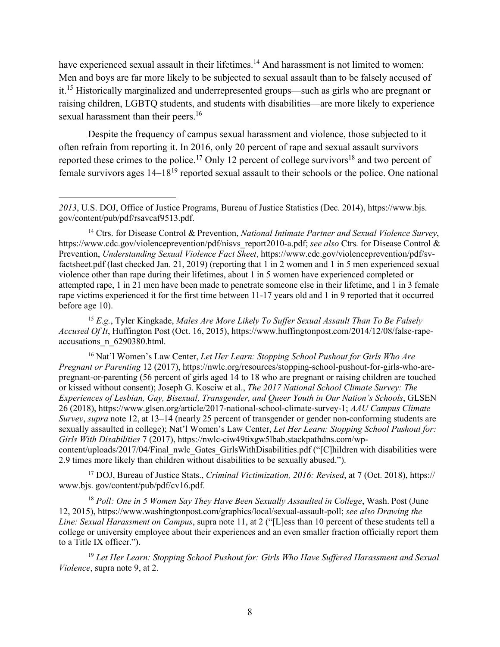have experienced sexual assault in their lifetimes.<sup>14</sup> And harassment is not limited to women: Men and boys are far more likely to be subjected to sexual assault than to be falsely accused of it.<sup>15</sup> Historically marginalized and underrepresented groups—such as girls who are pregnant or raising children, LGBTQ students, and students with disabilities—are more likely to experience sexual harassment than their peers.<sup>16</sup>

Despite the frequency of campus sexual harassment and violence, those subjected to it often refrain from reporting it. In 2016, only 20 percent of rape and sexual assault survivors reported these crimes to the police.<sup>17</sup> Only 12 percent of college survivors<sup>18</sup> and two percent of female survivors ages  $14-18^{19}$  reported sexual assault to their schools or the police. One national

 $\overline{a}$ 

<sup>15</sup> *E.g.*, Tyler Kingkade, *Males Are More Likely To Suffer Sexual Assault Than To Be Falsely Accused Of It*, Huffington Post (Oct. 16, 2015), https://www.huffingtonpost.com/2014/12/08/false-rapeaccusations\_n\_6290380.html.

<sup>16</sup> Nat'l Women's Law Center, *Let Her Learn: Stopping School Pushout for Girls Who Are Pregnant or Parenting* 12 (2017), https://nwlc.org/resources/stopping-school-pushout-for-girls-who-arepregnant-or-parenting (56 percent of girls aged 14 to 18 who are pregnant or raising children are touched or kissed without consent); Joseph G. Kosciw et al., *The 2017 National School Climate Survey: The Experiences of Lesbian, Gay, Bisexual, Transgender, and Queer Youth in Our Nation's Schools*, GLSEN 26 (2018), https://www.glsen.org/article/2017-national-school-climate-survey-1; *AAU Campus Climate Survey*, *supra* note 12, at 13–14 (nearly 25 percent of transgender or gender non-conforming students are sexually assaulted in college); Nat'l Women's Law Center, *Let Her Learn: Stopping School Pushout for: Girls With Disabilities* 7 (2017), https://nwlc-ciw49tixgw5lbab.stackpathdns.com/wpcontent/uploads/2017/04/Final\_nwlc\_Gates\_GirlsWithDisabilities.pdf ("[C]hildren with disabilities were 2.9 times more likely than children without disabilities to be sexually abused.").

<sup>17</sup> DOJ, Bureau of Justice Stats., *Criminal Victimization, 2016: Revised*, at 7 (Oct. 2018), https:// www.bjs. gov/content/pub/pdf/cv16.pdf.

<sup>18</sup> *Poll: One in 5 Women Say They Have Been Sexually Assaulted in College*, Wash. Post (June 12, 2015), https://www.washingtonpost.com/graphics/local/sexual-assault-poll; *see also Drawing the Line: Sexual Harassment on Campus*, supra note 11, at 2 ("[L]ess than 10 percent of these students tell a college or university employee about their experiences and an even smaller fraction officially report them to a Title IX officer.").

<sup>19</sup> *Let Her Learn: Stopping School Pushout for: Girls Who Have Suffered Harassment and Sexual Violence*, supra note 9, at 2.

*<sup>2013</sup>*, U.S. DOJ, Office of Justice Programs, Bureau of Justice Statistics (Dec. 2014), https://www.bjs. gov/content/pub/pdf/rsavcaf9513.pdf.

<sup>14</sup> Ctrs. for Disease Control & Prevention, *National Intimate Partner and Sexual Violence Survey*, https://www.cdc.gov/violenceprevention/pdf/nisvs\_report2010-a.pdf; *see also* Ctrs. for Disease Control & Prevention, *Understanding Sexual Violence Fact Sheet*, https://www.cdc.gov/violenceprevention/pdf/svfactsheet.pdf (last checked Jan. 21, 2019) (reporting that 1 in 2 women and 1 in 5 men experienced sexual violence other than rape during their lifetimes, about 1 in 5 women have experienced completed or attempted rape, 1 in 21 men have been made to penetrate someone else in their lifetime, and 1 in 3 female rape victims experienced it for the first time between 11-17 years old and 1 in 9 reported that it occurred before age 10).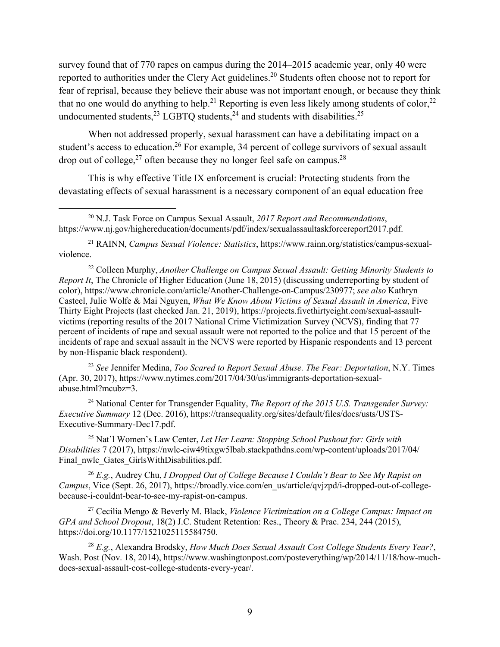survey found that of 770 rapes on campus during the 2014–2015 academic year, only 40 were reported to authorities under the Clery Act guidelines.<sup>20</sup> Students often choose not to report for fear of reprisal, because they believe their abuse was not important enough, or because they think that no one would do anything to help.<sup>21</sup> Reporting is even less likely among students of color,<sup>22</sup> undocumented students, $^{23}$  LGBTQ students, $^{24}$  and students with disabilities.<sup>25</sup>

When not addressed properly, sexual harassment can have a debilitating impact on a student's access to education.<sup>26</sup> For example, 34 percent of college survivors of sexual assault drop out of college, $^{27}$  often because they no longer feel safe on campus.<sup>28</sup>

This is why effective Title IX enforcement is crucial: Protecting students from the devastating effects of sexual harassment is a necessary component of an equal education free

<sup>21</sup> RAINN, *Campus Sexual Violence: Statistics*, https://www.rainn.org/statistics/campus-sexualviolence.

<sup>22</sup> Colleen Murphy, *Another Challenge on Campus Sexual Assault: Getting Minority Students to Report It*, The Chronicle of Higher Education (June 18, 2015) (discussing underreporting by student of color), https://www.chronicle.com/article/Another-Challenge-on-Campus/230977; *see also* Kathryn Casteel, Julie Wolfe & Mai Nguyen, *What We Know About Victims of Sexual Assault in America*, Five Thirty Eight Projects (last checked Jan. 21, 2019), https://projects.fivethirtyeight.com/sexual-assaultvictims (reporting results of the 2017 National Crime Victimization Survey (NCVS), finding that 77 percent of incidents of rape and sexual assault were not reported to the police and that 15 percent of the incidents of rape and sexual assault in the NCVS were reported by Hispanic respondents and 13 percent by non-Hispanic black respondent).

<sup>23</sup> *See* Jennifer Medina, *Too Scared to Report Sexual Abuse. The Fear: Deportation*, N.Y. Times (Apr. 30, 2017), https://www.nytimes.com/2017/04/30/us/immigrants-deportation-sexualabuse.html?mcubz=3.

<sup>24</sup> National Center for Transgender Equality, *The Report of the 2015 U.S. Transgender Survey: Executive Summary* 12 (Dec. 2016), https://transequality.org/sites/default/files/docs/usts/USTS-Executive-Summary-Dec17.pdf.

<sup>25</sup> Nat'l Women's Law Center, *Let Her Learn: Stopping School Pushout for: Girls with Disabilities* 7 (2017), https://nwlc-ciw49tixgw5lbab.stackpathdns.com/wp-content/uploads/2017/04/ Final\_nwlc\_Gates\_GirlsWithDisabilities.pdf.

<sup>26</sup> *E.g.*, Audrey Chu, *I Dropped Out of College Because I Couldn't Bear to See My Rapist on Campus*, Vice (Sept. 26, 2017), https://broadly.vice.com/en\_us/article/qvjzpd/i-dropped-out-of-collegebecause-i-couldnt-bear-to-see-my-rapist-on-campus.

<sup>27</sup> Cecilia Mengo & Beverly M. Black, *Violence Victimization on a College Campus: Impact on GPA and School Dropout*, 18(2) J.C. Student Retention: Res., Theory & Prac. 234, 244 (2015), https://doi.org/10.1177/1521025115584750.

<sup>28</sup> *E.g.*, Alexandra Brodsky, *How Much Does Sexual Assault Cost College Students Every Year?*, Wash. Post (Nov. 18, 2014), https://www.washingtonpost.com/posteverything/wp/2014/11/18/how-muchdoes-sexual-assault-cost-college-students-every-year/.

 <sup>20</sup> N.J. Task Force on Campus Sexual Assault, *2017 Report and Recommendations*, https://www.nj.gov/highereducation/documents/pdf/index/sexualassaultaskforcereport2017.pdf.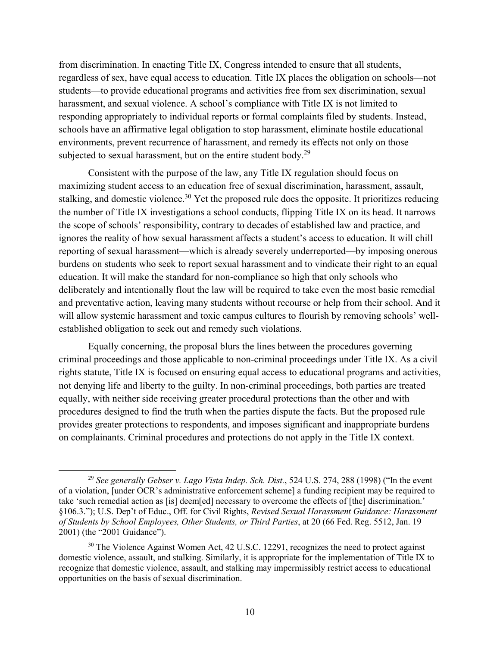from discrimination. In enacting Title IX, Congress intended to ensure that all students, regardless of sex, have equal access to education. Title IX places the obligation on schools—not students—to provide educational programs and activities free from sex discrimination, sexual harassment, and sexual violence. A school's compliance with Title IX is not limited to responding appropriately to individual reports or formal complaints filed by students. Instead, schools have an affirmative legal obligation to stop harassment, eliminate hostile educational environments, prevent recurrence of harassment, and remedy its effects not only on those subjected to sexual harassment, but on the entire student body.<sup>29</sup>

Consistent with the purpose of the law, any Title IX regulation should focus on maximizing student access to an education free of sexual discrimination, harassment, assault, stalking, and domestic violence.<sup>30</sup> Yet the proposed rule does the opposite. It prioritizes reducing the number of Title IX investigations a school conducts, flipping Title IX on its head. It narrows the scope of schools' responsibility, contrary to decades of established law and practice, and ignores the reality of how sexual harassment affects a student's access to education. It will chill reporting of sexual harassment—which is already severely underreported—by imposing onerous burdens on students who seek to report sexual harassment and to vindicate their right to an equal education. It will make the standard for non-compliance so high that only schools who deliberately and intentionally flout the law will be required to take even the most basic remedial and preventative action, leaving many students without recourse or help from their school. And it will allow systemic harassment and toxic campus cultures to flourish by removing schools' wellestablished obligation to seek out and remedy such violations.

Equally concerning, the proposal blurs the lines between the procedures governing criminal proceedings and those applicable to non-criminal proceedings under Title IX. As a civil rights statute, Title IX is focused on ensuring equal access to educational programs and activities, not denying life and liberty to the guilty. In non-criminal proceedings, both parties are treated equally, with neither side receiving greater procedural protections than the other and with procedures designed to find the truth when the parties dispute the facts. But the proposed rule provides greater protections to respondents, and imposes significant and inappropriate burdens on complainants. Criminal procedures and protections do not apply in the Title IX context.

 <sup>29</sup> *See generally Gebser v. Lago Vista Indep. Sch. Dist.*, 524 U.S. 274, 288 (1998) ("In the event of a violation, [under OCR's administrative enforcement scheme] a funding recipient may be required to take 'such remedial action as [is] deem[ed] necessary to overcome the effects of [the] discrimination.' §106.3."); U.S. Dep't of Educ., Off. for Civil Rights, *Revised Sexual Harassment Guidance: Harassment of Students by School Employees, Other Students, or Third Parties*, at 20 (66 Fed. Reg. 5512, Jan. 19 2001) (the "2001 Guidance").

<sup>&</sup>lt;sup>30</sup> The Violence Against Women Act, 42 U.S.C. 12291, recognizes the need to protect against domestic violence, assault, and stalking. Similarly, it is appropriate for the implementation of Title IX to recognize that domestic violence, assault, and stalking may impermissibly restrict access to educational opportunities on the basis of sexual discrimination.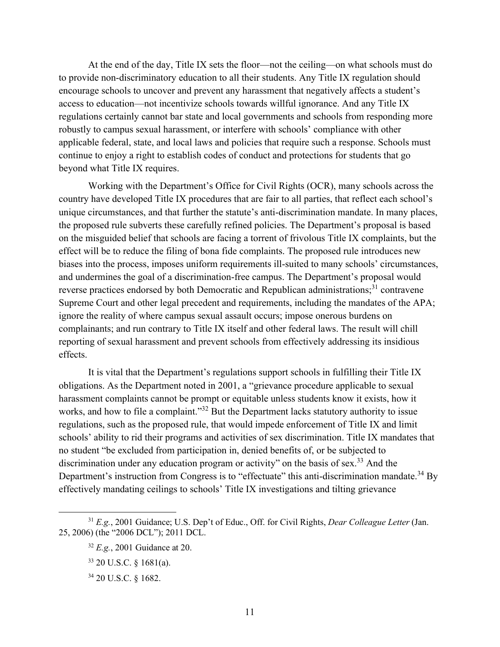At the end of the day, Title IX sets the floor—not the ceiling—on what schools must do to provide non-discriminatory education to all their students. Any Title IX regulation should encourage schools to uncover and prevent any harassment that negatively affects a student's access to education—not incentivize schools towards willful ignorance. And any Title IX regulations certainly cannot bar state and local governments and schools from responding more robustly to campus sexual harassment, or interfere with schools' compliance with other applicable federal, state, and local laws and policies that require such a response. Schools must continue to enjoy a right to establish codes of conduct and protections for students that go beyond what Title IX requires.

Working with the Department's Office for Civil Rights (OCR), many schools across the country have developed Title IX procedures that are fair to all parties, that reflect each school's unique circumstances, and that further the statute's anti-discrimination mandate. In many places, the proposed rule subverts these carefully refined policies. The Department's proposal is based on the misguided belief that schools are facing a torrent of frivolous Title IX complaints, but the effect will be to reduce the filing of bona fide complaints. The proposed rule introduces new biases into the process, imposes uniform requirements ill-suited to many schools' circumstances, and undermines the goal of a discrimination-free campus. The Department's proposal would reverse practices endorsed by both Democratic and Republican administrations;<sup>31</sup> contravene Supreme Court and other legal precedent and requirements, including the mandates of the APA; ignore the reality of where campus sexual assault occurs; impose onerous burdens on complainants; and run contrary to Title IX itself and other federal laws. The result will chill reporting of sexual harassment and prevent schools from effectively addressing its insidious effects.

It is vital that the Department's regulations support schools in fulfilling their Title IX obligations. As the Department noted in 2001, a "grievance procedure applicable to sexual harassment complaints cannot be prompt or equitable unless students know it exists, how it works, and how to file a complaint."<sup>32</sup> But the Department lacks statutory authority to issue regulations, such as the proposed rule, that would impede enforcement of Title IX and limit schools' ability to rid their programs and activities of sex discrimination. Title IX mandates that no student "be excluded from participation in, denied benefits of, or be subjected to discrimination under any education program or activity" on the basis of sex.<sup>33</sup> And the Department's instruction from Congress is to "effectuate" this anti-discrimination mandate.<sup>34</sup> By effectively mandating ceilings to schools' Title IX investigations and tilting grievance

 <sup>31</sup> *E.g.*, 2001 Guidance; U.S. Dep't of Educ., Off. for Civil Rights, *Dear Colleague Letter* (Jan. 25, 2006) (the "2006 DCL"); 2011 DCL.

<sup>32</sup> *E.g.*, 2001 Guidance at 20.

<sup>33</sup> 20 U.S.C. § 1681(a).

<sup>34</sup> 20 U.S.C. § 1682.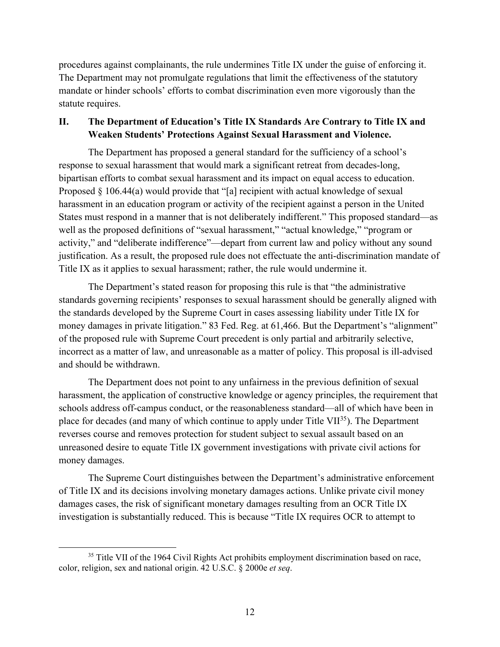procedures against complainants, the rule undermines Title IX under the guise of enforcing it. The Department may not promulgate regulations that limit the effectiveness of the statutory mandate or hinder schools' efforts to combat discrimination even more vigorously than the statute requires.

### **II. The Department of Education's Title IX Standards Are Contrary to Title IX and Weaken Students' Protections Against Sexual Harassment and Violence.**

The Department has proposed a general standard for the sufficiency of a school's response to sexual harassment that would mark a significant retreat from decades-long, bipartisan efforts to combat sexual harassment and its impact on equal access to education. Proposed § 106.44(a) would provide that "[a] recipient with actual knowledge of sexual harassment in an education program or activity of the recipient against a person in the United States must respond in a manner that is not deliberately indifferent." This proposed standard—as well as the proposed definitions of "sexual harassment," "actual knowledge," "program or activity," and "deliberate indifference"—depart from current law and policy without any sound justification. As a result, the proposed rule does not effectuate the anti-discrimination mandate of Title IX as it applies to sexual harassment; rather, the rule would undermine it.

The Department's stated reason for proposing this rule is that "the administrative standards governing recipients' responses to sexual harassment should be generally aligned with the standards developed by the Supreme Court in cases assessing liability under Title IX for money damages in private litigation." 83 Fed. Reg. at 61,466. But the Department's "alignment" of the proposed rule with Supreme Court precedent is only partial and arbitrarily selective, incorrect as a matter of law, and unreasonable as a matter of policy. This proposal is ill-advised and should be withdrawn.

The Department does not point to any unfairness in the previous definition of sexual harassment, the application of constructive knowledge or agency principles, the requirement that schools address off-campus conduct, or the reasonableness standard—all of which have been in place for decades (and many of which continue to apply under Title VII $^{35}$ ). The Department reverses course and removes protection for student subject to sexual assault based on an unreasoned desire to equate Title IX government investigations with private civil actions for money damages.

The Supreme Court distinguishes between the Department's administrative enforcement of Title IX and its decisions involving monetary damages actions. Unlike private civil money damages cases, the risk of significant monetary damages resulting from an OCR Title IX investigation is substantially reduced. This is because "Title IX requires OCR to attempt to

<sup>&</sup>lt;sup>35</sup> Title VII of the 1964 Civil Rights Act prohibits employment discrimination based on race, color, religion, sex and national origin. 42 U.S.C. § 2000e *et seq*.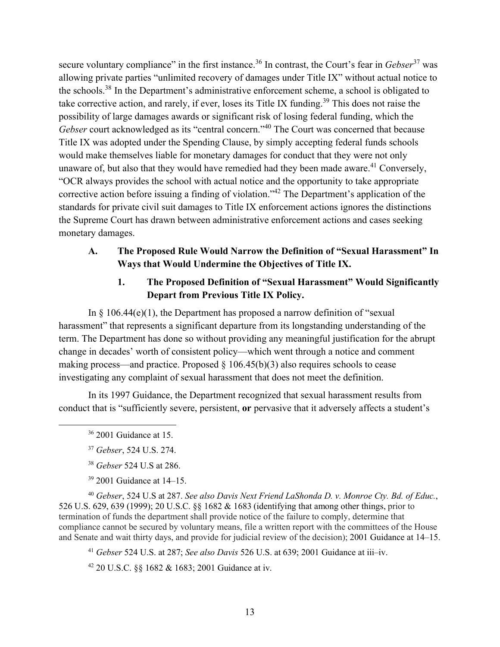secure voluntary compliance" in the first instance.<sup>36</sup> In contrast, the Court's fear in *Gebser*<sup>37</sup> was allowing private parties "unlimited recovery of damages under Title IX" without actual notice to the schools.38 In the Department's administrative enforcement scheme, a school is obligated to take corrective action, and rarely, if ever, loses its Title IX funding.<sup>39</sup> This does not raise the possibility of large damages awards or significant risk of losing federal funding, which the *Gebser* court acknowledged as its "central concern."<sup>40</sup> The Court was concerned that because Title IX was adopted under the Spending Clause, by simply accepting federal funds schools would make themselves liable for monetary damages for conduct that they were not only unaware of, but also that they would have remedied had they been made aware.<sup>41</sup> Conversely, "OCR always provides the school with actual notice and the opportunity to take appropriate corrective action before issuing a finding of violation."42 The Department's application of the standards for private civil suit damages to Title IX enforcement actions ignores the distinctions the Supreme Court has drawn between administrative enforcement actions and cases seeking monetary damages.

## **A. The Proposed Rule Would Narrow the Definition of "Sexual Harassment" In Ways that Would Undermine the Objectives of Title IX.**

## **1. The Proposed Definition of "Sexual Harassment" Would Significantly Depart from Previous Title IX Policy.**

In  $\S$  106.44(e)(1), the Department has proposed a narrow definition of "sexual harassment" that represents a significant departure from its longstanding understanding of the term. The Department has done so without providing any meaningful justification for the abrupt change in decades' worth of consistent policy—which went through a notice and comment making process—and practice. Proposed  $\S$  106.45(b)(3) also requires schools to cease investigating any complaint of sexual harassment that does not meet the definition.

In its 1997 Guidance, the Department recognized that sexual harassment results from conduct that is "sufficiently severe, persistent, **or** pervasive that it adversely affects a student's

 $36$  2001 Guidance at 15.

- <sup>38</sup> *Gebser* 524 U.S at 286.
- <sup>39</sup> 2001 Guidance at 14–15.

<sup>40</sup> *Gebser*, 524 U.S at 287. *See also Davis Next Friend LaShonda D. v. Monroe Cty. Bd. of Educ.*, 526 U.S. 629, 639 (1999); 20 U.S.C. §§ 1682 & 1683 (identifying that among other things, prior to termination of funds the department shall provide notice of the failure to comply, determine that compliance cannot be secured by voluntary means, file a written report with the committees of the House and Senate and wait thirty days, and provide for judicial review of the decision); 2001 Guidance at 14–15.

<sup>41</sup> *Gebser* 524 U.S. at 287; *See also Davis* 526 U.S. at 639; 2001 Guidance at iii–iv.

<sup>42</sup> 20 U.S.C. §§ 1682 & 1683; 2001 Guidance at iv.

<sup>37</sup> *Gebser*, 524 U.S. 274.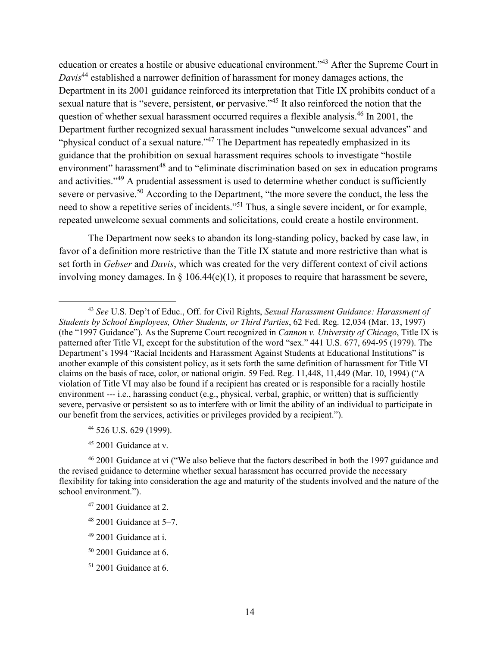education or creates a hostile or abusive educational environment."43 After the Supreme Court in *Davis*<sup>44</sup> established a narrower definition of harassment for money damages actions, the Department in its 2001 guidance reinforced its interpretation that Title IX prohibits conduct of a sexual nature that is "severe, persistent, **or** pervasive."<sup>45</sup> It also reinforced the notion that the question of whether sexual harassment occurred requires a flexible analysis.<sup>46</sup> In 2001, the Department further recognized sexual harassment includes "unwelcome sexual advances" and "physical conduct of a sexual nature."<sup>47</sup> The Department has repeatedly emphasized in its guidance that the prohibition on sexual harassment requires schools to investigate "hostile environment" harassment<sup>48</sup> and to "eliminate discrimination based on sex in education programs and activities."<sup>49</sup> A prudential assessment is used to determine whether conduct is sufficiently severe or pervasive.<sup>50</sup> According to the Department, "the more severe the conduct, the less the need to show a repetitive series of incidents."51 Thus, a single severe incident, or for example, repeated unwelcome sexual comments and solicitations, could create a hostile environment.

The Department now seeks to abandon its long-standing policy, backed by case law, in favor of a definition more restrictive than the Title IX statute and more restrictive than what is set forth in *Gebser* and *Davis*, which was created for the very different context of civil actions involving money damages. In  $\S$  106.44(e)(1), it proposes to require that harassment be severe,

- <sup>44</sup> 526 U.S. 629 (1999).
- <sup>45</sup> 2001 Guidance at v.

- $48$  2001 Guidance at 5–7.
- <sup>49</sup> 2001 Guidance at i.
- <sup>50</sup> 2001 Guidance at 6.
- <sup>51</sup> 2001 Guidance at 6.

 <sup>43</sup> *See* U.S. Dep't of Educ., Off. for Civil Rights, *Sexual Harassment Guidance: Harassment of Students by School Employees, Other Students, or Third Parties*, 62 Fed. Reg. 12,034 (Mar. 13, 1997) (the "1997 Guidance"). As the Supreme Court recognized in *Cannon v. University of Chicago*, Title IX is patterned after Title VI, except for the substitution of the word "sex." 441 U.S. 677, 694-95 (1979). The Department's 1994 "Racial Incidents and Harassment Against Students at Educational Institutions" is another example of this consistent policy, as it sets forth the same definition of harassment for Title VI claims on the basis of race, color, or national origin. 59 Fed. Reg. 11,448, 11,449 (Mar. 10, 1994) ("A violation of Title VI may also be found if a recipient has created or is responsible for a racially hostile environment --- i.e., harassing conduct (e.g., physical, verbal, graphic, or written) that is sufficiently severe, pervasive or persistent so as to interfere with or limit the ability of an individual to participate in our benefit from the services, activities or privileges provided by a recipient.").

<sup>&</sup>lt;sup>46</sup> 2001 Guidance at vi ("We also believe that the factors described in both the 1997 guidance and the revised guidance to determine whether sexual harassment has occurred provide the necessary flexibility for taking into consideration the age and maturity of the students involved and the nature of the school environment.").

<sup>47</sup> 2001 Guidance at 2.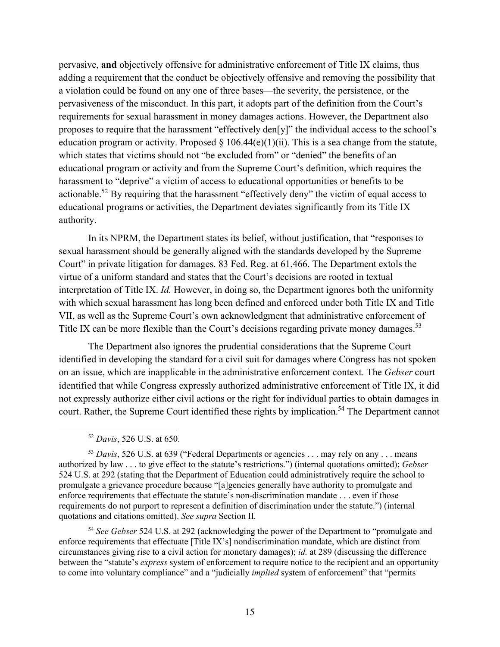pervasive, **and** objectively offensive for administrative enforcement of Title IX claims, thus adding a requirement that the conduct be objectively offensive and removing the possibility that a violation could be found on any one of three bases—the severity, the persistence, or the pervasiveness of the misconduct. In this part, it adopts part of the definition from the Court's requirements for sexual harassment in money damages actions. However, the Department also proposes to require that the harassment "effectively den[y]" the individual access to the school's education program or activity. Proposed  $\S$  106.44(e)(1)(ii). This is a sea change from the statute, which states that victims should not "be excluded from" or "denied" the benefits of an educational program or activity and from the Supreme Court's definition, which requires the harassment to "deprive" a victim of access to educational opportunities or benefits to be actionable.<sup>52</sup> By requiring that the harassment "effectively deny" the victim of equal access to educational programs or activities, the Department deviates significantly from its Title IX authority.

In its NPRM, the Department states its belief, without justification, that "responses to sexual harassment should be generally aligned with the standards developed by the Supreme Court" in private litigation for damages. 83 Fed. Reg. at 61,466. The Department extols the virtue of a uniform standard and states that the Court's decisions are rooted in textual interpretation of Title IX. *Id.* However, in doing so, the Department ignores both the uniformity with which sexual harassment has long been defined and enforced under both Title IX and Title VII, as well as the Supreme Court's own acknowledgment that administrative enforcement of Title IX can be more flexible than the Court's decisions regarding private money damages.<sup>53</sup>

The Department also ignores the prudential considerations that the Supreme Court identified in developing the standard for a civil suit for damages where Congress has not spoken on an issue, which are inapplicable in the administrative enforcement context. The *Gebser* court identified that while Congress expressly authorized administrative enforcement of Title IX, it did not expressly authorize either civil actions or the right for individual parties to obtain damages in court. Rather, the Supreme Court identified these rights by implication.<sup>54</sup> The Department cannot

<sup>53</sup> Davis, 526 U.S. at 639 ("Federal Departments or agencies . . . may rely on any . . . means authorized by law . . . to give effect to the statute's restrictions.") (internal quotations omitted); *Gebser* 524 U.S. at 292 (stating that the Department of Education could administratively require the school to promulgate a grievance procedure because "[a]gencies generally have authority to promulgate and enforce requirements that effectuate the statute's non-discrimination mandate . . . even if those requirements do not purport to represent a definition of discrimination under the statute.") (internal quotations and citations omitted). *See supra* Section II.

<sup>54</sup> *See Gebser* 524 U.S. at 292 (acknowledging the power of the Department to "promulgate and enforce requirements that effectuate [Title IX's] nondiscrimination mandate, which are distinct from circumstances giving rise to a civil action for monetary damages); *id.* at 289 (discussing the difference between the "statute's *express* system of enforcement to require notice to the recipient and an opportunity to come into voluntary compliance" and a "judicially *implied* system of enforcement" that "permits

 <sup>52</sup> *Davis*, 526 U.S. at 650.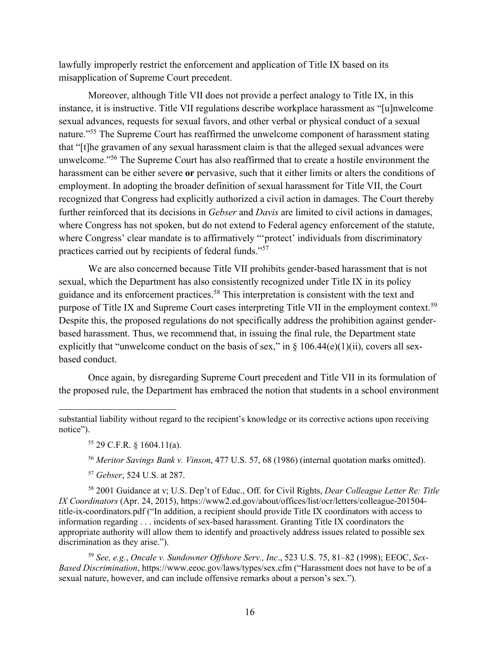lawfully improperly restrict the enforcement and application of Title IX based on its misapplication of Supreme Court precedent.

Moreover, although Title VII does not provide a perfect analogy to Title IX, in this instance, it is instructive. Title VII regulations describe workplace harassment as "[u]nwelcome sexual advances, requests for sexual favors, and other verbal or physical conduct of a sexual nature."<sup>55</sup> The Supreme Court has reaffirmed the unwelcome component of harassment stating that "[t]he gravamen of any sexual harassment claim is that the alleged sexual advances were unwelcome."56 The Supreme Court has also reaffirmed that to create a hostile environment the harassment can be either severe **or** pervasive, such that it either limits or alters the conditions of employment. In adopting the broader definition of sexual harassment for Title VII, the Court recognized that Congress had explicitly authorized a civil action in damages. The Court thereby further reinforced that its decisions in *Gebser* and *Davis* are limited to civil actions in damages, where Congress has not spoken, but do not extend to Federal agency enforcement of the statute, where Congress' clear mandate is to affirmatively "'protect' individuals from discriminatory practices carried out by recipients of federal funds."<sup>57</sup>

We are also concerned because Title VII prohibits gender-based harassment that is not sexual, which the Department has also consistently recognized under Title IX in its policy guidance and its enforcement practices.58 This interpretation is consistent with the text and purpose of Title IX and Supreme Court cases interpreting Title VII in the employment context.<sup>59</sup> Despite this, the proposed regulations do not specifically address the prohibition against genderbased harassment. Thus, we recommend that, in issuing the final rule, the Department state explicitly that "unwelcome conduct on the basis of sex," in  $\S$  106.44(e)(1)(ii), covers all sexbased conduct.

Once again, by disregarding Supreme Court precedent and Title VII in its formulation of the proposed rule, the Department has embraced the notion that students in a school environment

 $\overline{a}$ 

<sup>56</sup> *Meritor Savings Bank v. Vinson*, 477 U.S. 57, 68 (1986) (internal quotation marks omitted).

<sup>57</sup> *Gebser*, 524 U.S. at 287.

<sup>58</sup> 2001 Guidance at v; U.S. Dep't of Educ., Off. for Civil Rights, *Dear Colleague Letter Re: Title IX Coordinators* (Apr. 24, 2015), https://www2.ed.gov/about/offices/list/ocr/letters/colleague-201504 title-ix-coordinators.pdf ("In addition, a recipient should provide Title IX coordinators with access to information regarding . . . incidents of sex-based harassment. Granting Title IX coordinators the appropriate authority will allow them to identify and proactively address issues related to possible sex discrimination as they arise.").

<sup>59</sup> *See, e.g.*, *Oncale v. Sundowner Offshore Serv., Inc*., 523 U.S. 75, 81–82 (1998); EEOC, *Sex-Based Discrimination*, https://www.eeoc.gov/laws/types/sex.cfm ("Harassment does not have to be of a sexual nature, however, and can include offensive remarks about a person's sex.").

substantial liability without regard to the recipient's knowledge or its corrective actions upon receiving notice").

<sup>55</sup> 29 C.F.R. § 1604.11(a).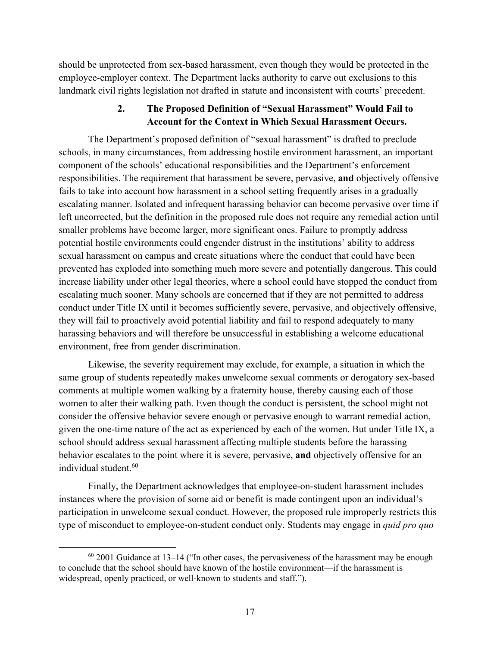should be unprotected from sex-based harassment, even though they would be protected in the employee-employer context. The Department lacks authority to carve out exclusions to this landmark civil rights legislation not drafted in statute and inconsistent with courts' precedent.

## **2. The Proposed Definition of "Sexual Harassment" Would Fail to Account for the Context in Which Sexual Harassment Occurs.**

The Department's proposed definition of "sexual harassment" is drafted to preclude schools, in many circumstances, from addressing hostile environment harassment, an important component of the schools' educational responsibilities and the Department's enforcement responsibilities. The requirement that harassment be severe, pervasive, **and** objectively offensive fails to take into account how harassment in a school setting frequently arises in a gradually escalating manner. Isolated and infrequent harassing behavior can become pervasive over time if left uncorrected, but the definition in the proposed rule does not require any remedial action until smaller problems have become larger, more significant ones. Failure to promptly address potential hostile environments could engender distrust in the institutions' ability to address sexual harassment on campus and create situations where the conduct that could have been prevented has exploded into something much more severe and potentially dangerous. This could increase liability under other legal theories, where a school could have stopped the conduct from escalating much sooner. Many schools are concerned that if they are not permitted to address conduct under Title IX until it becomes sufficiently severe, pervasive, and objectively offensive, they will fail to proactively avoid potential liability and fail to respond adequately to many harassing behaviors and will therefore be unsuccessful in establishing a welcome educational environment, free from gender discrimination.

Likewise, the severity requirement may exclude, for example, a situation in which the same group of students repeatedly makes unwelcome sexual comments or derogatory sex-based comments at multiple women walking by a fraternity house, thereby causing each of those women to alter their walking path. Even though the conduct is persistent, the school might not consider the offensive behavior severe enough or pervasive enough to warrant remedial action, given the one-time nature of the act as experienced by each of the women. But under Title IX, a school should address sexual harassment affecting multiple students before the harassing behavior escalates to the point where it is severe, pervasive, **and** objectively offensive for an individual student.<sup>60</sup>

Finally, the Department acknowledges that employee-on-student harassment includes instances where the provision of some aid or benefit is made contingent upon an individual's participation in unwelcome sexual conduct. However, the proposed rule improperly restricts this type of misconduct to employee-on-student conduct only. Students may engage in *quid pro quo*

 $60$  2001 Guidance at 13–14 ("In other cases, the pervasiveness of the harassment may be enough to conclude that the school should have known of the hostile environment––if the harassment is widespread, openly practiced, or well-known to students and staff.").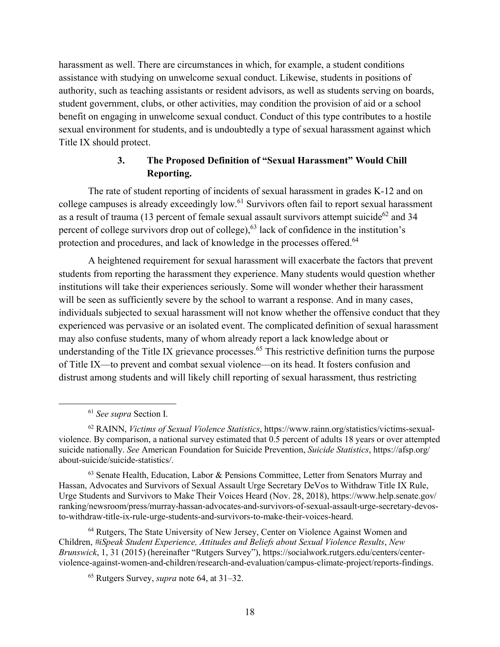harassment as well. There are circumstances in which, for example, a student conditions assistance with studying on unwelcome sexual conduct. Likewise, students in positions of authority, such as teaching assistants or resident advisors, as well as students serving on boards, student government, clubs, or other activities, may condition the provision of aid or a school benefit on engaging in unwelcome sexual conduct. Conduct of this type contributes to a hostile sexual environment for students, and is undoubtedly a type of sexual harassment against which Title IX should protect.

# **3. The Proposed Definition of "Sexual Harassment" Would Chill Reporting.**

The rate of student reporting of incidents of sexual harassment in grades K-12 and on college campuses is already exceedingly low.<sup>61</sup> Survivors often fail to report sexual harassment as a result of trauma (13 percent of female sexual assault survivors attempt suicide<sup>62</sup> and 34 percent of college survivors drop out of college),  $63$  lack of confidence in the institution's protection and procedures, and lack of knowledge in the processes offered.<sup>64</sup>

A heightened requirement for sexual harassment will exacerbate the factors that prevent students from reporting the harassment they experience. Many students would question whether institutions will take their experiences seriously. Some will wonder whether their harassment will be seen as sufficiently severe by the school to warrant a response. And in many cases, individuals subjected to sexual harassment will not know whether the offensive conduct that they experienced was pervasive or an isolated event. The complicated definition of sexual harassment may also confuse students, many of whom already report a lack knowledge about or understanding of the Title IX grievance processes.<sup> $65$ </sup> This restrictive definition turns the purpose of Title IX—to prevent and combat sexual violence—on its head. It fosters confusion and distrust among students and will likely chill reporting of sexual harassment, thus restricting

<sup>64</sup> Rutgers, The State University of New Jersey, Center on Violence Against Women and Children, *#iSpeak Student Experience, Attitudes and Beliefs about Sexual Violence Results*, *New Brunswick*, 1, 31 (2015) (hereinafter "Rutgers Survey"), https://socialwork.rutgers.edu/centers/centerviolence-against-women-and-children/research-and-evaluation/campus-climate-project/reports-findings.

 <sup>61</sup> *See supra* Section I.

<sup>62</sup> RAINN, *Victims of Sexual Violence Statistics*, https://www.rainn.org/statistics/victims-sexualviolence. By comparison, a national survey estimated that 0.5 percent of adults 18 years or over attempted suicide nationally. *See* American Foundation for Suicide Prevention, *Suicide Statistics*, https://afsp.org/ about-suicide/suicide-statistics/.

<sup>&</sup>lt;sup>63</sup> Senate Health, Education, Labor & Pensions Committee, Letter from Senators Murray and Hassan, Advocates and Survivors of Sexual Assault Urge Secretary DeVos to Withdraw Title IX Rule, Urge Students and Survivors to Make Their Voices Heard (Nov. 28, 2018), https://www.help.senate.gov/ ranking/newsroom/press/murray-hassan-advocates-and-survivors-of-sexual-assault-urge-secretary-devosto-withdraw-title-ix-rule-urge-students-and-survivors-to-make-their-voices-heard.

<sup>65</sup> Rutgers Survey, *supra* note 64, at 31–32.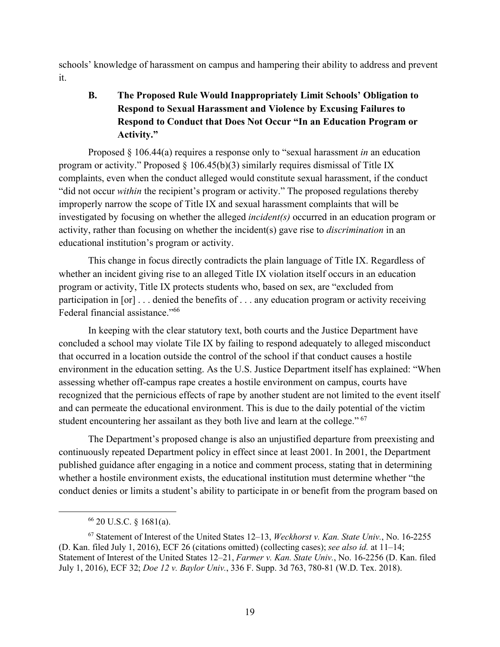schools' knowledge of harassment on campus and hampering their ability to address and prevent it.

# **B. The Proposed Rule Would Inappropriately Limit Schools' Obligation to Respond to Sexual Harassment and Violence by Excusing Failures to Respond to Conduct that Does Not Occur "In an Education Program or Activity."**

Proposed § 106.44(a) requires a response only to "sexual harassment *in* an education program or activity." Proposed  $\S$  106.45(b)(3) similarly requires dismissal of Title IX complaints, even when the conduct alleged would constitute sexual harassment, if the conduct "did not occur *within* the recipient's program or activity." The proposed regulations thereby improperly narrow the scope of Title IX and sexual harassment complaints that will be investigated by focusing on whether the alleged *incident(s)* occurred in an education program or activity, rather than focusing on whether the incident(s) gave rise to *discrimination* in an educational institution's program or activity.

This change in focus directly contradicts the plain language of Title IX. Regardless of whether an incident giving rise to an alleged Title IX violation itself occurs in an education program or activity, Title IX protects students who, based on sex, are "excluded from participation in [or] . . . denied the benefits of . . . any education program or activity receiving Federal financial assistance."66

In keeping with the clear statutory text, both courts and the Justice Department have concluded a school may violate Tile IX by failing to respond adequately to alleged misconduct that occurred in a location outside the control of the school if that conduct causes a hostile environment in the education setting. As the U.S. Justice Department itself has explained: "When assessing whether off-campus rape creates a hostile environment on campus, courts have recognized that the pernicious effects of rape by another student are not limited to the event itself and can permeate the educational environment. This is due to the daily potential of the victim student encountering her assailant as they both live and learn at the college."<sup>67</sup>

The Department's proposed change is also an unjustified departure from preexisting and continuously repeated Department policy in effect since at least 2001. In 2001, the Department published guidance after engaging in a notice and comment process, stating that in determining whether a hostile environment exists, the educational institution must determine whether "the conduct denies or limits a student's ability to participate in or benefit from the program based on

 <sup>66</sup> 20 U.S.C. § 1681(a).

<sup>67</sup> Statement of Interest of the United States 12–13, *Weckhorst v. Kan. State Univ.*, No. 16-2255 (D. Kan. filed July 1, 2016), ECF 26 (citations omitted) (collecting cases); *see also id.* at 11–14; Statement of Interest of the United States 12–21, *Farmer v. Kan. State Univ.*, No. 16-2256 (D. Kan. filed July 1, 2016), ECF 32; *Doe 12 v. Baylor Univ.*, 336 F. Supp. 3d 763, 780-81 (W.D. Tex. 2018).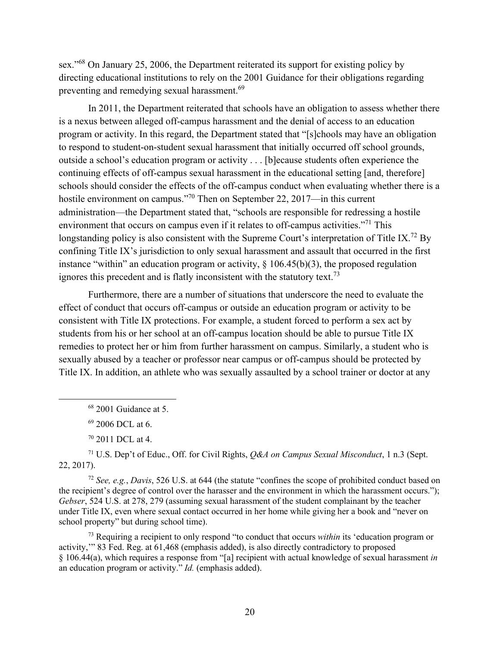sex."<sup>68</sup> On January 25, 2006, the Department reiterated its support for existing policy by directing educational institutions to rely on the 2001 Guidance for their obligations regarding preventing and remedying sexual harassment.<sup>69</sup>

In 2011, the Department reiterated that schools have an obligation to assess whether there is a nexus between alleged off-campus harassment and the denial of access to an education program or activity. In this regard, the Department stated that "[s]chools may have an obligation to respond to student-on-student sexual harassment that initially occurred off school grounds, outside a school's education program or activity . . . [b]ecause students often experience the continuing effects of off-campus sexual harassment in the educational setting [and, therefore] schools should consider the effects of the off-campus conduct when evaluating whether there is a hostile environment on campus."70 Then on September 22, 2017—in this current administration—the Department stated that, "schools are responsible for redressing a hostile environment that occurs on campus even if it relates to off-campus activities."<sup>71</sup> This longstanding policy is also consistent with the Supreme Court's interpretation of Title IX.<sup>72</sup> By confining Title IX's jurisdiction to only sexual harassment and assault that occurred in the first instance "within" an education program or activity,  $\S$  106.45(b)(3), the proposed regulation ignores this precedent and is flatly inconsistent with the statutory text.<sup>73</sup>

Furthermore, there are a number of situations that underscore the need to evaluate the effect of conduct that occurs off-campus or outside an education program or activity to be consistent with Title IX protections. For example, a student forced to perform a sex act by students from his or her school at an off-campus location should be able to pursue Title IX remedies to protect her or him from further harassment on campus. Similarly, a student who is sexually abused by a teacher or professor near campus or off-campus should be protected by Title IX. In addition, an athlete who was sexually assaulted by a school trainer or doctor at any

<sup>69</sup> 2006 DCL at 6.

<sup>70</sup> 2011 DCL at 4.

<sup>71</sup> U.S. Dep't of Educ., Off. for Civil Rights, *Q&A on Campus Sexual Misconduct*, 1 n.3 (Sept. 22, 2017).

<sup>72</sup> *See, e.g.*, *Davis*, 526 U.S. at 644 (the statute "confines the scope of prohibited conduct based on the recipient's degree of control over the harasser and the environment in which the harassment occurs."); *Gebser*, 524 U.S. at 278, 279 (assuming sexual harassment of the student complainant by the teacher under Title IX, even where sexual contact occurred in her home while giving her a book and "never on school property" but during school time).

<sup>73</sup> Requiring a recipient to only respond "to conduct that occurs *within* its 'education program or activity,'" 83 Fed. Reg. at 61,468 (emphasis added), is also directly contradictory to proposed § 106.44(a), which requires a response from "[a] recipient with actual knowledge of sexual harassment *in* an education program or activity." *Id.* (emphasis added).

 <sup>68</sup> 2001 Guidance at 5.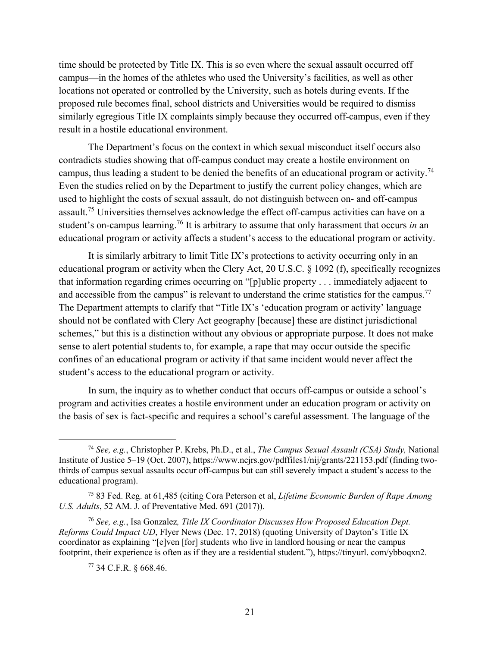time should be protected by Title IX. This is so even where the sexual assault occurred off campus—in the homes of the athletes who used the University's facilities, as well as other locations not operated or controlled by the University, such as hotels during events. If the proposed rule becomes final, school districts and Universities would be required to dismiss similarly egregious Title IX complaints simply because they occurred off-campus, even if they result in a hostile educational environment.

The Department's focus on the context in which sexual misconduct itself occurs also contradicts studies showing that off-campus conduct may create a hostile environment on campus, thus leading a student to be denied the benefits of an educational program or activity.<sup>74</sup> Even the studies relied on by the Department to justify the current policy changes, which are used to highlight the costs of sexual assault, do not distinguish between on- and off-campus assault.75 Universities themselves acknowledge the effect off-campus activities can have on a student's on-campus learning.<sup>76</sup> It is arbitrary to assume that only harassment that occurs *in* an educational program or activity affects a student's access to the educational program or activity.

It is similarly arbitrary to limit Title IX's protections to activity occurring only in an educational program or activity when the Clery Act, 20 U.S.C. § 1092 (f), specifically recognizes that information regarding crimes occurring on "[p]ublic property . . . immediately adjacent to and accessible from the campus" is relevant to understand the crime statistics for the campus.<sup>77</sup> The Department attempts to clarify that "Title IX's 'education program or activity' language should not be conflated with Clery Act geography [because] these are distinct jurisdictional schemes," but this is a distinction without any obvious or appropriate purpose. It does not make sense to alert potential students to, for example, a rape that may occur outside the specific confines of an educational program or activity if that same incident would never affect the student's access to the educational program or activity.

In sum, the inquiry as to whether conduct that occurs off-campus or outside a school's program and activities creates a hostile environment under an education program or activity on the basis of sex is fact-specific and requires a school's careful assessment. The language of the

 <sup>74</sup> *See, e.g.*, Christopher P. Krebs, Ph.D., et al., *The Campus Sexual Assault (CSA) Study,* National Institute of Justice 5–19 (Oct. 2007), https://www.ncjrs.gov/pdffiles1/nij/grants/221153.pdf (finding twothirds of campus sexual assaults occur off-campus but can still severely impact a student's access to the educational program).

<sup>75</sup> 83 Fed. Reg. at 61,485 (citing Cora Peterson et al, *Lifetime Economic Burden of Rape Among U.S. Adults*, 52 AM. J. of Preventative Med. 691 (2017)).

<sup>76</sup> *See, e.g.*, Isa Gonzalez*, Title IX Coordinator Discusses How Proposed Education Dept. Reforms Could Impact UD*, Flyer News (Dec. 17, 2018) (quoting University of Dayton's Title IX coordinator as explaining "[e]ven [for] students who live in landlord housing or near the campus footprint, their experience is often as if they are a residential student."), https://tinyurl. com/ybboqxn2.

<sup>77</sup> 34 C.F.R. § 668.46.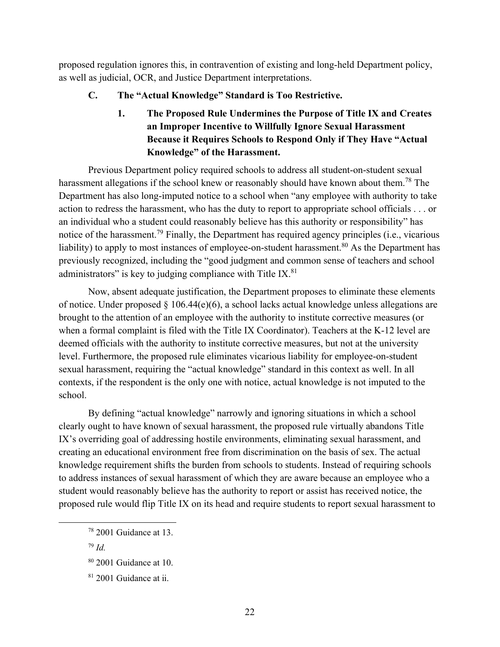proposed regulation ignores this, in contravention of existing and long-held Department policy, as well as judicial, OCR, and Justice Department interpretations.

### **C. The "Actual Knowledge" Standard is Too Restrictive.**

**1. The Proposed Rule Undermines the Purpose of Title IX and Creates an Improper Incentive to Willfully Ignore Sexual Harassment Because it Requires Schools to Respond Only if They Have "Actual Knowledge" of the Harassment.**

Previous Department policy required schools to address all student-on-student sexual harassment allegations if the school knew or reasonably should have known about them.<sup>78</sup> The Department has also long-imputed notice to a school when "any employee with authority to take action to redress the harassment, who has the duty to report to appropriate school officials . . . or an individual who a student could reasonably believe has this authority or responsibility" has notice of the harassment.<sup>79</sup> Finally, the Department has required agency principles (i.e., vicarious liability) to apply to most instances of employee-on-student harassment.<sup>80</sup> As the Department has previously recognized, including the "good judgment and common sense of teachers and school administrators" is key to judging compliance with Title IX. $81$ 

Now, absent adequate justification, the Department proposes to eliminate these elements of notice. Under proposed § 106.44(e)(6), a school lacks actual knowledge unless allegations are brought to the attention of an employee with the authority to institute corrective measures (or when a formal complaint is filed with the Title IX Coordinator). Teachers at the K-12 level are deemed officials with the authority to institute corrective measures, but not at the university level. Furthermore, the proposed rule eliminates vicarious liability for employee-on-student sexual harassment, requiring the "actual knowledge" standard in this context as well. In all contexts, if the respondent is the only one with notice, actual knowledge is not imputed to the school.

By defining "actual knowledge" narrowly and ignoring situations in which a school clearly ought to have known of sexual harassment, the proposed rule virtually abandons Title IX's overriding goal of addressing hostile environments, eliminating sexual harassment, and creating an educational environment free from discrimination on the basis of sex. The actual knowledge requirement shifts the burden from schools to students. Instead of requiring schools to address instances of sexual harassment of which they are aware because an employee who a student would reasonably believe has the authority to report or assist has received notice, the proposed rule would flip Title IX on its head and require students to report sexual harassment to

 <sup>78</sup> 2001 Guidance at 13.

<sup>79</sup> *Id.*

<sup>80</sup> 2001 Guidance at 10.

 $81$  2001 Guidance at ii.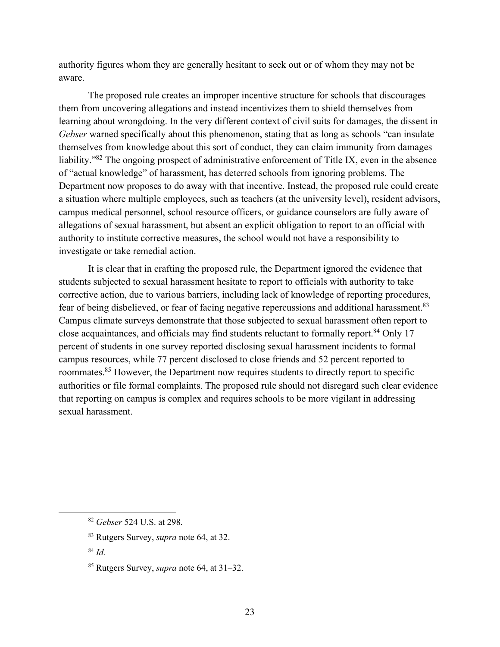authority figures whom they are generally hesitant to seek out or of whom they may not be aware.

The proposed rule creates an improper incentive structure for schools that discourages them from uncovering allegations and instead incentivizes them to shield themselves from learning about wrongdoing. In the very different context of civil suits for damages, the dissent in *Gebser* warned specifically about this phenomenon, stating that as long as schools "can insulate themselves from knowledge about this sort of conduct, they can claim immunity from damages liability."<sup>82</sup> The ongoing prospect of administrative enforcement of Title IX, even in the absence of "actual knowledge" of harassment, has deterred schools from ignoring problems. The Department now proposes to do away with that incentive. Instead, the proposed rule could create a situation where multiple employees, such as teachers (at the university level), resident advisors, campus medical personnel, school resource officers, or guidance counselors are fully aware of allegations of sexual harassment, but absent an explicit obligation to report to an official with authority to institute corrective measures, the school would not have a responsibility to investigate or take remedial action.

It is clear that in crafting the proposed rule, the Department ignored the evidence that students subjected to sexual harassment hesitate to report to officials with authority to take corrective action, due to various barriers, including lack of knowledge of reporting procedures, fear of being disbelieved, or fear of facing negative repercussions and additional harassment.<sup>83</sup> Campus climate surveys demonstrate that those subjected to sexual harassment often report to close acquaintances, and officials may find students reluctant to formally report.<sup>84</sup> Only 17 percent of students in one survey reported disclosing sexual harassment incidents to formal campus resources, while 77 percent disclosed to close friends and 52 percent reported to roommates.<sup>85</sup> However, the Department now requires students to directly report to specific authorities or file formal complaints. The proposed rule should not disregard such clear evidence that reporting on campus is complex and requires schools to be more vigilant in addressing sexual harassment.

 <sup>82</sup> *Gebser* 524 U.S. at 298.

<sup>83</sup> Rutgers Survey, *supra* note 64, at 32.

<sup>84</sup> *Id.*

<sup>85</sup> Rutgers Survey, *supra* note 64, at 31–32.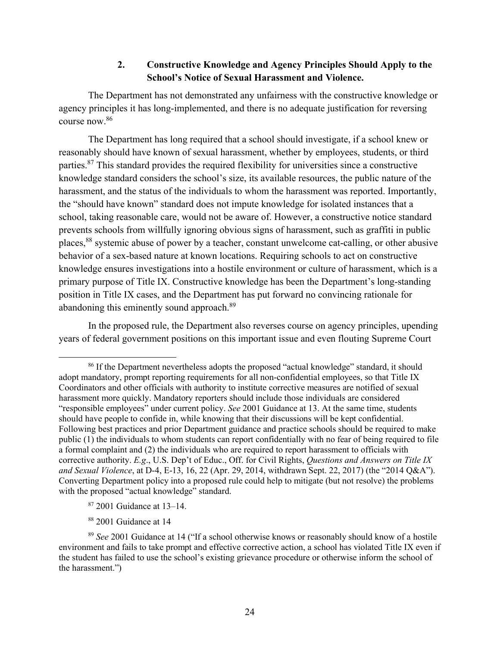### **2. Constructive Knowledge and Agency Principles Should Apply to the School's Notice of Sexual Harassment and Violence.**

The Department has not demonstrated any unfairness with the constructive knowledge or agency principles it has long-implemented, and there is no adequate justification for reversing course now.86

The Department has long required that a school should investigate, if a school knew or reasonably should have known of sexual harassment, whether by employees, students, or third parties.<sup>87</sup> This standard provides the required flexibility for universities since a constructive knowledge standard considers the school's size, its available resources, the public nature of the harassment, and the status of the individuals to whom the harassment was reported. Importantly, the "should have known" standard does not impute knowledge for isolated instances that a school, taking reasonable care, would not be aware of. However, a constructive notice standard prevents schools from willfully ignoring obvious signs of harassment, such as graffiti in public places,<sup>88</sup> systemic abuse of power by a teacher, constant unwelcome cat-calling, or other abusive behavior of a sex-based nature at known locations. Requiring schools to act on constructive knowledge ensures investigations into a hostile environment or culture of harassment, which is a primary purpose of Title IX. Constructive knowledge has been the Department's long-standing position in Title IX cases, and the Department has put forward no convincing rationale for abandoning this eminently sound approach.<sup>89</sup>

In the proposed rule, the Department also reverses course on agency principles, upending years of federal government positions on this important issue and even flouting Supreme Court

- <sup>87</sup> 2001 Guidance at 13–14.
- <sup>88</sup> 2001 Guidance at 14

<sup>&</sup>lt;sup>86</sup> If the Department nevertheless adopts the proposed "actual knowledge" standard, it should adopt mandatory, prompt reporting requirements for all non-confidential employees, so that Title IX Coordinators and other officials with authority to institute corrective measures are notified of sexual harassment more quickly. Mandatory reporters should include those individuals are considered "responsible employees" under current policy. *See* 2001 Guidance at 13. At the same time, students should have people to confide in, while knowing that their discussions will be kept confidential. Following best practices and prior Department guidance and practice schools should be required to make public (1) the individuals to whom students can report confidentially with no fear of being required to file a formal complaint and (2) the individuals who are required to report harassment to officials with corrective authority. *E.g*., U.S. Dep't of Educ., Off. for Civil Rights, *Questions and Answers on Title IX and Sexual Violence*, at D-4, E-13, 16, 22 (Apr. 29, 2014, withdrawn Sept. 22, 2017) (the "2014 Q&A"). Converting Department policy into a proposed rule could help to mitigate (but not resolve) the problems with the proposed "actual knowledge" standard.

<sup>89</sup> *See* 2001 Guidance at 14 ("If a school otherwise knows or reasonably should know of a hostile environment and fails to take prompt and effective corrective action, a school has violated Title IX even if the student has failed to use the school's existing grievance procedure or otherwise inform the school of the harassment.")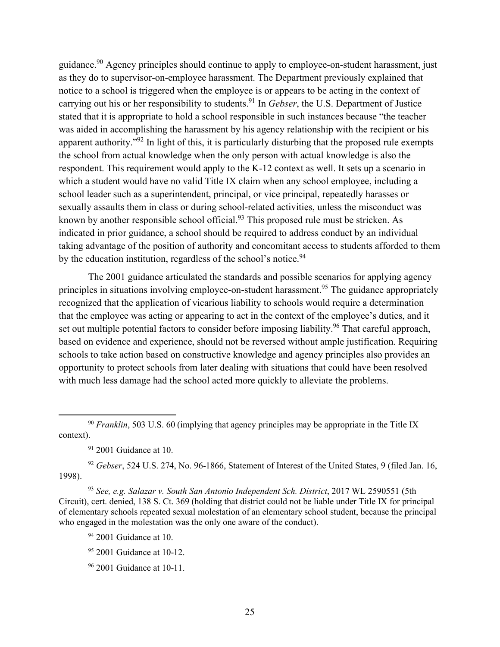guidance.90 Agency principles should continue to apply to employee-on-student harassment, just as they do to supervisor-on-employee harassment. The Department previously explained that notice to a school is triggered when the employee is or appears to be acting in the context of carrying out his or her responsibility to students.91 In *Gebser*, the U.S. Department of Justice stated that it is appropriate to hold a school responsible in such instances because "the teacher was aided in accomplishing the harassment by his agency relationship with the recipient or his apparent authority."<sup>92</sup> In light of this, it is particularly disturbing that the proposed rule exempts the school from actual knowledge when the only person with actual knowledge is also the respondent. This requirement would apply to the K-12 context as well. It sets up a scenario in which a student would have no valid Title IX claim when any school employee, including a school leader such as a superintendent, principal, or vice principal, repeatedly harasses or sexually assaults them in class or during school-related activities, unless the misconduct was known by another responsible school official.<sup>93</sup> This proposed rule must be stricken. As indicated in prior guidance, a school should be required to address conduct by an individual taking advantage of the position of authority and concomitant access to students afforded to them by the education institution, regardless of the school's notice.  $94$ 

The 2001 guidance articulated the standards and possible scenarios for applying agency principles in situations involving employee-on-student harassment.<sup>95</sup> The guidance appropriately recognized that the application of vicarious liability to schools would require a determination that the employee was acting or appearing to act in the context of the employee's duties, and it set out multiple potential factors to consider before imposing liability.<sup>96</sup> That careful approach, based on evidence and experience, should not be reversed without ample justification. Requiring schools to take action based on constructive knowledge and agency principles also provides an opportunity to protect schools from later dealing with situations that could have been resolved with much less damage had the school acted more quickly to alleviate the problems.

<sup>92</sup> *Gebser*, 524 U.S. 274, No. 96-1866, Statement of Interest of the United States, 9 (filed Jan. 16, 1998).

<sup>93</sup> *See, e.g. Salazar v. South San Antonio Independent Sch. District*, 2017 WL 2590551 (5th Circuit), cert. denied, 138 S. Ct. 369 (holding that district could not be liable under Title IX for principal of elementary schools repeated sexual molestation of an elementary school student, because the principal who engaged in the molestation was the only one aware of the conduct).

- <sup>95</sup> 2001 Guidance at 10-12.
- <sup>96</sup> 2001 Guidance at 10-11.

<sup>&</sup>lt;sup>90</sup> *Franklin*, 503 U.S. 60 (implying that agency principles may be appropriate in the Title IX context).

 $91$  2001 Guidance at 10.

 $94$  2001 Guidance at 10.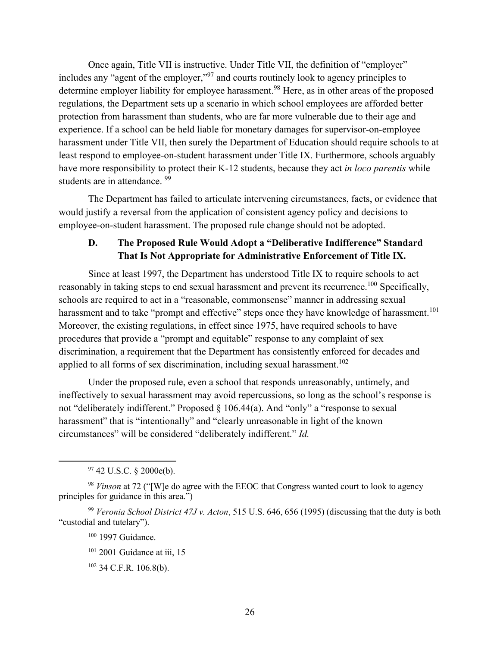Once again, Title VII is instructive. Under Title VII, the definition of "employer" includes any "agent of the employer,"97 and courts routinely look to agency principles to determine employer liability for employee harassment.<sup>98</sup> Here, as in other areas of the proposed regulations, the Department sets up a scenario in which school employees are afforded better protection from harassment than students, who are far more vulnerable due to their age and experience. If a school can be held liable for monetary damages for supervisor-on-employee harassment under Title VII, then surely the Department of Education should require schools to at least respond to employee-on-student harassment under Title IX. Furthermore, schools arguably have more responsibility to protect their K-12 students, because they act *in loco parentis* while students are in attendance. <sup>99</sup>

The Department has failed to articulate intervening circumstances, facts, or evidence that would justify a reversal from the application of consistent agency policy and decisions to employee-on-student harassment. The proposed rule change should not be adopted.

# **D. The Proposed Rule Would Adopt a "Deliberative Indifference" Standard That Is Not Appropriate for Administrative Enforcement of Title IX.**

Since at least 1997, the Department has understood Title IX to require schools to act reasonably in taking steps to end sexual harassment and prevent its recurrence.<sup>100</sup> Specifically, schools are required to act in a "reasonable, commonsense" manner in addressing sexual harassment and to take "prompt and effective" steps once they have knowledge of harassment.<sup>101</sup> Moreover, the existing regulations, in effect since 1975, have required schools to have procedures that provide a "prompt and equitable" response to any complaint of sex discrimination, a requirement that the Department has consistently enforced for decades and applied to all forms of sex discrimination, including sexual harassment.<sup>102</sup>

Under the proposed rule, even a school that responds unreasonably, untimely, and ineffectively to sexual harassment may avoid repercussions, so long as the school's response is not "deliberately indifferent." Proposed § 106.44(a). And "only" a "response to sexual harassment" that is "intentionally" and "clearly unreasonable in light of the known circumstances" will be considered "deliberately indifferent." *Id.*

<sup>100</sup> 1997 Guidance.

 $97$  42 U.S.C. § 2000e(b).

<sup>98</sup> *Vinson* at 72 ("[W]e do agree with the EEOC that Congress wanted court to look to agency principles for guidance in this area.")

<sup>99</sup> *Veronia School District 47J v. Acton*, 515 U.S. 646, 656 (1995) (discussing that the duty is both "custodial and tutelary").

<sup>&</sup>lt;sup>101</sup> 2001 Guidance at iii, 15

<sup>102</sup> 34 C.F.R. 106.8(b).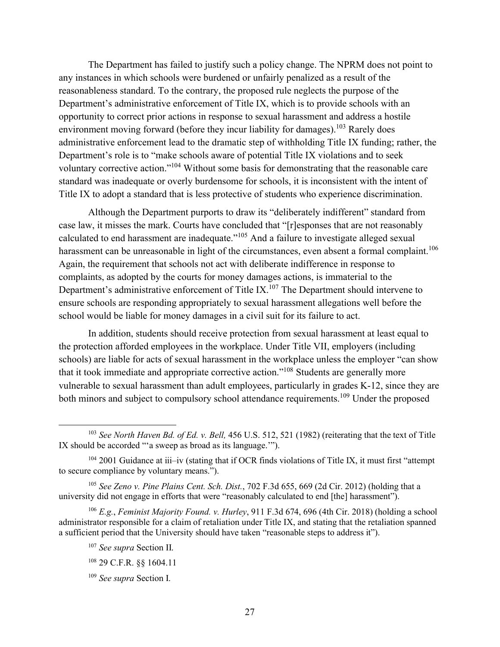The Department has failed to justify such a policy change. The NPRM does not point to any instances in which schools were burdened or unfairly penalized as a result of the reasonableness standard. To the contrary, the proposed rule neglects the purpose of the Department's administrative enforcement of Title IX, which is to provide schools with an opportunity to correct prior actions in response to sexual harassment and address a hostile environment moving forward (before they incur liability for damages).<sup>103</sup> Rarely does administrative enforcement lead to the dramatic step of withholding Title IX funding; rather, the Department's role is to "make schools aware of potential Title IX violations and to seek voluntary corrective action."104 Without some basis for demonstrating that the reasonable care standard was inadequate or overly burdensome for schools, it is inconsistent with the intent of Title IX to adopt a standard that is less protective of students who experience discrimination.

Although the Department purports to draw its "deliberately indifferent" standard from case law, it misses the mark. Courts have concluded that "[r]esponses that are not reasonably calculated to end harassment are inadequate."<sup>105</sup> And a failure to investigate alleged sexual harassment can be unreasonable in light of the circumstances, even absent a formal complaint.<sup>106</sup> Again, the requirement that schools not act with deliberate indifference in response to complaints, as adopted by the courts for money damages actions, is immaterial to the Department's administrative enforcement of Title IX.<sup>107</sup> The Department should intervene to ensure schools are responding appropriately to sexual harassment allegations well before the school would be liable for money damages in a civil suit for its failure to act.

In addition, students should receive protection from sexual harassment at least equal to the protection afforded employees in the workplace. Under Title VII, employers (including schools) are liable for acts of sexual harassment in the workplace unless the employer "can show that it took immediate and appropriate corrective action."108 Students are generally more vulnerable to sexual harassment than adult employees, particularly in grades K-12, since they are both minors and subject to compulsory school attendance requirements.<sup>109</sup> Under the proposed

<sup>106</sup> *E.g.*, *Feminist Majority Found. v. Hurley*, 911 F.3d 674, 696 (4th Cir. 2018) (holding a school administrator responsible for a claim of retaliation under Title IX, and stating that the retaliation spanned a sufficient period that the University should have taken "reasonable steps to address it").

 <sup>103</sup> *See North Haven Bd. of Ed. v. Bell,* 456 U.S. 512, 521 (1982) (reiterating that the text of Title IX should be accorded "'a sweep as broad as its language.'").

<sup>&</sup>lt;sup>104</sup> 2001 Guidance at iii–iv (stating that if OCR finds violations of Title IX, it must first "attempt to secure compliance by voluntary means.").

<sup>105</sup> *See Zeno v. Pine Plains Cent. Sch. Dist.*, 702 F.3d 655, 669 (2d Cir. 2012) (holding that a university did not engage in efforts that were "reasonably calculated to end [the] harassment").

<sup>107</sup> *See supra* Section II.

<sup>108</sup> 29 C.F.R. §§ 1604.11

<sup>109</sup> *See supra* Section I.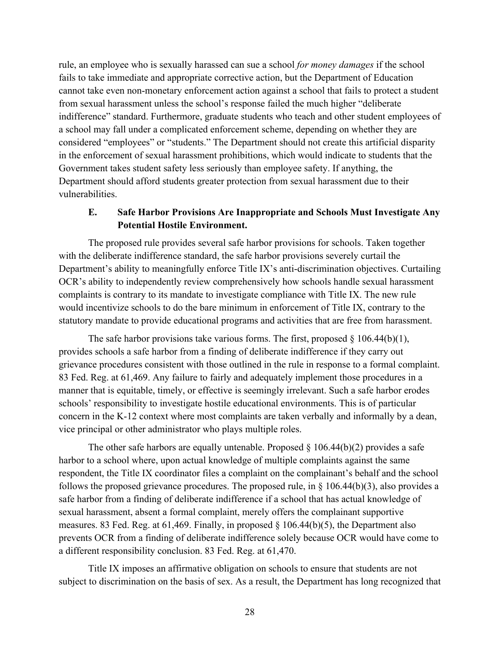rule, an employee who is sexually harassed can sue a school *for money damages* if the school fails to take immediate and appropriate corrective action, but the Department of Education cannot take even non-monetary enforcement action against a school that fails to protect a student from sexual harassment unless the school's response failed the much higher "deliberate indifference" standard. Furthermore, graduate students who teach and other student employees of a school may fall under a complicated enforcement scheme, depending on whether they are considered "employees" or "students." The Department should not create this artificial disparity in the enforcement of sexual harassment prohibitions, which would indicate to students that the Government takes student safety less seriously than employee safety. If anything, the Department should afford students greater protection from sexual harassment due to their vulnerabilities.

## **E. Safe Harbor Provisions Are Inappropriate and Schools Must Investigate Any Potential Hostile Environment.**

The proposed rule provides several safe harbor provisions for schools. Taken together with the deliberate indifference standard, the safe harbor provisions severely curtail the Department's ability to meaningfully enforce Title IX's anti-discrimination objectives. Curtailing OCR's ability to independently review comprehensively how schools handle sexual harassment complaints is contrary to its mandate to investigate compliance with Title IX. The new rule would incentivize schools to do the bare minimum in enforcement of Title IX, contrary to the statutory mandate to provide educational programs and activities that are free from harassment.

The safe harbor provisions take various forms. The first, proposed  $\S$  106.44(b)(1), provides schools a safe harbor from a finding of deliberate indifference if they carry out grievance procedures consistent with those outlined in the rule in response to a formal complaint. 83 Fed. Reg. at 61,469. Any failure to fairly and adequately implement those procedures in a manner that is equitable, timely, or effective is seemingly irrelevant. Such a safe harbor erodes schools' responsibility to investigate hostile educational environments. This is of particular concern in the K-12 context where most complaints are taken verbally and informally by a dean, vice principal or other administrator who plays multiple roles.

The other safe harbors are equally untenable. Proposed  $\S$  106.44(b)(2) provides a safe harbor to a school where, upon actual knowledge of multiple complaints against the same respondent, the Title IX coordinator files a complaint on the complainant's behalf and the school follows the proposed grievance procedures. The proposed rule, in  $\S$  106.44(b)(3), also provides a safe harbor from a finding of deliberate indifference if a school that has actual knowledge of sexual harassment, absent a formal complaint, merely offers the complainant supportive measures. 83 Fed. Reg. at 61,469. Finally, in proposed § 106.44(b)(5), the Department also prevents OCR from a finding of deliberate indifference solely because OCR would have come to a different responsibility conclusion. 83 Fed. Reg. at 61,470.

Title IX imposes an affirmative obligation on schools to ensure that students are not subject to discrimination on the basis of sex. As a result, the Department has long recognized that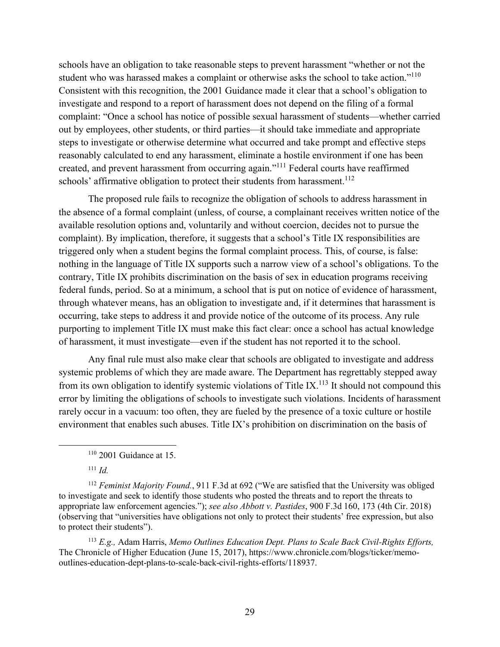schools have an obligation to take reasonable steps to prevent harassment "whether or not the student who was harassed makes a complaint or otherwise asks the school to take action."<sup>110</sup> Consistent with this recognition, the 2001 Guidance made it clear that a school's obligation to investigate and respond to a report of harassment does not depend on the filing of a formal complaint: "Once a school has notice of possible sexual harassment of students––whether carried out by employees, other students, or third parties––it should take immediate and appropriate steps to investigate or otherwise determine what occurred and take prompt and effective steps reasonably calculated to end any harassment, eliminate a hostile environment if one has been created, and prevent harassment from occurring again."<sup>111</sup> Federal courts have reaffirmed schools' affirmative obligation to protect their students from harassment.<sup>112</sup>

The proposed rule fails to recognize the obligation of schools to address harassment in the absence of a formal complaint (unless, of course, a complainant receives written notice of the available resolution options and, voluntarily and without coercion, decides not to pursue the complaint). By implication, therefore, it suggests that a school's Title IX responsibilities are triggered only when a student begins the formal complaint process. This, of course, is false: nothing in the language of Title IX supports such a narrow view of a school's obligations. To the contrary, Title IX prohibits discrimination on the basis of sex in education programs receiving federal funds, period. So at a minimum, a school that is put on notice of evidence of harassment, through whatever means, has an obligation to investigate and, if it determines that harassment is occurring, take steps to address it and provide notice of the outcome of its process. Any rule purporting to implement Title IX must make this fact clear: once a school has actual knowledge of harassment, it must investigate—even if the student has not reported it to the school.

Any final rule must also make clear that schools are obligated to investigate and address systemic problems of which they are made aware. The Department has regrettably stepped away from its own obligation to identify systemic violations of Title IX.<sup>113</sup> It should not compound this error by limiting the obligations of schools to investigate such violations. Incidents of harassment rarely occur in a vacuum: too often, they are fueled by the presence of a toxic culture or hostile environment that enables such abuses. Title IX's prohibition on discrimination on the basis of

<sup>111</sup> *Id.*

<sup>112</sup> *Feminist Majority Found.*, 911 F.3d at 692 ("We are satisfied that the University was obliged to investigate and seek to identify those students who posted the threats and to report the threats to appropriate law enforcement agencies."); *see also Abbott v. Pastides*, 900 F.3d 160, 173 (4th Cir. 2018) (observing that "universities have obligations not only to protect their students' free expression, but also to protect their students").

<sup>113</sup> *E.g.,* Adam Harris, *Memo Outlines Education Dept. Plans to Scale Back Civil-Rights Efforts,* The Chronicle of Higher Education (June 15, 2017), https://www.chronicle.com/blogs/ticker/memooutlines-education-dept-plans-to-scale-back-civil-rights-efforts/118937.

 $110$  2001 Guidance at 15.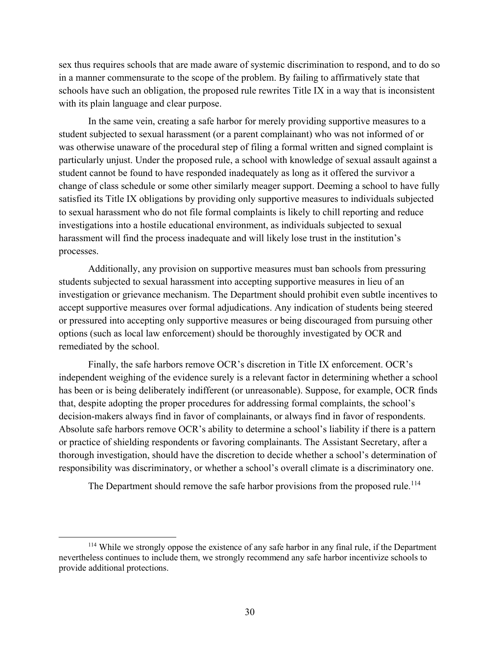sex thus requires schools that are made aware of systemic discrimination to respond, and to do so in a manner commensurate to the scope of the problem. By failing to affirmatively state that schools have such an obligation, the proposed rule rewrites Title IX in a way that is inconsistent with its plain language and clear purpose.

In the same vein, creating a safe harbor for merely providing supportive measures to a student subjected to sexual harassment (or a parent complainant) who was not informed of or was otherwise unaware of the procedural step of filing a formal written and signed complaint is particularly unjust. Under the proposed rule, a school with knowledge of sexual assault against a student cannot be found to have responded inadequately as long as it offered the survivor a change of class schedule or some other similarly meager support. Deeming a school to have fully satisfied its Title IX obligations by providing only supportive measures to individuals subjected to sexual harassment who do not file formal complaints is likely to chill reporting and reduce investigations into a hostile educational environment, as individuals subjected to sexual harassment will find the process inadequate and will likely lose trust in the institution's processes.

Additionally, any provision on supportive measures must ban schools from pressuring students subjected to sexual harassment into accepting supportive measures in lieu of an investigation or grievance mechanism. The Department should prohibit even subtle incentives to accept supportive measures over formal adjudications. Any indication of students being steered or pressured into accepting only supportive measures or being discouraged from pursuing other options (such as local law enforcement) should be thoroughly investigated by OCR and remediated by the school.

Finally, the safe harbors remove OCR's discretion in Title IX enforcement. OCR's independent weighing of the evidence surely is a relevant factor in determining whether a school has been or is being deliberately indifferent (or unreasonable). Suppose, for example, OCR finds that, despite adopting the proper procedures for addressing formal complaints, the school's decision-makers always find in favor of complainants, or always find in favor of respondents. Absolute safe harbors remove OCR's ability to determine a school's liability if there is a pattern or practice of shielding respondents or favoring complainants. The Assistant Secretary, after a thorough investigation, should have the discretion to decide whether a school's determination of responsibility was discriminatory, or whether a school's overall climate is a discriminatory one.

The Department should remove the safe harbor provisions from the proposed rule.<sup>114</sup>

<sup>&</sup>lt;sup>114</sup> While we strongly oppose the existence of any safe harbor in any final rule, if the Department nevertheless continues to include them, we strongly recommend any safe harbor incentivize schools to provide additional protections.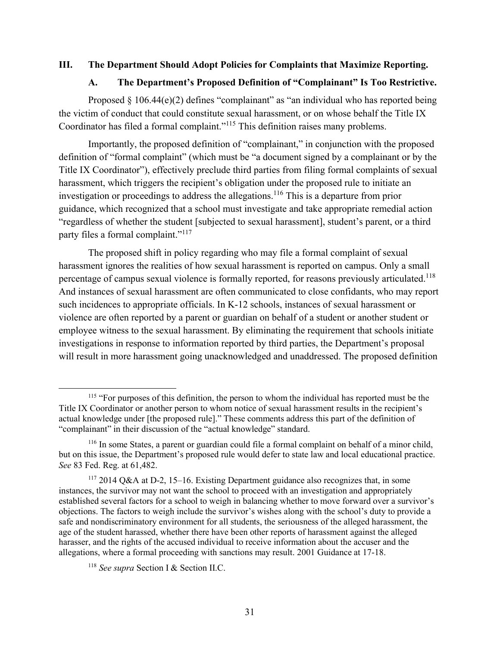#### **III. The Department Should Adopt Policies for Complaints that Maximize Reporting.**

#### **A. The Department's Proposed Definition of "Complainant" Is Too Restrictive.**

Proposed  $\S$  106.44(e)(2) defines "complainant" as "an individual who has reported being the victim of conduct that could constitute sexual harassment, or on whose behalf the Title IX Coordinator has filed a formal complaint."<sup>115</sup> This definition raises many problems.

Importantly, the proposed definition of "complainant," in conjunction with the proposed definition of "formal complaint" (which must be "a document signed by a complainant or by the Title IX Coordinator"), effectively preclude third parties from filing formal complaints of sexual harassment, which triggers the recipient's obligation under the proposed rule to initiate an investigation or proceedings to address the allegations.<sup>116</sup> This is a departure from prior guidance, which recognized that a school must investigate and take appropriate remedial action "regardless of whether the student [subjected to sexual harassment], student's parent, or a third party files a formal complaint."117

The proposed shift in policy regarding who may file a formal complaint of sexual harassment ignores the realities of how sexual harassment is reported on campus. Only a small percentage of campus sexual violence is formally reported, for reasons previously articulated.<sup>118</sup> And instances of sexual harassment are often communicated to close confidants, who may report such incidences to appropriate officials. In K-12 schools, instances of sexual harassment or violence are often reported by a parent or guardian on behalf of a student or another student or employee witness to the sexual harassment. By eliminating the requirement that schools initiate investigations in response to information reported by third parties, the Department's proposal will result in more harassment going unacknowledged and unaddressed. The proposed definition

<sup>&</sup>lt;sup>115</sup> "For purposes of this definition, the person to whom the individual has reported must be the Title IX Coordinator or another person to whom notice of sexual harassment results in the recipient's actual knowledge under [the proposed rule]." These comments address this part of the definition of "complainant" in their discussion of the "actual knowledge" standard.

<sup>116</sup> In some States, a parent or guardian could file a formal complaint on behalf of a minor child, but on this issue, the Department's proposed rule would defer to state law and local educational practice. *See* 83 Fed. Reg. at 61,482.

<sup>117</sup> 2014 Q&A at D-2, 15–16. Existing Department guidance also recognizes that, in some instances, the survivor may not want the school to proceed with an investigation and appropriately established several factors for a school to weigh in balancing whether to move forward over a survivor's objections. The factors to weigh include the survivor's wishes along with the school's duty to provide a safe and nondiscriminatory environment for all students, the seriousness of the alleged harassment, the age of the student harassed, whether there have been other reports of harassment against the alleged harasser, and the rights of the accused individual to receive information about the accuser and the allegations, where a formal proceeding with sanctions may result. 2001 Guidance at 17-18.

<sup>118</sup> *See supra* Section I & Section II.C.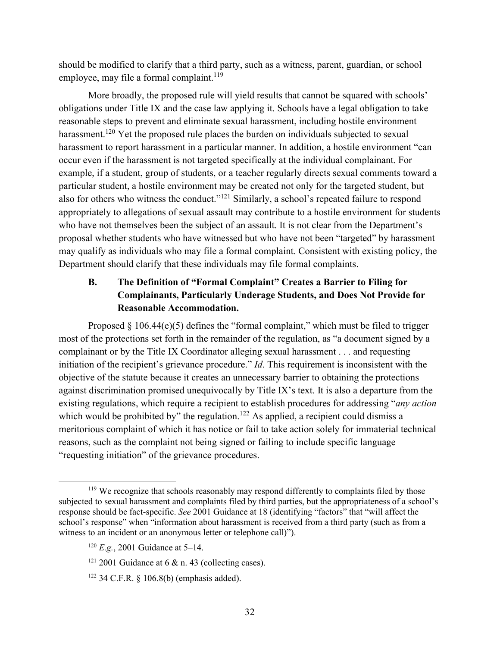should be modified to clarify that a third party, such as a witness, parent, guardian, or school employee, may file a formal complaint.<sup>119</sup>

More broadly, the proposed rule will yield results that cannot be squared with schools' obligations under Title IX and the case law applying it. Schools have a legal obligation to take reasonable steps to prevent and eliminate sexual harassment, including hostile environment harassment.<sup>120</sup> Yet the proposed rule places the burden on individuals subjected to sexual harassment to report harassment in a particular manner. In addition, a hostile environment "can occur even if the harassment is not targeted specifically at the individual complainant. For example, if a student, group of students, or a teacher regularly directs sexual comments toward a particular student, a hostile environment may be created not only for the targeted student, but also for others who witness the conduct."<sup>121</sup> Similarly, a school's repeated failure to respond appropriately to allegations of sexual assault may contribute to a hostile environment for students who have not themselves been the subject of an assault. It is not clear from the Department's proposal whether students who have witnessed but who have not been "targeted" by harassment may qualify as individuals who may file a formal complaint. Consistent with existing policy, the Department should clarify that these individuals may file formal complaints.

# **B. The Definition of "Formal Complaint" Creates a Barrier to Filing for Complainants, Particularly Underage Students, and Does Not Provide for Reasonable Accommodation.**

Proposed  $\S$  106.44(e)(5) defines the "formal complaint," which must be filed to trigger most of the protections set forth in the remainder of the regulation, as "a document signed by a complainant or by the Title IX Coordinator alleging sexual harassment . . . and requesting initiation of the recipient's grievance procedure." *Id*. This requirement is inconsistent with the objective of the statute because it creates an unnecessary barrier to obtaining the protections against discrimination promised unequivocally by Title IX's text. It is also a departure from the existing regulations, which require a recipient to establish procedures for addressing "*any action* which would be prohibited by" the regulation.<sup>122</sup> As applied, a recipient could dismiss a meritorious complaint of which it has notice or fail to take action solely for immaterial technical reasons, such as the complaint not being signed or failing to include specific language "requesting initiation" of the grievance procedures.

 $119$  We recognize that schools reasonably may respond differently to complaints filed by those subjected to sexual harassment and complaints filed by third parties, but the appropriateness of a school's response should be fact-specific. *See* 2001 Guidance at 18 (identifying "factors" that "will affect the school's response" when "information about harassment is received from a third party (such as from a witness to an incident or an anonymous letter or telephone call)").

<sup>120</sup> *E.g.*, 2001 Guidance at 5–14.

 $121$  2001 Guidance at 6 & n. 43 (collecting cases).

 $122$  34 C.F.R. § 106.8(b) (emphasis added).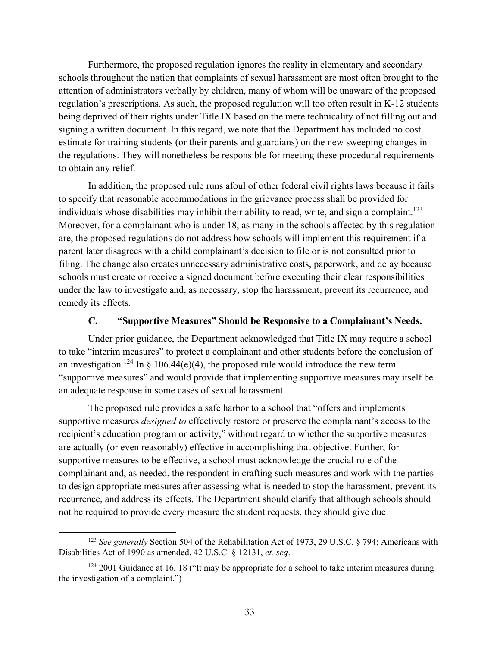Furthermore, the proposed regulation ignores the reality in elementary and secondary schools throughout the nation that complaints of sexual harassment are most often brought to the attention of administrators verbally by children, many of whom will be unaware of the proposed regulation's prescriptions. As such, the proposed regulation will too often result in K-12 students being deprived of their rights under Title IX based on the mere technicality of not filling out and signing a written document. In this regard, we note that the Department has included no cost estimate for training students (or their parents and guardians) on the new sweeping changes in the regulations. They will nonetheless be responsible for meeting these procedural requirements to obtain any relief.

In addition, the proposed rule runs afoul of other federal civil rights laws because it fails to specify that reasonable accommodations in the grievance process shall be provided for individuals whose disabilities may inhibit their ability to read, write, and sign a complaint.<sup>123</sup> Moreover, for a complainant who is under 18, as many in the schools affected by this regulation are, the proposed regulations do not address how schools will implement this requirement if a parent later disagrees with a child complainant's decision to file or is not consulted prior to filing. The change also creates unnecessary administrative costs, paperwork, and delay because schools must create or receive a signed document before executing their clear responsibilities under the law to investigate and, as necessary, stop the harassment, prevent its recurrence, and remedy its effects.

#### **C. "Supportive Measures" Should be Responsive to a Complainant's Needs.**

Under prior guidance, the Department acknowledged that Title IX may require a school to take "interim measures" to protect a complainant and other students before the conclusion of an investigation.<sup>124</sup> In  $\S$  106.44(e)(4), the proposed rule would introduce the new term "supportive measures" and would provide that implementing supportive measures may itself be an adequate response in some cases of sexual harassment.

The proposed rule provides a safe harbor to a school that "offers and implements supportive measures *designed to* effectively restore or preserve the complainant's access to the recipient's education program or activity," without regard to whether the supportive measures are actually (or even reasonably) effective in accomplishing that objective. Further, for supportive measures to be effective, a school must acknowledge the crucial role of the complainant and, as needed, the respondent in crafting such measures and work with the parties to design appropriate measures after assessing what is needed to stop the harassment, prevent its recurrence, and address its effects. The Department should clarify that although schools should not be required to provide every measure the student requests, they should give due

<sup>&</sup>lt;sup>123</sup> *See generally* Section 504 of the Rehabilitation Act of 1973, 29 U.S.C. § 794; Americans with Disabilities Act of 1990 as amended, 42 U.S.C. § 12131, *et. seq*.

 $124$  2001 Guidance at 16, 18 ("It may be appropriate for a school to take interim measures during the investigation of a complaint.")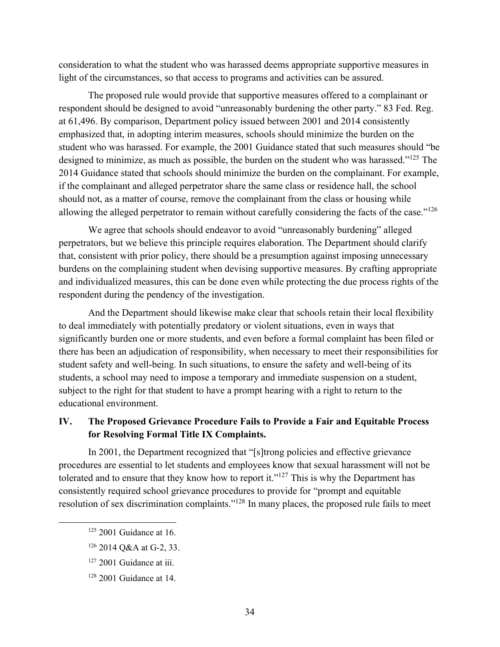consideration to what the student who was harassed deems appropriate supportive measures in light of the circumstances, so that access to programs and activities can be assured.

The proposed rule would provide that supportive measures offered to a complainant or respondent should be designed to avoid "unreasonably burdening the other party." 83 Fed. Reg. at 61,496. By comparison, Department policy issued between 2001 and 2014 consistently emphasized that, in adopting interim measures, schools should minimize the burden on the student who was harassed. For example, the 2001 Guidance stated that such measures should "be designed to minimize, as much as possible, the burden on the student who was harassed."<sup>125</sup> The 2014 Guidance stated that schools should minimize the burden on the complainant. For example, if the complainant and alleged perpetrator share the same class or residence hall, the school should not, as a matter of course, remove the complainant from the class or housing while allowing the alleged perpetrator to remain without carefully considering the facts of the case."<sup>126</sup>

We agree that schools should endeavor to avoid "unreasonably burdening" alleged perpetrators, but we believe this principle requires elaboration. The Department should clarify that, consistent with prior policy, there should be a presumption against imposing unnecessary burdens on the complaining student when devising supportive measures. By crafting appropriate and individualized measures, this can be done even while protecting the due process rights of the respondent during the pendency of the investigation.

And the Department should likewise make clear that schools retain their local flexibility to deal immediately with potentially predatory or violent situations, even in ways that significantly burden one or more students, and even before a formal complaint has been filed or there has been an adjudication of responsibility, when necessary to meet their responsibilities for student safety and well-being. In such situations, to ensure the safety and well-being of its students, a school may need to impose a temporary and immediate suspension on a student, subject to the right for that student to have a prompt hearing with a right to return to the educational environment.

### **IV. The Proposed Grievance Procedure Fails to Provide a Fair and Equitable Process for Resolving Formal Title IX Complaints.**

In 2001, the Department recognized that "[s]trong policies and effective grievance procedures are essential to let students and employees know that sexual harassment will not be tolerated and to ensure that they know how to report it."<sup>127</sup> This is why the Department has consistently required school grievance procedures to provide for "prompt and equitable resolution of sex discrimination complaints."128 In many places, the proposed rule fails to meet

 $125$  2001 Guidance at 16.

<sup>126</sup> 2014 Q&A at G-2, 33.

<sup>&</sup>lt;sup>127</sup> 2001 Guidance at iii.

<sup>128</sup> 2001 Guidance at 14.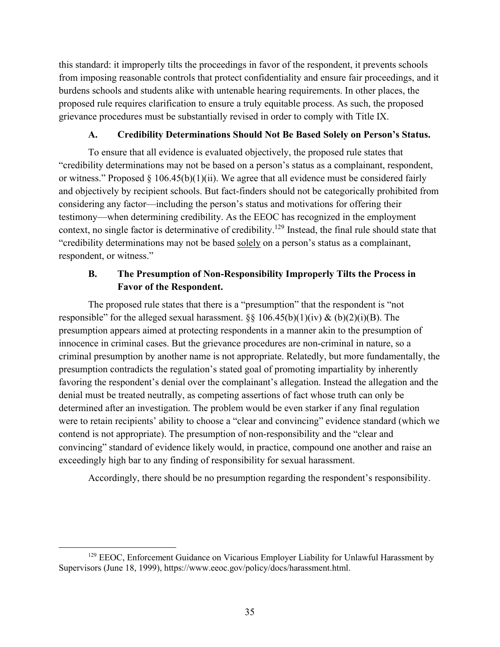this standard: it improperly tilts the proceedings in favor of the respondent, it prevents schools from imposing reasonable controls that protect confidentiality and ensure fair proceedings, and it burdens schools and students alike with untenable hearing requirements. In other places, the proposed rule requires clarification to ensure a truly equitable process. As such, the proposed grievance procedures must be substantially revised in order to comply with Title IX.

### **A. Credibility Determinations Should Not Be Based Solely on Person's Status.**

To ensure that all evidence is evaluated objectively, the proposed rule states that "credibility determinations may not be based on a person's status as a complainant, respondent, or witness." Proposed  $\S 106.45(b)(1)(ii)$ . We agree that all evidence must be considered fairly and objectively by recipient schools. But fact-finders should not be categorically prohibited from considering any factor—including the person's status and motivations for offering their testimony—when determining credibility. As the EEOC has recognized in the employment context, no single factor is determinative of credibility.129 Instead, the final rule should state that "credibility determinations may not be based solely on a person's status as a complainant, respondent, or witness."

# **B. The Presumption of Non-Responsibility Improperly Tilts the Process in Favor of the Respondent.**

The proposed rule states that there is a "presumption" that the respondent is "not responsible" for the alleged sexual harassment.  $\S$ § 106.45(b)(1)(iv) & (b)(2)(i)(B). The presumption appears aimed at protecting respondents in a manner akin to the presumption of innocence in criminal cases. But the grievance procedures are non-criminal in nature, so a criminal presumption by another name is not appropriate. Relatedly, but more fundamentally, the presumption contradicts the regulation's stated goal of promoting impartiality by inherently favoring the respondent's denial over the complainant's allegation. Instead the allegation and the denial must be treated neutrally, as competing assertions of fact whose truth can only be determined after an investigation. The problem would be even starker if any final regulation were to retain recipients' ability to choose a "clear and convincing" evidence standard (which we contend is not appropriate). The presumption of non-responsibility and the "clear and convincing" standard of evidence likely would, in practice, compound one another and raise an exceedingly high bar to any finding of responsibility for sexual harassment.

Accordingly, there should be no presumption regarding the respondent's responsibility.

<sup>&</sup>lt;sup>129</sup> EEOC, Enforcement Guidance on Vicarious Employer Liability for Unlawful Harassment by Supervisors (June 18, 1999), https://www.eeoc.gov/policy/docs/harassment.html.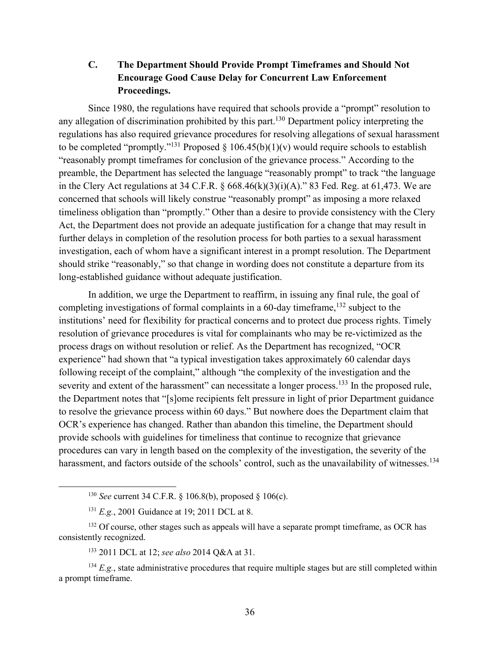**C. The Department Should Provide Prompt Timeframes and Should Not Encourage Good Cause Delay for Concurrent Law Enforcement Proceedings.**

Since 1980, the regulations have required that schools provide a "prompt" resolution to any allegation of discrimination prohibited by this part.<sup>130</sup> Department policy interpreting the regulations has also required grievance procedures for resolving allegations of sexual harassment to be completed "promptly."<sup>131</sup> Proposed  $\S$  106.45(b)(1)(v) would require schools to establish "reasonably prompt timeframes for conclusion of the grievance process." According to the preamble, the Department has selected the language "reasonably prompt" to track "the language in the Clery Act regulations at 34 C.F.R.  $\S$  668.46(k)(3)(i)(A)." 83 Fed. Reg. at 61,473. We are concerned that schools will likely construe "reasonably prompt" as imposing a more relaxed timeliness obligation than "promptly." Other than a desire to provide consistency with the Clery Act, the Department does not provide an adequate justification for a change that may result in further delays in completion of the resolution process for both parties to a sexual harassment investigation, each of whom have a significant interest in a prompt resolution. The Department should strike "reasonably," so that change in wording does not constitute a departure from its long-established guidance without adequate justification.

In addition, we urge the Department to reaffirm, in issuing any final rule, the goal of completing investigations of formal complaints in a 60-day timeframe,  $132$  subject to the institutions' need for flexibility for practical concerns and to protect due process rights. Timely resolution of grievance procedures is vital for complainants who may be re-victimized as the process drags on without resolution or relief. As the Department has recognized, "OCR experience" had shown that "a typical investigation takes approximately 60 calendar days following receipt of the complaint," although "the complexity of the investigation and the severity and extent of the harassment" can necessitate a longer process.<sup>133</sup> In the proposed rule, the Department notes that "[s]ome recipients felt pressure in light of prior Department guidance to resolve the grievance process within 60 days." But nowhere does the Department claim that OCR's experience has changed. Rather than abandon this timeline, the Department should provide schools with guidelines for timeliness that continue to recognize that grievance procedures can vary in length based on the complexity of the investigation, the severity of the harassment, and factors outside of the schools' control, such as the unavailability of witnesses.<sup>134</sup>

 <sup>130</sup> *See* current 34 C.F.R. § 106.8(b), proposed § 106(c).

<sup>131</sup> *E.g.*, 2001 Guidance at 19; 2011 DCL at 8.

 $132$  Of course, other stages such as appeals will have a separate prompt timeframe, as OCR has consistently recognized.

<sup>133</sup> 2011 DCL at 12; *see also* 2014 Q&A at 31.

 $134$  *E.g.*, state administrative procedures that require multiple stages but are still completed within a prompt timeframe.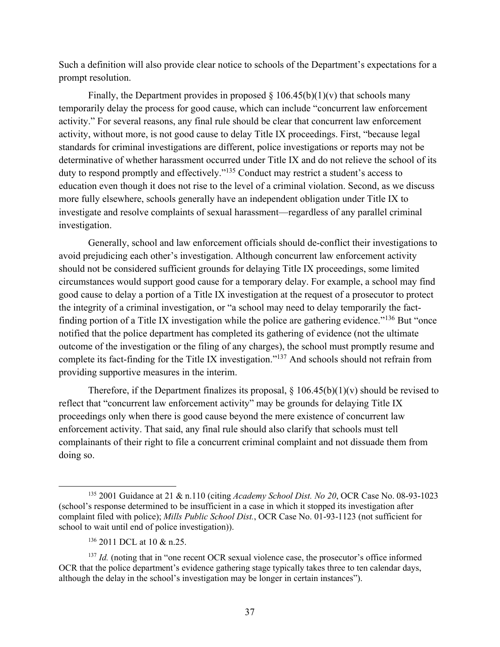Such a definition will also provide clear notice to schools of the Department's expectations for a prompt resolution.

Finally, the Department provides in proposed  $\S 106.45(b)(1)(v)$  that schools many temporarily delay the process for good cause, which can include "concurrent law enforcement activity." For several reasons, any final rule should be clear that concurrent law enforcement activity, without more, is not good cause to delay Title IX proceedings. First, "because legal standards for criminal investigations are different, police investigations or reports may not be determinative of whether harassment occurred under Title IX and do not relieve the school of its duty to respond promptly and effectively."<sup>135</sup> Conduct may restrict a student's access to education even though it does not rise to the level of a criminal violation. Second, as we discuss more fully elsewhere, schools generally have an independent obligation under Title IX to investigate and resolve complaints of sexual harassment—regardless of any parallel criminal investigation.

Generally, school and law enforcement officials should de-conflict their investigations to avoid prejudicing each other's investigation. Although concurrent law enforcement activity should not be considered sufficient grounds for delaying Title IX proceedings, some limited circumstances would support good cause for a temporary delay. For example, a school may find good cause to delay a portion of a Title IX investigation at the request of a prosecutor to protect the integrity of a criminal investigation, or "a school may need to delay temporarily the factfinding portion of a Title IX investigation while the police are gathering evidence."<sup>136</sup> But "once notified that the police department has completed its gathering of evidence (not the ultimate outcome of the investigation or the filing of any charges), the school must promptly resume and complete its fact-finding for the Title IX investigation."137 And schools should not refrain from providing supportive measures in the interim.

Therefore, if the Department finalizes its proposal,  $\S$  106.45(b)(1)(v) should be revised to reflect that "concurrent law enforcement activity" may be grounds for delaying Title IX proceedings only when there is good cause beyond the mere existence of concurrent law enforcement activity. That said, any final rule should also clarify that schools must tell complainants of their right to file a concurrent criminal complaint and not dissuade them from doing so.

 <sup>135</sup> 2001 Guidance at 21 & n.110 (citing *Academy School Dist. No 20*, OCR Case No. 08-93-1023 (school's response determined to be insufficient in a case in which it stopped its investigation after complaint filed with police); *Mills Public School Dist.*, OCR Case No. 01-93-1123 (not sufficient for school to wait until end of police investigation)).

<sup>136</sup> 2011 DCL at 10 & n.25.

<sup>&</sup>lt;sup>137</sup> *Id.* (noting that in "one recent OCR sexual violence case, the prosecutor's office informed OCR that the police department's evidence gathering stage typically takes three to ten calendar days, although the delay in the school's investigation may be longer in certain instances").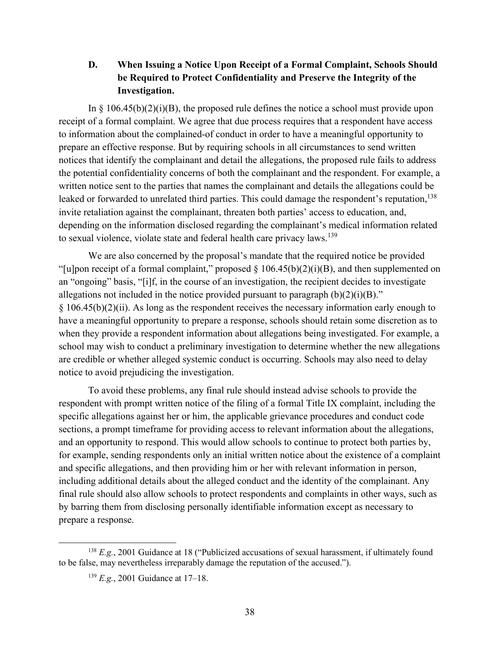**D. When Issuing a Notice Upon Receipt of a Formal Complaint, Schools Should be Required to Protect Confidentiality and Preserve the Integrity of the Investigation.**

In  $\S$  106.45(b)(2)(i)(B), the proposed rule defines the notice a school must provide upon receipt of a formal complaint. We agree that due process requires that a respondent have access to information about the complained-of conduct in order to have a meaningful opportunity to prepare an effective response. But by requiring schools in all circumstances to send written notices that identify the complainant and detail the allegations, the proposed rule fails to address the potential confidentiality concerns of both the complainant and the respondent. For example, a written notice sent to the parties that names the complainant and details the allegations could be leaked or forwarded to unrelated third parties. This could damage the respondent's reputation,<sup>138</sup> invite retaliation against the complainant, threaten both parties' access to education, and, depending on the information disclosed regarding the complainant's medical information related to sexual violence, violate state and federal health care privacy laws.<sup>139</sup>

We are also concerned by the proposal's mandate that the required notice be provided "[u]pon receipt of a formal complaint," proposed  $\S$  106.45(b)(2)(i)(B), and then supplemented on an "ongoing" basis, "[i]f, in the course of an investigation, the recipient decides to investigate allegations not included in the notice provided pursuant to paragraph  $(b)(2)(i)(B)$ ." § 106.45(b)(2)(ii). As long as the respondent receives the necessary information early enough to have a meaningful opportunity to prepare a response, schools should retain some discretion as to when they provide a respondent information about allegations being investigated. For example, a school may wish to conduct a preliminary investigation to determine whether the new allegations are credible or whether alleged systemic conduct is occurring. Schools may also need to delay notice to avoid prejudicing the investigation.

To avoid these problems, any final rule should instead advise schools to provide the respondent with prompt written notice of the filing of a formal Title IX complaint, including the specific allegations against her or him, the applicable grievance procedures and conduct code sections, a prompt timeframe for providing access to relevant information about the allegations, and an opportunity to respond. This would allow schools to continue to protect both parties by, for example, sending respondents only an initial written notice about the existence of a complaint and specific allegations, and then providing him or her with relevant information in person, including additional details about the alleged conduct and the identity of the complainant. Any final rule should also allow schools to protect respondents and complaints in other ways, such as by barring them from disclosing personally identifiable information except as necessary to prepare a response.

 <sup>138</sup> *E.g.*, 2001 Guidance at 18 ("Publicized accusations of sexual harassment, if ultimately found to be false, may nevertheless irreparably damage the reputation of the accused.").

<sup>139</sup> *E.g.*, 2001 Guidance at 17–18.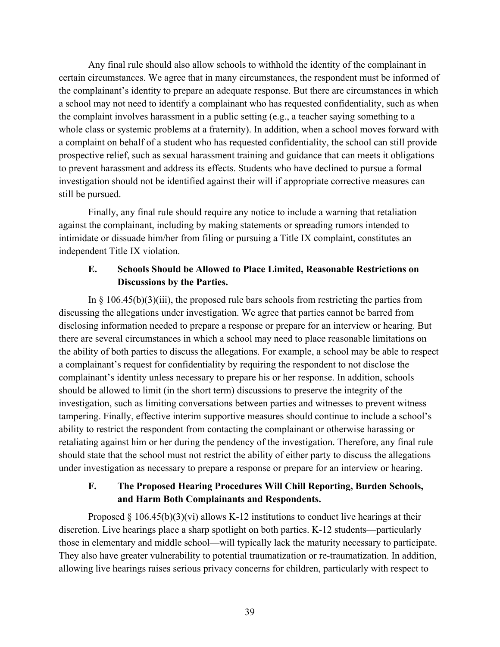Any final rule should also allow schools to withhold the identity of the complainant in certain circumstances. We agree that in many circumstances, the respondent must be informed of the complainant's identity to prepare an adequate response. But there are circumstances in which a school may not need to identify a complainant who has requested confidentiality, such as when the complaint involves harassment in a public setting (e.g., a teacher saying something to a whole class or systemic problems at a fraternity). In addition, when a school moves forward with a complaint on behalf of a student who has requested confidentiality, the school can still provide prospective relief, such as sexual harassment training and guidance that can meets it obligations to prevent harassment and address its effects. Students who have declined to pursue a formal investigation should not be identified against their will if appropriate corrective measures can still be pursued.

Finally, any final rule should require any notice to include a warning that retaliation against the complainant, including by making statements or spreading rumors intended to intimidate or dissuade him/her from filing or pursuing a Title IX complaint, constitutes an independent Title IX violation.

## **E. Schools Should be Allowed to Place Limited, Reasonable Restrictions on Discussions by the Parties.**

In  $\S$  106.45(b)(3)(iii), the proposed rule bars schools from restricting the parties from discussing the allegations under investigation. We agree that parties cannot be barred from disclosing information needed to prepare a response or prepare for an interview or hearing. But there are several circumstances in which a school may need to place reasonable limitations on the ability of both parties to discuss the allegations. For example, a school may be able to respect a complainant's request for confidentiality by requiring the respondent to not disclose the complainant's identity unless necessary to prepare his or her response. In addition, schools should be allowed to limit (in the short term) discussions to preserve the integrity of the investigation, such as limiting conversations between parties and witnesses to prevent witness tampering. Finally, effective interim supportive measures should continue to include a school's ability to restrict the respondent from contacting the complainant or otherwise harassing or retaliating against him or her during the pendency of the investigation. Therefore, any final rule should state that the school must not restrict the ability of either party to discuss the allegations under investigation as necessary to prepare a response or prepare for an interview or hearing.

# **F. The Proposed Hearing Procedures Will Chill Reporting, Burden Schools, and Harm Both Complainants and Respondents.**

Proposed  $\S 106.45(b)(3)(vi)$  allows K-12 institutions to conduct live hearings at their discretion. Live hearings place a sharp spotlight on both parties. K-12 students—particularly those in elementary and middle school—will typically lack the maturity necessary to participate. They also have greater vulnerability to potential traumatization or re-traumatization. In addition, allowing live hearings raises serious privacy concerns for children, particularly with respect to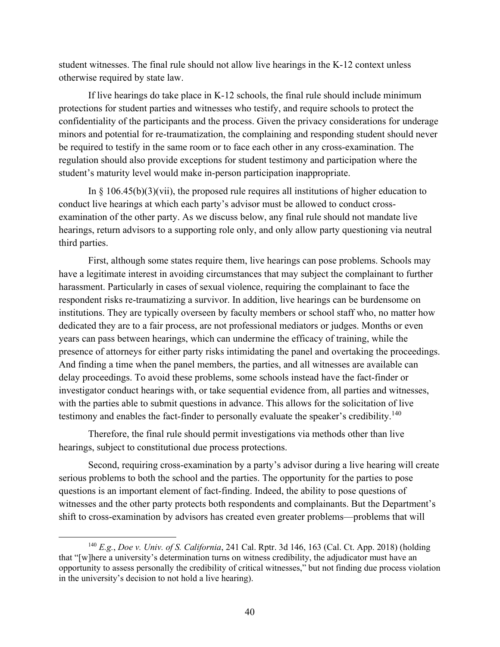student witnesses. The final rule should not allow live hearings in the K-12 context unless otherwise required by state law.

If live hearings do take place in K-12 schools, the final rule should include minimum protections for student parties and witnesses who testify, and require schools to protect the confidentiality of the participants and the process. Given the privacy considerations for underage minors and potential for re-traumatization, the complaining and responding student should never be required to testify in the same room or to face each other in any cross-examination. The regulation should also provide exceptions for student testimony and participation where the student's maturity level would make in-person participation inappropriate.

In  $\S$  106.45(b)(3)(vii), the proposed rule requires all institutions of higher education to conduct live hearings at which each party's advisor must be allowed to conduct crossexamination of the other party. As we discuss below, any final rule should not mandate live hearings, return advisors to a supporting role only, and only allow party questioning via neutral third parties.

First, although some states require them, live hearings can pose problems. Schools may have a legitimate interest in avoiding circumstances that may subject the complainant to further harassment. Particularly in cases of sexual violence, requiring the complainant to face the respondent risks re-traumatizing a survivor. In addition, live hearings can be burdensome on institutions. They are typically overseen by faculty members or school staff who, no matter how dedicated they are to a fair process, are not professional mediators or judges. Months or even years can pass between hearings, which can undermine the efficacy of training, while the presence of attorneys for either party risks intimidating the panel and overtaking the proceedings. And finding a time when the panel members, the parties, and all witnesses are available can delay proceedings. To avoid these problems, some schools instead have the fact-finder or investigator conduct hearings with, or take sequential evidence from, all parties and witnesses, with the parties able to submit questions in advance. This allows for the solicitation of live testimony and enables the fact-finder to personally evaluate the speaker's credibility.<sup>140</sup>

Therefore, the final rule should permit investigations via methods other than live hearings, subject to constitutional due process protections.

Second, requiring cross-examination by a party's advisor during a live hearing will create serious problems to both the school and the parties. The opportunity for the parties to pose questions is an important element of fact-finding. Indeed, the ability to pose questions of witnesses and the other party protects both respondents and complainants. But the Department's shift to cross-examination by advisors has created even greater problems—problems that will

 <sup>140</sup> *E.g.*, *Doe v. Univ. of S. California*, 241 Cal. Rptr. 3d 146, 163 (Cal. Ct. App. 2018) (holding that "[w]here a university's determination turns on witness credibility, the adjudicator must have an opportunity to assess personally the credibility of critical witnesses," but not finding due process violation in the university's decision to not hold a live hearing).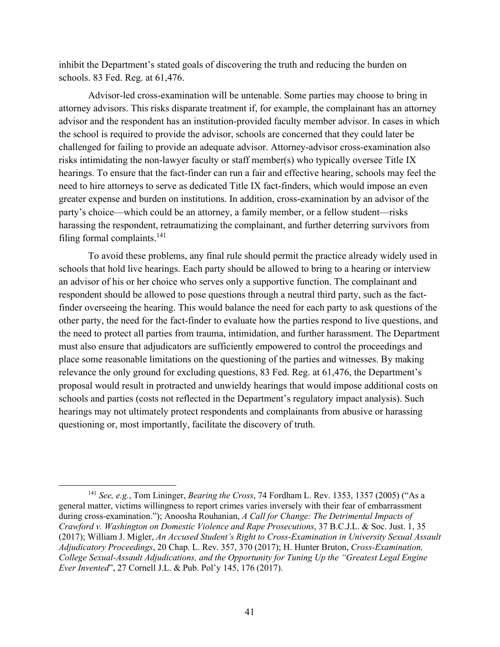inhibit the Department's stated goals of discovering the truth and reducing the burden on schools. 83 Fed. Reg. at 61,476.

Advisor-led cross-examination will be untenable. Some parties may choose to bring in attorney advisors. This risks disparate treatment if, for example, the complainant has an attorney advisor and the respondent has an institution-provided faculty member advisor. In cases in which the school is required to provide the advisor, schools are concerned that they could later be challenged for failing to provide an adequate advisor. Attorney-advisor cross-examination also risks intimidating the non-lawyer faculty or staff member(s) who typically oversee Title IX hearings. To ensure that the fact-finder can run a fair and effective hearing, schools may feel the need to hire attorneys to serve as dedicated Title IX fact-finders, which would impose an even greater expense and burden on institutions. In addition, cross-examination by an advisor of the party's choice—which could be an attorney, a family member, or a fellow student—risks harassing the respondent, retraumatizing the complainant, and further deterring survivors from filing formal complaints. $141$ 

To avoid these problems, any final rule should permit the practice already widely used in schools that hold live hearings. Each party should be allowed to bring to a hearing or interview an advisor of his or her choice who serves only a supportive function. The complainant and respondent should be allowed to pose questions through a neutral third party, such as the factfinder overseeing the hearing. This would balance the need for each party to ask questions of the other party, the need for the fact-finder to evaluate how the parties respond to live questions, and the need to protect all parties from trauma, intimidation, and further harassment. The Department must also ensure that adjudicators are sufficiently empowered to control the proceedings and place some reasonable limitations on the questioning of the parties and witnesses. By making relevance the only ground for excluding questions, 83 Fed. Reg. at 61,476, the Department's proposal would result in protracted and unwieldy hearings that would impose additional costs on schools and parties (costs not reflected in the Department's regulatory impact analysis). Such hearings may not ultimately protect respondents and complainants from abusive or harassing questioning or, most importantly, facilitate the discovery of truth.

 <sup>141</sup> *See, e.g.*, Tom Lininger, *Bearing the Cross*, 74 Fordham L. Rev. 1353, 1357 (2005) ("As a general matter, victims willingness to report crimes varies inversely with their fear of embarrassment during cross-examination."); Anoosha Rouhanian, *A Call for Change: The Detrimental Impacts of Crawford v. Washington on Domestic Violence and Rape Prosecutions*, 37 B.C.J.L. & Soc. Just. 1, 35 (2017); William J. Migler, *An Accused Student's Right to Cross-Examination in University Sexual Assault Adjudicatory Proceedings*, 20 Chap. L. Rev. 357, 370 (2017); H. Hunter Bruton, *Cross-Examination, College Sexual-Assault Adjudications, and the Opportunity for Tuning Up the "Greatest Legal Engine Ever Invented*", 27 Cornell J.L. & Pub. Pol'y 145, 176 (2017).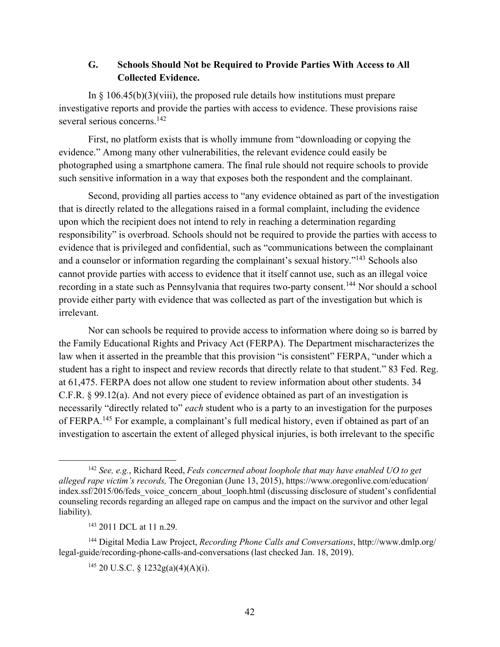### **G. Schools Should Not be Required to Provide Parties With Access to All Collected Evidence.**

In  $\S$  106.45(b)(3)(viii), the proposed rule details how institutions must prepare investigative reports and provide the parties with access to evidence. These provisions raise several serious concerns.<sup>142</sup>

First, no platform exists that is wholly immune from "downloading or copying the evidence." Among many other vulnerabilities, the relevant evidence could easily be photographed using a smartphone camera. The final rule should not require schools to provide such sensitive information in a way that exposes both the respondent and the complainant.

Second, providing all parties access to "any evidence obtained as part of the investigation that is directly related to the allegations raised in a formal complaint, including the evidence upon which the recipient does not intend to rely in reaching a determination regarding responsibility" is overbroad. Schools should not be required to provide the parties with access to evidence that is privileged and confidential, such as "communications between the complainant and a counselor or information regarding the complainant's sexual history."<sup>143</sup> Schools also cannot provide parties with access to evidence that it itself cannot use, such as an illegal voice recording in a state such as Pennsylvania that requires two-party consent.<sup>144</sup> Nor should a school provide either party with evidence that was collected as part of the investigation but which is irrelevant.

Nor can schools be required to provide access to information where doing so is barred by the Family Educational Rights and Privacy Act (FERPA). The Department mischaracterizes the law when it asserted in the preamble that this provision "is consistent" FERPA, "under which a student has a right to inspect and review records that directly relate to that student." 83 Fed. Reg. at 61,475. FERPA does not allow one student to review information about other students. 34 C.F.R. § 99.12(a). And not every piece of evidence obtained as part of an investigation is necessarily "directly related to" *each* student who is a party to an investigation for the purposes of FERPA.<sup>145</sup> For example, a complainant's full medical history, even if obtained as part of an investigation to ascertain the extent of alleged physical injuries, is both irrelevant to the specific

 <sup>142</sup> *See, e.g.*, Richard Reed, *Feds concerned about loophole that may have enabled UO to get alleged rape victim's records,* The Oregonian (June 13, 2015), https://www.oregonlive.com/education/ index.ssf/2015/06/feds\_voice\_concern\_about\_looph.html (discussing disclosure of student's confidential counseling records regarding an alleged rape on campus and the impact on the survivor and other legal liability).

<sup>143</sup> 2011 DCL at 11 n.29.

<sup>144</sup> Digital Media Law Project, *Recording Phone Calls and Conversations*, http://www.dmlp.org/ legal-guide/recording-phone-calls-and-conversations (last checked Jan. 18, 2019).

<sup>&</sup>lt;sup>145</sup> 20 U.S.C. § 1232g(a)(4)(A)(i).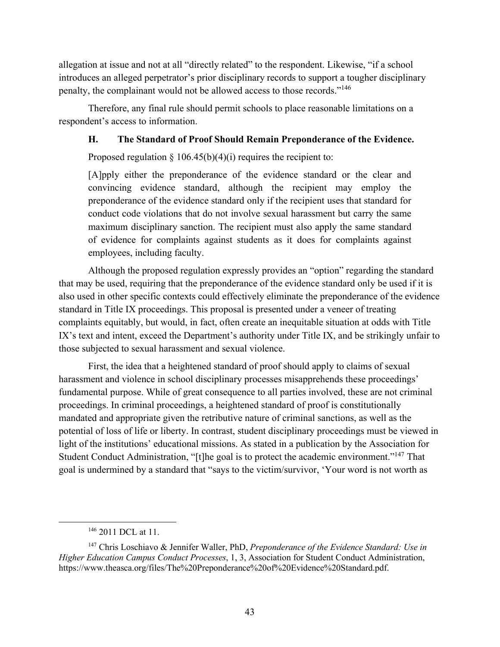allegation at issue and not at all "directly related" to the respondent. Likewise, "if a school introduces an alleged perpetrator's prior disciplinary records to support a tougher disciplinary penalty, the complainant would not be allowed access to those records."<sup>146</sup>

Therefore, any final rule should permit schools to place reasonable limitations on a respondent's access to information.

### **H. The Standard of Proof Should Remain Preponderance of the Evidence.**

Proposed regulation  $\S 106.45(b)(4)(i)$  requires the recipient to:

[A]pply either the preponderance of the evidence standard or the clear and convincing evidence standard, although the recipient may employ the preponderance of the evidence standard only if the recipient uses that standard for conduct code violations that do not involve sexual harassment but carry the same maximum disciplinary sanction. The recipient must also apply the same standard of evidence for complaints against students as it does for complaints against employees, including faculty.

Although the proposed regulation expressly provides an "option" regarding the standard that may be used, requiring that the preponderance of the evidence standard only be used if it is also used in other specific contexts could effectively eliminate the preponderance of the evidence standard in Title IX proceedings. This proposal is presented under a veneer of treating complaints equitably, but would, in fact, often create an inequitable situation at odds with Title IX's text and intent, exceed the Department's authority under Title IX, and be strikingly unfair to those subjected to sexual harassment and sexual violence.

First, the idea that a heightened standard of proof should apply to claims of sexual harassment and violence in school disciplinary processes misapprehends these proceedings' fundamental purpose. While of great consequence to all parties involved, these are not criminal proceedings. In criminal proceedings, a heightened standard of proof is constitutionally mandated and appropriate given the retributive nature of criminal sanctions, as well as the potential of loss of life or liberty. In contrast, student disciplinary proceedings must be viewed in light of the institutions' educational missions. As stated in a publication by the Association for Student Conduct Administration, "[t]he goal is to protect the academic environment."<sup>147</sup> That goal is undermined by a standard that "says to the victim/survivor, 'Your word is not worth as

<sup>&</sup>lt;sup>146</sup> 2011 DCL at 11.

<sup>147</sup> Chris Loschiavo & Jennifer Waller, PhD, *Preponderance of the Evidence Standard: Use in Higher Education Campus Conduct Processes*, 1, 3, Association for Student Conduct Administration, https://www.theasca.org/files/The%20Preponderance%20of%20Evidence%20Standard.pdf.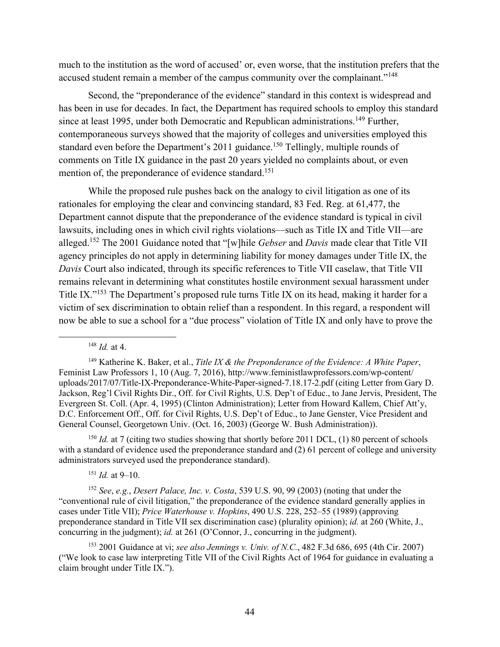much to the institution as the word of accused' or, even worse, that the institution prefers that the accused student remain a member of the campus community over the complainant."<sup>148</sup>

Second, the "preponderance of the evidence" standard in this context is widespread and has been in use for decades. In fact, the Department has required schools to employ this standard since at least 1995, under both Democratic and Republican administrations.<sup>149</sup> Further, contemporaneous surveys showed that the majority of colleges and universities employed this standard even before the Department's 2011 guidance.<sup>150</sup> Tellingly, multiple rounds of comments on Title IX guidance in the past 20 years yielded no complaints about, or even mention of, the preponderance of evidence standard.<sup>151</sup>

While the proposed rule pushes back on the analogy to civil litigation as one of its rationales for employing the clear and convincing standard, 83 Fed. Reg. at 61,477, the Department cannot dispute that the preponderance of the evidence standard is typical in civil lawsuits, including ones in which civil rights violations—such as Title IX and Title VII—are alleged.<sup>152</sup> The 2001 Guidance noted that "[w]hile *Gebser* and *Davis* made clear that Title VII agency principles do not apply in determining liability for money damages under Title IX, the *Davis* Court also indicated, through its specific references to Title VII caselaw, that Title VII remains relevant in determining what constitutes hostile environment sexual harassment under Title IX."<sup>153</sup> The Department's proposed rule turns Title IX on its head, making it harder for a victim of sex discrimination to obtain relief than a respondent. In this regard, a respondent will now be able to sue a school for a "due process" violation of Title IX and only have to prove the

148 *Id.* at 4.

<sup>150</sup> *Id.* at 7 (citing two studies showing that shortly before 2011 DCL, (1) 80 percent of schools with a standard of evidence used the preponderance standard and (2) 61 percent of college and university administrators surveyed used the preponderance standard).

<sup>151</sup> *Id.* at 9–10.

<sup>152</sup> *See*, *e.g.*, *Desert Palace, Inc. v. Costa*, 539 U.S. 90, 99 (2003) (noting that under the "conventional rule of civil litigation," the preponderance of the evidence standard generally applies in cases under Title VII); *Price Waterhouse v. Hopkins*, 490 U.S. 228, 252–55 (1989) (approving preponderance standard in Title VII sex discrimination case) (plurality opinion); *id.* at 260 (White, J., concurring in the judgment); *id.* at 261 (O'Connor, J., concurring in the judgment).

<sup>153</sup> 2001 Guidance at vi; *see also Jennings v. Univ. of N.C.*, 482 F.3d 686, 695 (4th Cir. 2007) ("We look to case law interpreting Title VII of the Civil Rights Act of 1964 for guidance in evaluating a claim brought under Title IX.").

<sup>149</sup> Katherine K. Baker, et al., *Title IX & the Preponderance of the Evidence: A White Paper*, Feminist Law Professors 1, 10 (Aug. 7, 2016), http://www.feministlawprofessors.com/wp-content/ uploads/2017/07/Title-IX-Preponderance-White-Paper-signed-7.18.17-2.pdf (citing Letter from Gary D. Jackson, Reg'l Civil Rights Dir., Off. for Civil Rights, U.S. Dep't of Educ., to Jane Jervis, President, The Evergreen St. Coll. (Apr. 4, 1995) (Clinton Administration); Letter from Howard Kallem, Chief Att'y, D.C. Enforcement Off., Off. for Civil Rights, U.S. Dep't of Educ., to Jane Genster, Vice President and General Counsel, Georgetown Univ. (Oct. 16, 2003) (George W. Bush Administration)).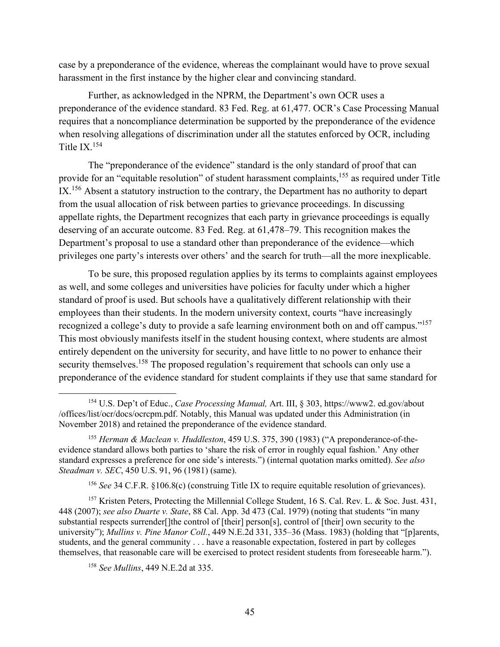case by a preponderance of the evidence, whereas the complainant would have to prove sexual harassment in the first instance by the higher clear and convincing standard.

Further, as acknowledged in the NPRM, the Department's own OCR uses a preponderance of the evidence standard. 83 Fed. Reg. at 61,477. OCR's Case Processing Manual requires that a noncompliance determination be supported by the preponderance of the evidence when resolving allegations of discrimination under all the statutes enforced by OCR, including Title IX.154

The "preponderance of the evidence" standard is the only standard of proof that can provide for an "equitable resolution" of student harassment complaints,<sup>155</sup> as required under Title IX.<sup>156</sup> Absent a statutory instruction to the contrary, the Department has no authority to depart from the usual allocation of risk between parties to grievance proceedings. In discussing appellate rights, the Department recognizes that each party in grievance proceedings is equally deserving of an accurate outcome. 83 Fed. Reg. at 61,478–79. This recognition makes the Department's proposal to use a standard other than preponderance of the evidence—which privileges one party's interests over others' and the search for truth—all the more inexplicable.

To be sure, this proposed regulation applies by its terms to complaints against employees as well, and some colleges and universities have policies for faculty under which a higher standard of proof is used. But schools have a qualitatively different relationship with their employees than their students. In the modern university context, courts "have increasingly recognized a college's duty to provide a safe learning environment both on and off campus."<sup>157</sup> This most obviously manifests itself in the student housing context, where students are almost entirely dependent on the university for security, and have little to no power to enhance their security themselves.<sup>158</sup> The proposed regulation's requirement that schools can only use a preponderance of the evidence standard for student complaints if they use that same standard for

 <sup>154</sup> U.S. Dep't of Educ., *Case Processing Manual,* Art. III, § 303, https://www2. ed.gov/about /offices/list/ocr/docs/ocrcpm.pdf. Notably, this Manual was updated under this Administration (in November 2018) and retained the preponderance of the evidence standard.

<sup>155</sup> *Herman & Maclean v. Huddleston*, 459 U.S. 375, 390 (1983) ("A preponderance-of-theevidence standard allows both parties to 'share the risk of error in roughly equal fashion.' Any other standard expresses a preference for one side's interests.") (internal quotation marks omitted). *See also Steadman v. SEC*, 450 U.S. 91, 96 (1981) (same).

<sup>156</sup> *See* 34 C.F.R. §106.8(c) (construing Title IX to require equitable resolution of grievances).

<sup>&</sup>lt;sup>157</sup> Kristen Peters, Protecting the Millennial College Student, 16 S. Cal. Rev. L. & Soc. Just. 431, 448 (2007); *see also Duarte v. State*, 88 Cal. App. 3d 473 (Cal. 1979) (noting that students "in many substantial respects surrender[]the control of [their] person[s], control of [their] own security to the university"); *Mullins v. Pine Manor Coll.*, 449 N.E.2d 331, 335–36 (Mass. 1983) (holding that "[p]arents, students, and the general community . . . have a reasonable expectation, fostered in part by colleges themselves, that reasonable care will be exercised to protect resident students from foreseeable harm.").

<sup>158</sup> *See Mullins*, 449 N.E.2d at 335.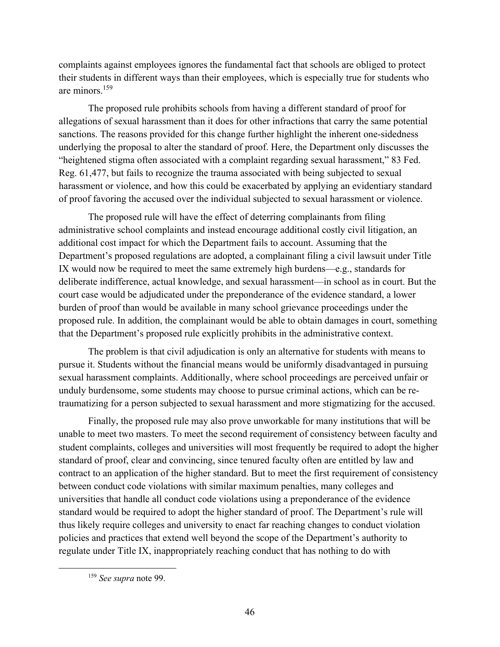complaints against employees ignores the fundamental fact that schools are obliged to protect their students in different ways than their employees, which is especially true for students who are minors.<sup>159</sup>

The proposed rule prohibits schools from having a different standard of proof for allegations of sexual harassment than it does for other infractions that carry the same potential sanctions. The reasons provided for this change further highlight the inherent one-sidedness underlying the proposal to alter the standard of proof. Here, the Department only discusses the "heightened stigma often associated with a complaint regarding sexual harassment," 83 Fed. Reg. 61,477, but fails to recognize the trauma associated with being subjected to sexual harassment or violence, and how this could be exacerbated by applying an evidentiary standard of proof favoring the accused over the individual subjected to sexual harassment or violence.

The proposed rule will have the effect of deterring complainants from filing administrative school complaints and instead encourage additional costly civil litigation, an additional cost impact for which the Department fails to account. Assuming that the Department's proposed regulations are adopted, a complainant filing a civil lawsuit under Title IX would now be required to meet the same extremely high burdens—e.g., standards for deliberate indifference, actual knowledge, and sexual harassment—in school as in court. But the court case would be adjudicated under the preponderance of the evidence standard, a lower burden of proof than would be available in many school grievance proceedings under the proposed rule. In addition, the complainant would be able to obtain damages in court, something that the Department's proposed rule explicitly prohibits in the administrative context.

The problem is that civil adjudication is only an alternative for students with means to pursue it. Students without the financial means would be uniformly disadvantaged in pursuing sexual harassment complaints. Additionally, where school proceedings are perceived unfair or unduly burdensome, some students may choose to pursue criminal actions, which can be retraumatizing for a person subjected to sexual harassment and more stigmatizing for the accused.

Finally, the proposed rule may also prove unworkable for many institutions that will be unable to meet two masters. To meet the second requirement of consistency between faculty and student complaints, colleges and universities will most frequently be required to adopt the higher standard of proof, clear and convincing, since tenured faculty often are entitled by law and contract to an application of the higher standard. But to meet the first requirement of consistency between conduct code violations with similar maximum penalties, many colleges and universities that handle all conduct code violations using a preponderance of the evidence standard would be required to adopt the higher standard of proof. The Department's rule will thus likely require colleges and university to enact far reaching changes to conduct violation policies and practices that extend well beyond the scope of the Department's authority to regulate under Title IX, inappropriately reaching conduct that has nothing to do with

 <sup>159</sup> *See supra* note 99.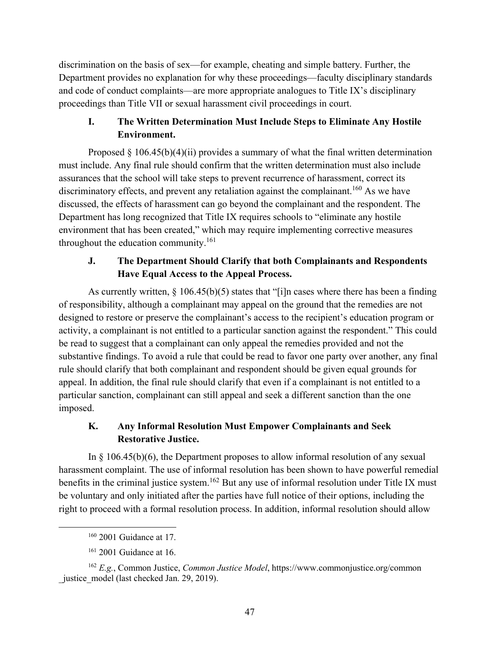discrimination on the basis of sex—for example, cheating and simple battery. Further, the Department provides no explanation for why these proceedings—faculty disciplinary standards and code of conduct complaints—are more appropriate analogues to Title IX's disciplinary proceedings than Title VII or sexual harassment civil proceedings in court.

# **I. The Written Determination Must Include Steps to Eliminate Any Hostile Environment.**

Proposed  $§$  106.45(b)(4)(ii) provides a summary of what the final written determination must include. Any final rule should confirm that the written determination must also include assurances that the school will take steps to prevent recurrence of harassment, correct its discriminatory effects, and prevent any retaliation against the complainant.<sup>160</sup> As we have discussed, the effects of harassment can go beyond the complainant and the respondent. The Department has long recognized that Title IX requires schools to "eliminate any hostile environment that has been created," which may require implementing corrective measures throughout the education community. $161$ 

# **J. The Department Should Clarify that both Complainants and Respondents Have Equal Access to the Appeal Process.**

As currently written,  $\S$  106.45(b)(5) states that "[i]n cases where there has been a finding of responsibility, although a complainant may appeal on the ground that the remedies are not designed to restore or preserve the complainant's access to the recipient's education program or activity, a complainant is not entitled to a particular sanction against the respondent." This could be read to suggest that a complainant can only appeal the remedies provided and not the substantive findings. To avoid a rule that could be read to favor one party over another, any final rule should clarify that both complainant and respondent should be given equal grounds for appeal. In addition, the final rule should clarify that even if a complainant is not entitled to a particular sanction, complainant can still appeal and seek a different sanction than the one imposed.

# **K. Any Informal Resolution Must Empower Complainants and Seek Restorative Justice.**

In § 106.45(b)(6), the Department proposes to allow informal resolution of any sexual harassment complaint. The use of informal resolution has been shown to have powerful remedial benefits in the criminal justice system.<sup>162</sup> But any use of informal resolution under Title IX must be voluntary and only initiated after the parties have full notice of their options, including the right to proceed with a formal resolution process. In addition, informal resolution should allow

<sup>&</sup>lt;sup>160</sup> 2001 Guidance at 17.

<sup>&</sup>lt;sup>161</sup> 2001 Guidance at 16.

<sup>162</sup> *E.g.*, Common Justice, *Common Justice Model*, https://www.commonjustice.org/common justice model (last checked Jan. 29, 2019).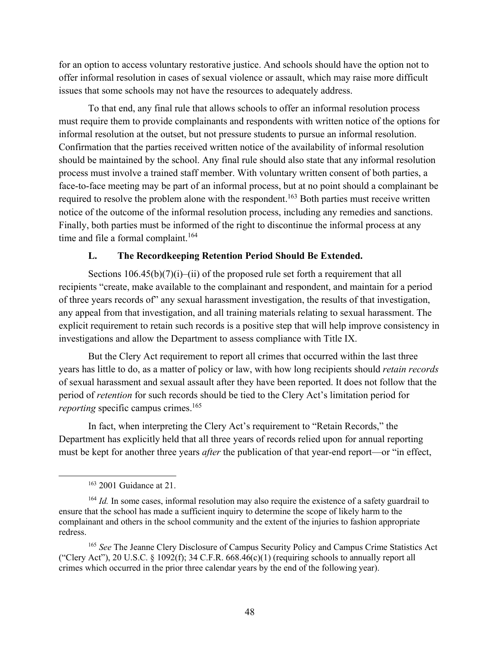for an option to access voluntary restorative justice. And schools should have the option not to offer informal resolution in cases of sexual violence or assault, which may raise more difficult issues that some schools may not have the resources to adequately address.

To that end, any final rule that allows schools to offer an informal resolution process must require them to provide complainants and respondents with written notice of the options for informal resolution at the outset, but not pressure students to pursue an informal resolution. Confirmation that the parties received written notice of the availability of informal resolution should be maintained by the school. Any final rule should also state that any informal resolution process must involve a trained staff member. With voluntary written consent of both parties, a face-to-face meeting may be part of an informal process, but at no point should a complainant be required to resolve the problem alone with the respondent.<sup>163</sup> Both parties must receive written notice of the outcome of the informal resolution process, including any remedies and sanctions. Finally, both parties must be informed of the right to discontinue the informal process at any time and file a formal complaint.<sup>164</sup>

#### **L. The Recordkeeping Retention Period Should Be Extended.**

Sections  $106.45(b)(7)(i)$ –(ii) of the proposed rule set forth a requirement that all recipients "create, make available to the complainant and respondent, and maintain for a period of three years records of" any sexual harassment investigation, the results of that investigation, any appeal from that investigation, and all training materials relating to sexual harassment. The explicit requirement to retain such records is a positive step that will help improve consistency in investigations and allow the Department to assess compliance with Title IX.

But the Clery Act requirement to report all crimes that occurred within the last three years has little to do, as a matter of policy or law, with how long recipients should *retain records* of sexual harassment and sexual assault after they have been reported. It does not follow that the period of *retention* for such records should be tied to the Clery Act's limitation period for *reporting* specific campus crimes.<sup>165</sup>

In fact, when interpreting the Clery Act's requirement to "Retain Records," the Department has explicitly held that all three years of records relied upon for annual reporting must be kept for another three years *after* the publication of that year-end report—or "in effect,

<sup>165</sup> *See* The Jeanne Clery Disclosure of Campus Security Policy and Campus Crime Statistics Act ("Clery Act"), 20 U.S.C. § 1092(f); 34 C.F.R.  $668.46(c)(1)$  (requiring schools to annually report all crimes which occurred in the prior three calendar years by the end of the following year).

 <sup>163</sup> 2001 Guidance at 21.

<sup>&</sup>lt;sup>164</sup> *Id.* In some cases, informal resolution may also require the existence of a safety guardrail to ensure that the school has made a sufficient inquiry to determine the scope of likely harm to the complainant and others in the school community and the extent of the injuries to fashion appropriate redress.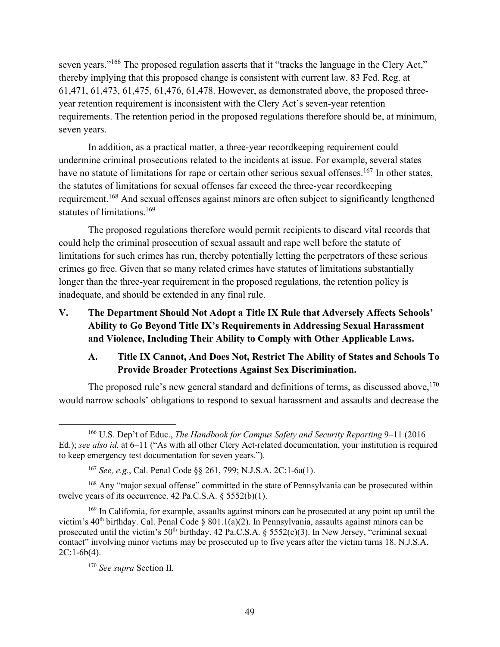seven years."<sup>166</sup> The proposed regulation asserts that it "tracks the language in the Clery Act," thereby implying that this proposed change is consistent with current law. 83 Fed. Reg. at 61,471, 61,473, 61,475, 61,476, 61,478. However, as demonstrated above, the proposed threeyear retention requirement is inconsistent with the Clery Act's seven-year retention requirements. The retention period in the proposed regulations therefore should be, at minimum, seven years.

In addition, as a practical matter, a three-year recordkeeping requirement could undermine criminal prosecutions related to the incidents at issue. For example, several states have no statute of limitations for rape or certain other serious sexual offenses.<sup>167</sup> In other states, the statutes of limitations for sexual offenses far exceed the three-year recordkeeping requirement.168 And sexual offenses against minors are often subject to significantly lengthened statutes of limitations.<sup>169</sup>

The proposed regulations therefore would permit recipients to discard vital records that could help the criminal prosecution of sexual assault and rape well before the statute of limitations for such crimes has run, thereby potentially letting the perpetrators of these serious crimes go free. Given that so many related crimes have statutes of limitations substantially longer than the three-year requirement in the proposed regulations, the retention policy is inadequate, and should be extended in any final rule.

**V. The Department Should Not Adopt a Title IX Rule that Adversely Affects Schools' Ability to Go Beyond Title IX's Requirements in Addressing Sexual Harassment and Violence, Including Their Ability to Comply with Other Applicable Laws.**

# **A. Title IX Cannot, And Does Not, Restrict The Ability of States and Schools To Provide Broader Protections Against Sex Discrimination.**

The proposed rule's new general standard and definitions of terms, as discussed above,  $170$ would narrow schools' obligations to respond to sexual harassment and assaults and decrease the

 <sup>166</sup> U.S. Dep't of Educ., *The Handbook for Campus Safety and Security Reporting* 9–11 (2016 Ed.); *see also id.* at 6–11 ("As with all other Clery Act-related documentation, your institution is required to keep emergency test documentation for seven years.").

<sup>167</sup> *See, e.g.*, Cal. Penal Code §§ 261, 799; N.J.S.A. 2C:1-6a(1).

<sup>&</sup>lt;sup>168</sup> Any "major sexual offense" committed in the state of Pennsylvania can be prosecuted within twelve years of its occurrence.  $42$  Pa.C.S.A.  $\S 5552(b)(1)$ .

<sup>&</sup>lt;sup>169</sup> In California, for example, assaults against minors can be prosecuted at any point up until the victim's 40<sup>th</sup> birthday. Cal. Penal Code § 801.1(a)(2). In Pennsylvania, assaults against minors can be prosecuted until the victim's  $50<sup>th</sup>$  birthday. 42 Pa.C.S.A. §  $5552(c)(3)$ . In New Jersey, "criminal sexual contact" involving minor victims may be prosecuted up to five years after the victim turns 18. N.J.S.A. 2C:1-6b(4).

<sup>170</sup> *See supra* Section II.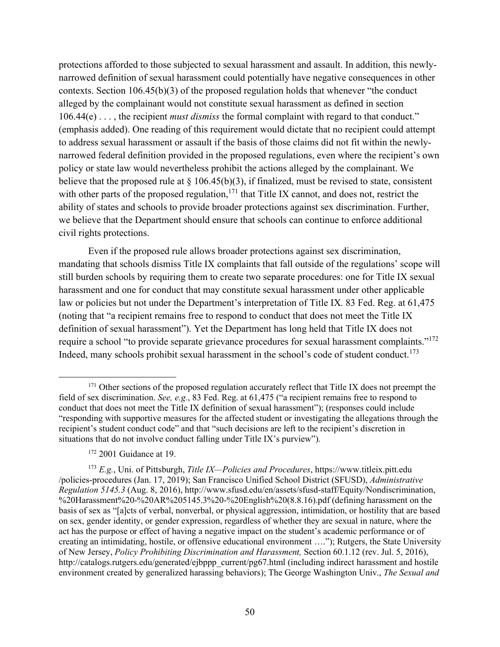protections afforded to those subjected to sexual harassment and assault. In addition, this newlynarrowed definition of sexual harassment could potentially have negative consequences in other contexts. Section 106.45(b)(3) of the proposed regulation holds that whenever "the conduct alleged by the complainant would not constitute sexual harassment as defined in section 106.44(e) . . . , the recipient *must dismiss* the formal complaint with regard to that conduct." (emphasis added). One reading of this requirement would dictate that no recipient could attempt to address sexual harassment or assault if the basis of those claims did not fit within the newlynarrowed federal definition provided in the proposed regulations, even where the recipient's own policy or state law would nevertheless prohibit the actions alleged by the complainant. We believe that the proposed rule at  $\S$  106.45(b)(3), if finalized, must be revised to state, consistent with other parts of the proposed regulation,<sup>171</sup> that Title IX cannot, and does not, restrict the ability of states and schools to provide broader protections against sex discrimination. Further, we believe that the Department should ensure that schools can continue to enforce additional civil rights protections.

Even if the proposed rule allows broader protections against sex discrimination, mandating that schools dismiss Title IX complaints that fall outside of the regulations' scope will still burden schools by requiring them to create two separate procedures: one for Title IX sexual harassment and one for conduct that may constitute sexual harassment under other applicable law or policies but not under the Department's interpretation of Title IX. 83 Fed. Reg. at 61,475 (noting that "a recipient remains free to respond to conduct that does not meet the Title IX definition of sexual harassment"). Yet the Department has long held that Title IX does not require a school "to provide separate grievance procedures for sexual harassment complaints."172 Indeed, many schools prohibit sexual harassment in the school's code of student conduct.<sup>173</sup>

<sup>&</sup>lt;sup>171</sup> Other sections of the proposed regulation accurately reflect that Title IX does not preempt the field of sex discrimination. *See, e.g.*, 83 Fed. Reg. at 61,475 ("a recipient remains free to respond to conduct that does not meet the Title IX definition of sexual harassment"); (responses could include "responding with supportive measures for the affected student or investigating the allegations through the recipient's student conduct code" and that "such decisions are left to the recipient's discretion in situations that do not involve conduct falling under Title IX's purview").

<sup>&</sup>lt;sup>172</sup> 2001 Guidance at 19.

<sup>173</sup> *E.g.*, Uni. of Pittsburgh, *Title IX—Policies and Procedures*, https://www.titleix.pitt.edu /policies-procedures (Jan. 17, 2019); San Francisco Unified School District (SFUSD), *Administrative Regulation 5145.3* (Aug. 8, 2016), http://www.sfusd.edu/en/assets/sfusd-staff/Equity/Nondiscrimination, %20Harassment%20-%20AR%205145.3%20-%20English%20(8.8.16).pdf (defining harassment on the basis of sex as "[a]cts of verbal, nonverbal, or physical aggression, intimidation, or hostility that are based on sex, gender identity, or gender expression, regardless of whether they are sexual in nature, where the act has the purpose or effect of having a negative impact on the student's academic performance or of creating an intimidating, hostile, or offensive educational environment …."); Rutgers, the State University of New Jersey, *Policy Prohibiting Discrimination and Harassment,* Section 60.1.12 (rev. Jul. 5, 2016), http://catalogs.rutgers.edu/generated/ejbppp\_current/pg67.html (including indirect harassment and hostile environment created by generalized harassing behaviors); The George Washington Univ., *The Sexual and*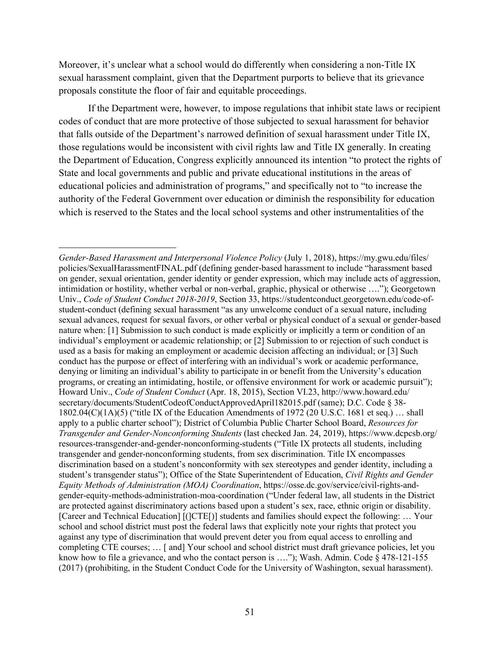Moreover, it's unclear what a school would do differently when considering a non-Title IX sexual harassment complaint, given that the Department purports to believe that its grievance proposals constitute the floor of fair and equitable proceedings.

If the Department were, however, to impose regulations that inhibit state laws or recipient codes of conduct that are more protective of those subjected to sexual harassment for behavior that falls outside of the Department's narrowed definition of sexual harassment under Title IX, those regulations would be inconsistent with civil rights law and Title IX generally. In creating the Department of Education, Congress explicitly announced its intention "to protect the rights of State and local governments and public and private educational institutions in the areas of educational policies and administration of programs," and specifically not to "to increase the authority of the Federal Government over education or diminish the responsibility for education which is reserved to the States and the local school systems and other instrumentalities of the

 $\overline{a}$ 

*Gender-Based Harassment and Interpersonal Violence Policy* (July 1, 2018), https://my.gwu.edu/files/ policies/SexualHarassmentFINAL.pdf (defining gender-based harassment to include "harassment based on gender, sexual orientation, gender identity or gender expression, which may include acts of aggression, intimidation or hostility, whether verbal or non-verbal, graphic, physical or otherwise …."); Georgetown Univ., *Code of Student Conduct 2018-2019*, Section 33, https://studentconduct.georgetown.edu/code-ofstudent-conduct (defining sexual harassment "as any unwelcome conduct of a sexual nature, including sexual advances, request for sexual favors, or other verbal or physical conduct of a sexual or gender-based nature when: [1] Submission to such conduct is made explicitly or implicitly a term or condition of an individual's employment or academic relationship; or [2] Submission to or rejection of such conduct is used as a basis for making an employment or academic decision affecting an individual; or [3] Such conduct has the purpose or effect of interfering with an individual's work or academic performance, denying or limiting an individual's ability to participate in or benefit from the University's education programs, or creating an intimidating, hostile, or offensive environment for work or academic pursuit"); Howard Univ., *Code of Student Conduct* (Apr. 18, 2015), Section VI.23, http://www.howard.edu/ secretary/documents/StudentCodeofConductApprovedApril182015.pdf (same); D.C. Code § 38- 1802.04(C)(1A)(5) ("title IX of the Education Amendments of 1972 (20 U.S.C. 1681 et seq.) … shall apply to a public charter school"); District of Columbia Public Charter School Board, *Resources for Transgender and Gender-Nonconforming Students* (last checked Jan. 24, 2019), https://www.dcpcsb.org/ resources-transgender-and-gender-nonconforming-students ("Title IX protects all students, including transgender and gender-nonconforming students, from sex discrimination. Title IX encompasses discrimination based on a student's nonconformity with sex stereotypes and gender identity, including a student's transgender status"); Office of the State Superintendent of Education, *Civil Rights and Gender Equity Methods of Administration (MOA) Coordination*, https://osse.dc.gov/service/civil-rights-andgender-equity-methods-administration-moa-coordination ("Under federal law, all students in the District are protected against discriminatory actions based upon a student's sex, race, ethnic origin or disability. [Career and Technical Education] [(]CTE[)] students and families should expect the following: … Your school and school district must post the federal laws that explicitly note your rights that protect you against any type of discrimination that would prevent deter you from equal access to enrolling and completing CTE courses; … [ and] Your school and school district must draft grievance policies, let you know how to file a grievance, and who the contact person is ...."); Wash. Admin. Code § 478-121-155 (2017) (prohibiting, in the Student Conduct Code for the University of Washington, sexual harassment).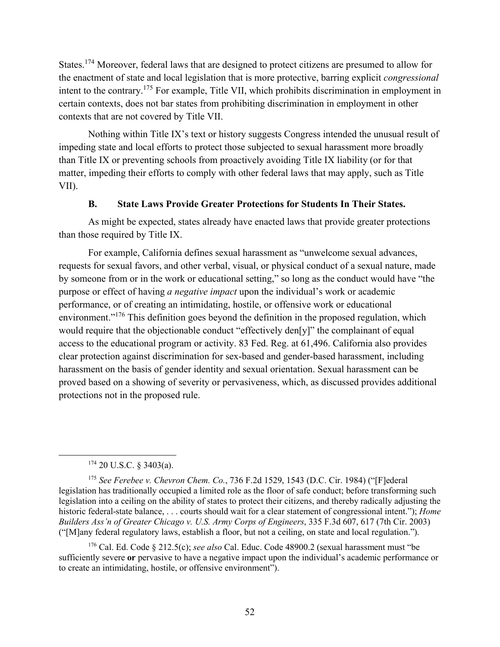States.<sup>174</sup> Moreover, federal laws that are designed to protect citizens are presumed to allow for the enactment of state and local legislation that is more protective, barring explicit *congressional* intent to the contrary.175 For example, Title VII, which prohibits discrimination in employment in certain contexts, does not bar states from prohibiting discrimination in employment in other contexts that are not covered by Title VII.

Nothing within Title IX's text or history suggests Congress intended the unusual result of impeding state and local efforts to protect those subjected to sexual harassment more broadly than Title IX or preventing schools from proactively avoiding Title IX liability (or for that matter, impeding their efforts to comply with other federal laws that may apply, such as Title VII).

### **B. State Laws Provide Greater Protections for Students In Their States.**

As might be expected, states already have enacted laws that provide greater protections than those required by Title IX.

For example, California defines sexual harassment as "unwelcome sexual advances, requests for sexual favors, and other verbal, visual, or physical conduct of a sexual nature, made by someone from or in the work or educational setting," so long as the conduct would have "the purpose or effect of having *a negative impact* upon the individual's work or academic performance, or of creating an intimidating, hostile, or offensive work or educational environment."<sup>176</sup> This definition goes beyond the definition in the proposed regulation, which would require that the objectionable conduct "effectively den[y]" the complainant of equal access to the educational program or activity. 83 Fed. Reg. at 61,496. California also provides clear protection against discrimination for sex-based and gender-based harassment, including harassment on the basis of gender identity and sexual orientation. Sexual harassment can be proved based on a showing of severity or pervasiveness, which, as discussed provides additional protections not in the proposed rule.

#### $174$  20 U.S.C. § 3403(a).

<sup>175</sup> *See Ferebee v. Chevron Chem. Co.*, 736 F.2d 1529, 1543 (D.C. Cir. 1984) ("[F]ederal legislation has traditionally occupied a limited role as the floor of safe conduct; before transforming such legislation into a ceiling on the ability of states to protect their citizens, and thereby radically adjusting the historic federal-state balance, . . . courts should wait for a clear statement of congressional intent."); *Home Builders Ass'n of Greater Chicago v. U.S. Army Corps of Engineers*, 335 F.3d 607, 617 (7th Cir. 2003) ("[M]any federal regulatory laws, establish a floor, but not a ceiling, on state and local regulation.").

<sup>176</sup> Cal. Ed. Code § 212.5(c); *see also* Cal. Educ. Code 48900.2 (sexual harassment must "be sufficiently severe **or** pervasive to have a negative impact upon the individual's academic performance or to create an intimidating, hostile, or offensive environment").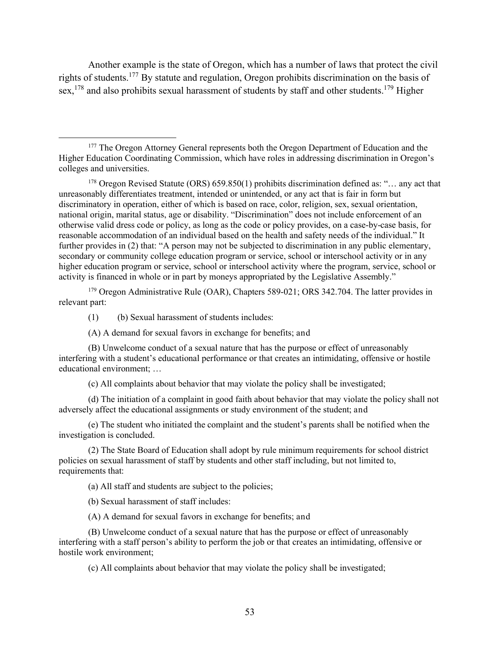Another example is the state of Oregon, which has a number of laws that protect the civil rights of students.<sup>177</sup> By statute and regulation, Oregon prohibits discrimination on the basis of sex,  $^{178}$  and also prohibits sexual harassment of students by staff and other students.<sup>179</sup> Higher

 $178$  Oregon Revised Statute (ORS) 659.850(1) prohibits discrimination defined as: "... any act that unreasonably differentiates treatment, intended or unintended, or any act that is fair in form but discriminatory in operation, either of which is based on race, color, religion, sex, sexual orientation, national origin, marital status, age or disability. "Discrimination" does not include enforcement of an otherwise valid dress code or policy, as long as the code or policy provides, on a case-by-case basis, for reasonable accommodation of an individual based on the health and safety needs of the individual." It further provides in (2) that: "A person may not be subjected to discrimination in any public elementary, secondary or community college education program or service, school or interschool activity or in any higher education program or service, school or interschool activity where the program, service, school or activity is financed in whole or in part by moneys appropriated by the Legislative Assembly."

<sup>179</sup> Oregon Administrative Rule (OAR), Chapters 589-021; ORS 342.704. The latter provides in relevant part:

(1) (b) Sexual harassment of students includes:

(A) A demand for sexual favors in exchange for benefits; and

(B) Unwelcome conduct of a sexual nature that has the purpose or effect of unreasonably interfering with a student's educational performance or that creates an intimidating, offensive or hostile educational environment; …

(c) All complaints about behavior that may violate the policy shall be investigated;

(d) The initiation of a complaint in good faith about behavior that may violate the policy shall not adversely affect the educational assignments or study environment of the student; and

(e) The student who initiated the complaint and the student's parents shall be notified when the investigation is concluded.

(2) The State Board of Education shall adopt by rule minimum requirements for school district policies on sexual harassment of staff by students and other staff including, but not limited to, requirements that:

(a) All staff and students are subject to the policies;

(b) Sexual harassment of staff includes:

(A) A demand for sexual favors in exchange for benefits; and

(B) Unwelcome conduct of a sexual nature that has the purpose or effect of unreasonably interfering with a staff person's ability to perform the job or that creates an intimidating, offensive or hostile work environment;

(c) All complaints about behavior that may violate the policy shall be investigated;

<sup>&</sup>lt;sup>177</sup> The Oregon Attorney General represents both the Oregon Department of Education and the Higher Education Coordinating Commission, which have roles in addressing discrimination in Oregon's colleges and universities.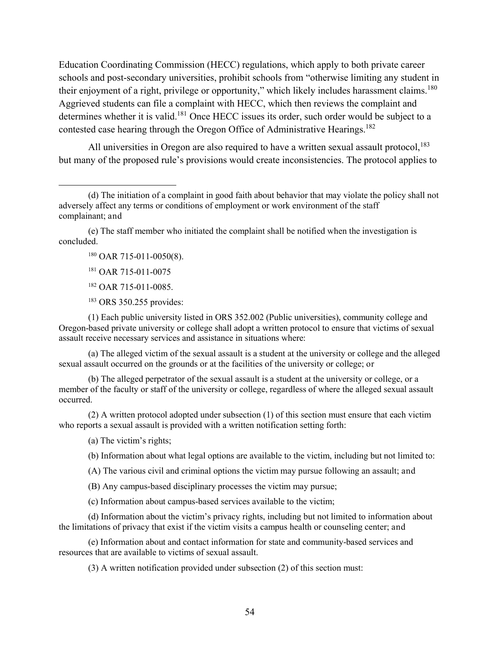Education Coordinating Commission (HECC) regulations, which apply to both private career schools and post-secondary universities, prohibit schools from "otherwise limiting any student in their enjoyment of a right, privilege or opportunity," which likely includes harassment claims.<sup>180</sup> Aggrieved students can file a complaint with HECC, which then reviews the complaint and determines whether it is valid.<sup>181</sup> Once HECC issues its order, such order would be subject to a contested case hearing through the Oregon Office of Administrative Hearings.<sup>182</sup>

All universities in Oregon are also required to have a written sexual assault protocol,  $^{183}$ but many of the proposed rule's provisions would create inconsistencies. The protocol applies to

(e) The staff member who initiated the complaint shall be notified when the investigation is concluded.

- <sup>180</sup> OAR 715-011-0050(8).
- <sup>181</sup> OAR 715-011-0075

 $\overline{a}$ 

- <sup>182</sup> OAR 715-011-0085.
- <sup>183</sup> ORS 350.255 provides:

(1) Each public university listed in ORS 352.002 (Public universities), community college and Oregon-based private university or college shall adopt a written protocol to ensure that victims of sexual assault receive necessary services and assistance in situations where:

(a) The alleged victim of the sexual assault is a student at the university or college and the alleged sexual assault occurred on the grounds or at the facilities of the university or college; or

(b) The alleged perpetrator of the sexual assault is a student at the university or college, or a member of the faculty or staff of the university or college, regardless of where the alleged sexual assault occurred.

(2) A written protocol adopted under subsection (1) of this section must ensure that each victim who reports a sexual assault is provided with a written notification setting forth:

(a) The victim's rights;

(b) Information about what legal options are available to the victim, including but not limited to:

(A) The various civil and criminal options the victim may pursue following an assault; and

(B) Any campus-based disciplinary processes the victim may pursue;

(c) Information about campus-based services available to the victim;

(d) Information about the victim's privacy rights, including but not limited to information about the limitations of privacy that exist if the victim visits a campus health or counseling center; and

(e) Information about and contact information for state and community-based services and resources that are available to victims of sexual assault.

(3) A written notification provided under subsection (2) of this section must:

<sup>(</sup>d) The initiation of a complaint in good faith about behavior that may violate the policy shall not adversely affect any terms or conditions of employment or work environment of the staff complainant; and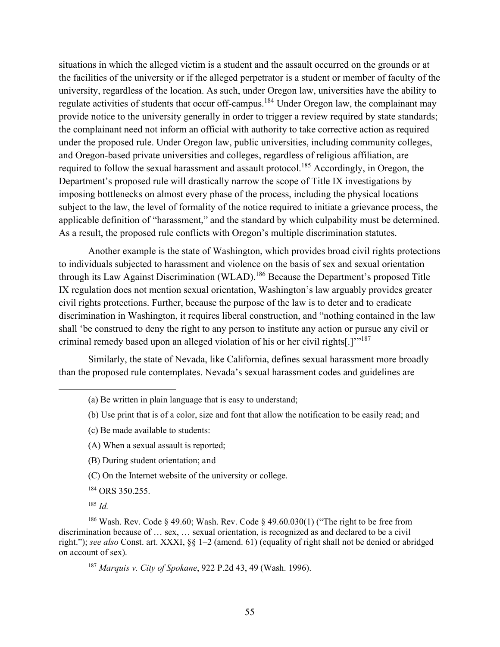situations in which the alleged victim is a student and the assault occurred on the grounds or at the facilities of the university or if the alleged perpetrator is a student or member of faculty of the university, regardless of the location. As such, under Oregon law, universities have the ability to regulate activities of students that occur off-campus.<sup>184</sup> Under Oregon law, the complainant may provide notice to the university generally in order to trigger a review required by state standards; the complainant need not inform an official with authority to take corrective action as required under the proposed rule. Under Oregon law, public universities, including community colleges, and Oregon-based private universities and colleges, regardless of religious affiliation, are required to follow the sexual harassment and assault protocol.<sup>185</sup> Accordingly, in Oregon, the Department's proposed rule will drastically narrow the scope of Title IX investigations by imposing bottlenecks on almost every phase of the process, including the physical locations subject to the law, the level of formality of the notice required to initiate a grievance process, the applicable definition of "harassment," and the standard by which culpability must be determined. As a result, the proposed rule conflicts with Oregon's multiple discrimination statutes.

Another example is the state of Washington, which provides broad civil rights protections to individuals subjected to harassment and violence on the basis of sex and sexual orientation through its Law Against Discrimination (WLAD).<sup>186</sup> Because the Department's proposed Title IX regulation does not mention sexual orientation, Washington's law arguably provides greater civil rights protections. Further, because the purpose of the law is to deter and to eradicate discrimination in Washington, it requires liberal construction, and "nothing contained in the law shall 'be construed to deny the right to any person to institute any action or pursue any civil or criminal remedy based upon an alleged violation of his or her civil rights[.]'"<sup>187</sup>

Similarly, the state of Nevada, like California, defines sexual harassment more broadly than the proposed rule contemplates. Nevada's sexual harassment codes and guidelines are

- (a) Be written in plain language that is easy to understand;
- (b) Use print that is of a color, size and font that allow the notification to be easily read; and
- (c) Be made available to students:
- (A) When a sexual assault is reported;
- (B) During student orientation; and
- (C) On the Internet website of the university or college.
- <sup>184</sup> ORS 350.255.
- <sup>185</sup> *Id.*

 $\overline{a}$ 

<sup>186</sup> Wash. Rev. Code § 49.60; Wash. Rev. Code § 49.60.030(1) ("The right to be free from discrimination because of … sex, … sexual orientation, is recognized as and declared to be a civil right."); *see also* Const. art. XXXI, §§ 1–2 (amend. 61) (equality of right shall not be denied or abridged on account of sex).

<sup>187</sup> *Marquis v. City of Spokane*, 922 P.2d 43, 49 (Wash. 1996).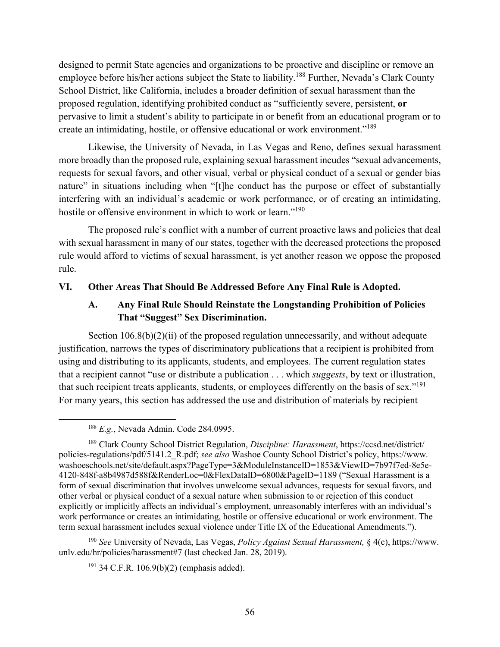designed to permit State agencies and organizations to be proactive and discipline or remove an employee before his/her actions subject the State to liability.<sup>188</sup> Further, Nevada's Clark County School District, like California, includes a broader definition of sexual harassment than the proposed regulation, identifying prohibited conduct as "sufficiently severe, persistent, **or** pervasive to limit a student's ability to participate in or benefit from an educational program or to create an intimidating, hostile, or offensive educational or work environment."<sup>189</sup>

Likewise, the University of Nevada, in Las Vegas and Reno, defines sexual harassment more broadly than the proposed rule, explaining sexual harassment incudes "sexual advancements, requests for sexual favors, and other visual, verbal or physical conduct of a sexual or gender bias nature" in situations including when "[t]he conduct has the purpose or effect of substantially interfering with an individual's academic or work performance, or of creating an intimidating, hostile or offensive environment in which to work or learn."<sup>190</sup>

The proposed rule's conflict with a number of current proactive laws and policies that deal with sexual harassment in many of our states, together with the decreased protections the proposed rule would afford to victims of sexual harassment, is yet another reason we oppose the proposed rule.

### **VI. Other Areas That Should Be Addressed Before Any Final Rule is Adopted.**

## **A. Any Final Rule Should Reinstate the Longstanding Prohibition of Policies That "Suggest" Sex Discrimination.**

Section 106.8(b)(2)(ii) of the proposed regulation unnecessarily, and without adequate justification, narrows the types of discriminatory publications that a recipient is prohibited from using and distributing to its applicants, students, and employees. The current regulation states that a recipient cannot "use or distribute a publication . . . which *suggests*, by text or illustration, that such recipient treats applicants, students, or employees differently on the basis of sex."191 For many years, this section has addressed the use and distribution of materials by recipient

<sup>190</sup> *See* University of Nevada, Las Vegas, *Policy Against Sexual Harassment,* § 4(c), https://www. unlv.edu/hr/policies/harassment#7 (last checked Jan. 28, 2019).

 $191$  34 C.F.R. 106.9(b)(2) (emphasis added).

 <sup>188</sup> *E.g.*, Nevada Admin. Code 284.0995.

<sup>189</sup> Clark County School District Regulation, *Discipline: Harassment*, https://ccsd.net/district/ policies-regulations/pdf/5141.2\_R.pdf; *see also* Washoe County School District's policy, https://www. washoeschools.net/site/default.aspx?PageType=3&ModuleInstanceID=1853&ViewID=7b97f7ed-8e5e-4120-848f-a8b4987d588f&RenderLoc=0&FlexDataID=6800&PageID=1189 ("Sexual Harassment is a form of sexual discrimination that involves unwelcome sexual advances, requests for sexual favors, and other verbal or physical conduct of a sexual nature when submission to or rejection of this conduct explicitly or implicitly affects an individual's employment, unreasonably interferes with an individual's work performance or creates an intimidating, hostile or offensive educational or work environment. The term sexual harassment includes sexual violence under Title IX of the Educational Amendments.").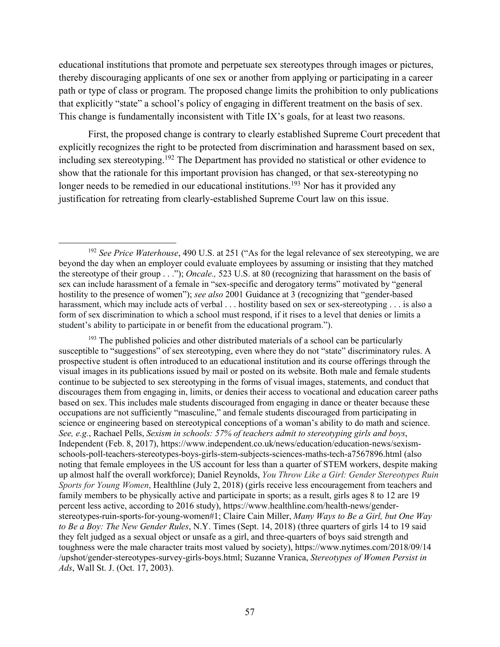educational institutions that promote and perpetuate sex stereotypes through images or pictures, thereby discouraging applicants of one sex or another from applying or participating in a career path or type of class or program. The proposed change limits the prohibition to only publications that explicitly "state" a school's policy of engaging in different treatment on the basis of sex. This change is fundamentally inconsistent with Title IX's goals, for at least two reasons.

First, the proposed change is contrary to clearly established Supreme Court precedent that explicitly recognizes the right to be protected from discrimination and harassment based on sex, including sex stereotyping.<sup>192</sup> The Department has provided no statistical or other evidence to show that the rationale for this important provision has changed, or that sex-stereotyping no longer needs to be remedied in our educational institutions.<sup>193</sup> Nor has it provided any justification for retreating from clearly-established Supreme Court law on this issue.

 $193$  The published policies and other distributed materials of a school can be particularly susceptible to "suggestions" of sex stereotyping, even where they do not "state" discriminatory rules. A prospective student is often introduced to an educational institution and its course offerings through the visual images in its publications issued by mail or posted on its website. Both male and female students continue to be subjected to sex stereotyping in the forms of visual images, statements, and conduct that discourages them from engaging in, limits, or denies their access to vocational and education career paths based on sex. This includes male students discouraged from engaging in dance or theater because these occupations are not sufficiently "masculine," and female students discouraged from participating in science or engineering based on stereotypical conceptions of a woman's ability to do math and science. *See, e.g.*, Rachael Pells, *Sexism in schools: 57% of teachers admit to stereotyping girls and boys*, Independent (Feb. 8, 2017), https://www.independent.co.uk/news/education/education-news/sexismschools-poll-teachers-stereotypes-boys-girls-stem-subjects-sciences-maths-tech-a7567896.html (also noting that female employees in the US account for less than a quarter of STEM workers, despite making up almost half the overall workforce); Daniel Reynolds, *You Throw Like a Girl: Gender Stereotypes Ruin Sports for Young Women*, Healthline (July 2, 2018) (girls receive less encouragement from teachers and family members to be physically active and participate in sports; as a result, girls ages 8 to 12 are 19 percent less active, according to 2016 study), https://www.healthline.com/health-news/genderstereotypes-ruin-sports-for-young-women#1; Claire Cain Miller, *Many Ways to Be a Girl, but One Way to Be a Boy: The New Gender Rules*, N.Y. Times (Sept. 14, 2018) (three quarters of girls 14 to 19 said they felt judged as a sexual object or unsafe as a girl, and three-quarters of boys said strength and toughness were the male character traits most valued by society), https://www.nytimes.com/2018/09/14 /upshot/gender-stereotypes-survey-girls-boys.html; Suzanne Vranica, *Stereotypes of Women Persist in Ads*, Wall St. J. (Oct. 17, 2003).

 <sup>192</sup> *See Price Waterhouse*, 490 U.S. at 251 ("As for the legal relevance of sex stereotyping, we are beyond the day when an employer could evaluate employees by assuming or insisting that they matched the stereotype of their group . . ."); *Oncale.,* 523 U.S. at 80 (recognizing that harassment on the basis of sex can include harassment of a female in "sex-specific and derogatory terms" motivated by "general hostility to the presence of women"); *see also* 2001 Guidance at 3 (recognizing that "gender-based harassment, which may include acts of verbal . . . hostility based on sex or sex-stereotyping . . . is also a form of sex discrimination to which a school must respond, if it rises to a level that denies or limits a student's ability to participate in or benefit from the educational program.").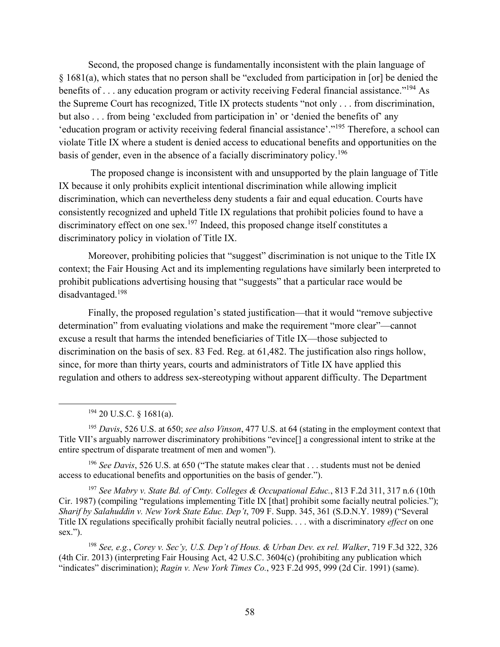Second, the proposed change is fundamentally inconsistent with the plain language of § 1681(a), which states that no person shall be "excluded from participation in [or] be denied the benefits of ... any education program or activity receiving Federal financial assistance."<sup>194</sup> As the Supreme Court has recognized, Title IX protects students "not only . . . from discrimination, but also . . . from being 'excluded from participation in' or 'denied the benefits of' any 'education program or activity receiving federal financial assistance'."195 Therefore, a school can violate Title IX where a student is denied access to educational benefits and opportunities on the basis of gender, even in the absence of a facially discriminatory policy.<sup>196</sup>

The proposed change is inconsistent with and unsupported by the plain language of Title IX because it only prohibits explicit intentional discrimination while allowing implicit discrimination, which can nevertheless deny students a fair and equal education. Courts have consistently recognized and upheld Title IX regulations that prohibit policies found to have a discriminatory effect on one sex.<sup>197</sup> Indeed, this proposed change itself constitutes a discriminatory policy in violation of Title IX.

Moreover, prohibiting policies that "suggest" discrimination is not unique to the Title IX context; the Fair Housing Act and its implementing regulations have similarly been interpreted to prohibit publications advertising housing that "suggests" that a particular race would be disadvantaged.198

Finally, the proposed regulation's stated justification—that it would "remove subjective determination" from evaluating violations and make the requirement "more clear"—cannot excuse a result that harms the intended beneficiaries of Title IX—those subjected to discrimination on the basis of sex. 83 Fed. Reg. at 61,482. The justification also rings hollow, since, for more than thirty years, courts and administrators of Title IX have applied this regulation and others to address sex-stereotyping without apparent difficulty. The Department

 $194$  20 U.S.C. § 1681(a).

<sup>195</sup> *Davis*, 526 U.S. at 650; *see also Vinson*, 477 U.S. at 64 (stating in the employment context that Title VII's arguably narrower discriminatory prohibitions "evince[] a congressional intent to strike at the entire spectrum of disparate treatment of men and women").

<sup>196</sup> *See Davis*, 526 U.S. at 650 ("The statute makes clear that . . . students must not be denied access to educational benefits and opportunities on the basis of gender.").

<sup>197</sup> *See Mabry v. State Bd. of Cmty. Colleges & Occupational Educ.*, 813 F.2d 311, 317 n.6 (10th Cir. 1987) (compiling "regulations implementing Title IX [that] prohibit some facially neutral policies."); *Sharif by Salahuddin v. New York State Educ. Dep't*, 709 F. Supp. 345, 361 (S.D.N.Y. 1989) ("Several Title IX regulations specifically prohibit facially neutral policies. . . . with a discriminatory *effect* on one sex.").

<sup>198</sup> *See, e.g.*, *Corey v. Sec'y, U.S. Dep't of Hous. & Urban Dev. ex rel. Walker*, 719 F.3d 322, 326 (4th Cir. 2013) (interpreting Fair Housing Act, 42 U.S.C. 3604(c) (prohibiting any publication which "indicates" discrimination); *Ragin v. New York Times Co.*, 923 F.2d 995, 999 (2d Cir. 1991) (same).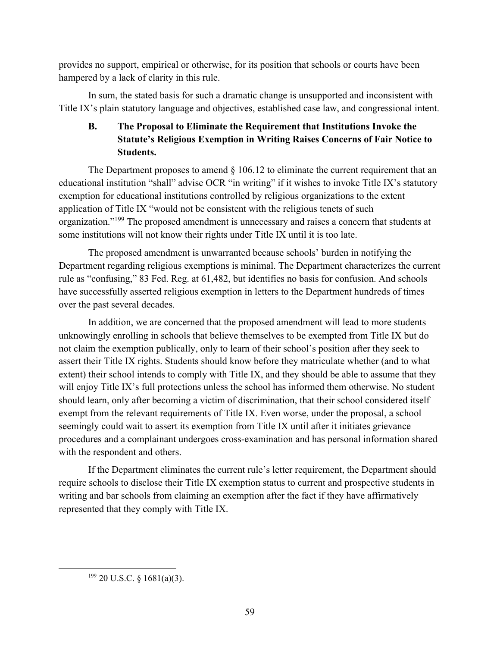provides no support, empirical or otherwise, for its position that schools or courts have been hampered by a lack of clarity in this rule.

In sum, the stated basis for such a dramatic change is unsupported and inconsistent with Title IX's plain statutory language and objectives, established case law, and congressional intent.

# **B. The Proposal to Eliminate the Requirement that Institutions Invoke the Statute's Religious Exemption in Writing Raises Concerns of Fair Notice to Students.**

The Department proposes to amend  $\S$  106.12 to eliminate the current requirement that an educational institution "shall" advise OCR "in writing" if it wishes to invoke Title IX's statutory exemption for educational institutions controlled by religious organizations to the extent application of Title IX "would not be consistent with the religious tenets of such organization."199 The proposed amendment is unnecessary and raises a concern that students at some institutions will not know their rights under Title IX until it is too late.

The proposed amendment is unwarranted because schools' burden in notifying the Department regarding religious exemptions is minimal. The Department characterizes the current rule as "confusing," 83 Fed. Reg. at 61,482, but identifies no basis for confusion. And schools have successfully asserted religious exemption in letters to the Department hundreds of times over the past several decades.

In addition, we are concerned that the proposed amendment will lead to more students unknowingly enrolling in schools that believe themselves to be exempted from Title IX but do not claim the exemption publically, only to learn of their school's position after they seek to assert their Title IX rights. Students should know before they matriculate whether (and to what extent) their school intends to comply with Title IX, and they should be able to assume that they will enjoy Title IX's full protections unless the school has informed them otherwise. No student should learn, only after becoming a victim of discrimination, that their school considered itself exempt from the relevant requirements of Title IX. Even worse, under the proposal, a school seemingly could wait to assert its exemption from Title IX until after it initiates grievance procedures and a complainant undergoes cross-examination and has personal information shared with the respondent and others.

If the Department eliminates the current rule's letter requirement, the Department should require schools to disclose their Title IX exemption status to current and prospective students in writing and bar schools from claiming an exemption after the fact if they have affirmatively represented that they comply with Title IX.

 $199$  20 U.S.C. § 1681(a)(3).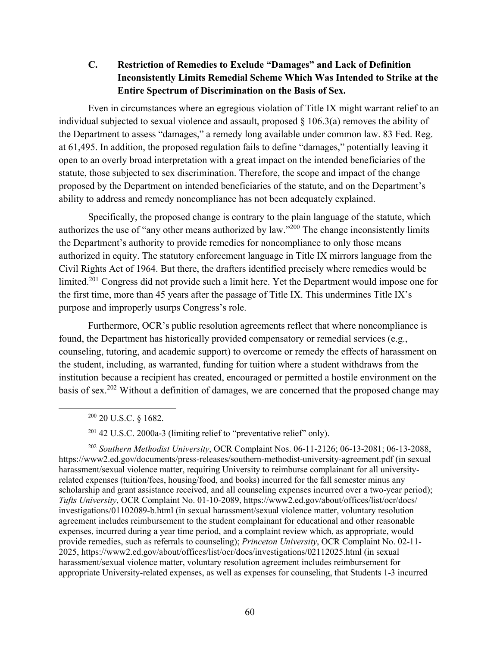**C. Restriction of Remedies to Exclude "Damages" and Lack of Definition Inconsistently Limits Remedial Scheme Which Was Intended to Strike at the Entire Spectrum of Discrimination on the Basis of Sex.**

Even in circumstances where an egregious violation of Title IX might warrant relief to an individual subjected to sexual violence and assault, proposed § 106.3(a) removes the ability of the Department to assess "damages," a remedy long available under common law. 83 Fed. Reg. at 61,495. In addition, the proposed regulation fails to define "damages," potentially leaving it open to an overly broad interpretation with a great impact on the intended beneficiaries of the statute, those subjected to sex discrimination. Therefore, the scope and impact of the change proposed by the Department on intended beneficiaries of the statute, and on the Department's ability to address and remedy noncompliance has not been adequately explained.

Specifically, the proposed change is contrary to the plain language of the statute, which authorizes the use of "any other means authorized by law."<sup>200</sup> The change inconsistently limits the Department's authority to provide remedies for noncompliance to only those means authorized in equity. The statutory enforcement language in Title IX mirrors language from the Civil Rights Act of 1964. But there, the drafters identified precisely where remedies would be limited.201 Congress did not provide such a limit here. Yet the Department would impose one for the first time, more than 45 years after the passage of Title IX. This undermines Title IX's purpose and improperly usurps Congress's role.

Furthermore, OCR's public resolution agreements reflect that where noncompliance is found, the Department has historically provided compensatory or remedial services (e.g., counseling, tutoring, and academic support) to overcome or remedy the effects of harassment on the student, including, as warranted, funding for tuition where a student withdraws from the institution because a recipient has created, encouraged or permitted a hostile environment on the basis of sex.<sup>202</sup> Without a definition of damages, we are concerned that the proposed change may

<sup>202</sup> *Southern Methodist University*, OCR Complaint Nos. 06-11-2126; 06-13-2081; 06-13-2088, https://www2.ed.gov/documents/press-releases/southern-methodist-university-agreement.pdf (in sexual harassment/sexual violence matter, requiring University to reimburse complainant for all universityrelated expenses (tuition/fees, housing/food, and books) incurred for the fall semester minus any scholarship and grant assistance received, and all counseling expenses incurred over a two-year period); *Tufts University*, OCR Complaint No. 01-10-2089, https://www2.ed.gov/about/offices/list/ocr/docs/ investigations/01102089-b.html (in sexual harassment/sexual violence matter, voluntary resolution agreement includes reimbursement to the student complainant for educational and other reasonable expenses, incurred during a year time period, and a complaint review which, as appropriate, would provide remedies, such as referrals to counseling); *Princeton University*, OCR Complaint No. 02-11- 2025, https://www2.ed.gov/about/offices/list/ocr/docs/investigations/02112025.html (in sexual harassment/sexual violence matter, voluntary resolution agreement includes reimbursement for appropriate University-related expenses, as well as expenses for counseling, that Students 1-3 incurred

 <sup>200</sup> 20 U.S.C. § 1682.

 $201$  42 U.S.C. 2000a-3 (limiting relief to "preventative relief" only).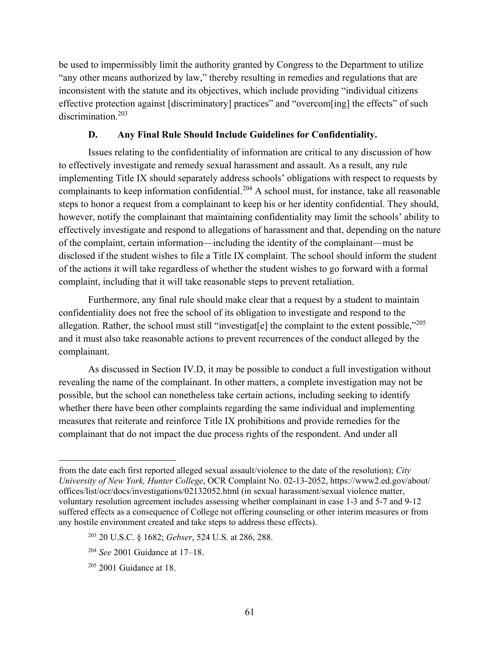be used to impermissibly limit the authority granted by Congress to the Department to utilize "any other means authorized by law," thereby resulting in remedies and regulations that are inconsistent with the statute and its objectives, which include providing "individual citizens effective protection against [discriminatory] practices" and "overcom[ing] the effects" of such discrimination.<sup>203</sup>

### **D. Any Final Rule Should Include Guidelines for Confidentiality.**

Issues relating to the confidentiality of information are critical to any discussion of how to effectively investigate and remedy sexual harassment and assault. As a result, any rule implementing Title IX should separately address schools' obligations with respect to requests by complainants to keep information confidential.<sup>204</sup> A school must, for instance, take all reasonable steps to honor a request from a complainant to keep his or her identity confidential. They should, however, notify the complainant that maintaining confidentiality may limit the schools' ability to effectively investigate and respond to allegations of harassment and that, depending on the nature of the complaint, certain information—including the identity of the complainant—must be disclosed if the student wishes to file a Title IX complaint. The school should inform the student of the actions it will take regardless of whether the student wishes to go forward with a formal complaint, including that it will take reasonable steps to prevent retaliation.

Furthermore, any final rule should make clear that a request by a student to maintain confidentiality does not free the school of its obligation to investigate and respond to the allegation. Rather, the school must still "investigat[e] the complaint to the extent possible," $^{205}$ and it must also take reasonable actions to prevent recurrences of the conduct alleged by the complainant.

As discussed in Section IV.D, it may be possible to conduct a full investigation without revealing the name of the complainant. In other matters, a complete investigation may not be possible, but the school can nonetheless take certain actions, including seeking to identify whether there have been other complaints regarding the same individual and implementing measures that reiterate and reinforce Title IX prohibitions and provide remedies for the complainant that do not impact the due process rights of the respondent. And under all

- <sup>203</sup> 20 U.S.C. § 1682; *Gebser*, 524 U.S. at 286, 288.
- <sup>204</sup> *See* 2001 Guidance at 17–18.

 $\overline{a}$ 

from the date each first reported alleged sexual assault/violence to the date of the resolution); *City University of New York, Hunter College*, OCR Complaint No. 02-13-2052, https://www2.ed.gov/about/ offices/list/ocr/docs/investigations/02132052.html (in sexual harassment/sexual violence matter, voluntary resolution agreement includes assessing whether complainant in case 1-3 and 5-7 and 9-12 suffered effects as a consequence of College not offering counseling or other interim measures or from any hostile environment created and take steps to address these effects).

 $205$  2001 Guidance at 18.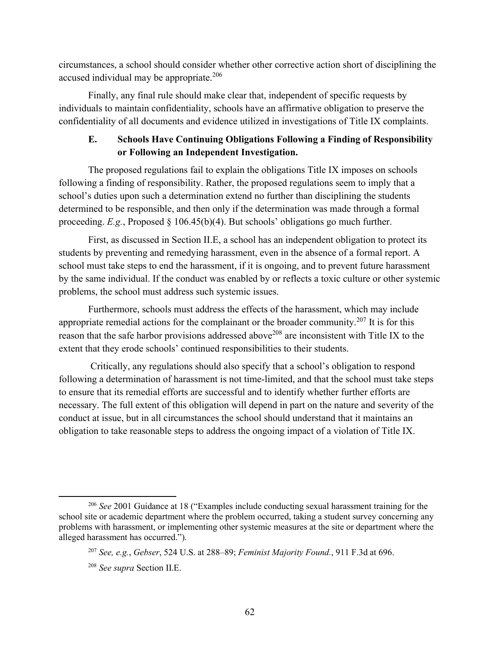circumstances, a school should consider whether other corrective action short of disciplining the accused individual may be appropriate.<sup>206</sup>

Finally, any final rule should make clear that, independent of specific requests by individuals to maintain confidentiality, schools have an affirmative obligation to preserve the confidentiality of all documents and evidence utilized in investigations of Title IX complaints.

# **E. Schools Have Continuing Obligations Following a Finding of Responsibility or Following an Independent Investigation.**

The proposed regulations fail to explain the obligations Title IX imposes on schools following a finding of responsibility. Rather, the proposed regulations seem to imply that a school's duties upon such a determination extend no further than disciplining the students determined to be responsible, and then only if the determination was made through a formal proceeding. *E.g.*, Proposed § 106.45(b)(4). But schools' obligations go much further.

First, as discussed in Section II.E, a school has an independent obligation to protect its students by preventing and remedying harassment, even in the absence of a formal report. A school must take steps to end the harassment, if it is ongoing, and to prevent future harassment by the same individual. If the conduct was enabled by or reflects a toxic culture or other systemic problems, the school must address such systemic issues.

Furthermore, schools must address the effects of the harassment, which may include appropriate remedial actions for the complainant or the broader community.<sup>207</sup> It is for this reason that the safe harbor provisions addressed above<sup>208</sup> are inconsistent with Title IX to the extent that they erode schools' continued responsibilities to their students.

Critically, any regulations should also specify that a school's obligation to respond following a determination of harassment is not time-limited, and that the school must take steps to ensure that its remedial efforts are successful and to identify whether further efforts are necessary. The full extent of this obligation will depend in part on the nature and severity of the conduct at issue, but in all circumstances the school should understand that it maintains an obligation to take reasonable steps to address the ongoing impact of a violation of Title IX.

 <sup>206</sup> *See* 2001 Guidance at 18 ("Examples include conducting sexual harassment training for the school site or academic department where the problem occurred, taking a student survey concerning any problems with harassment, or implementing other systemic measures at the site or department where the alleged harassment has occurred.").

<sup>207</sup> *See, e.g.*, *Gebser*, 524 U.S. at 288–89; *Feminist Majority Found.*, 911 F.3d at 696.

<sup>208</sup> *See supra* Section II.E.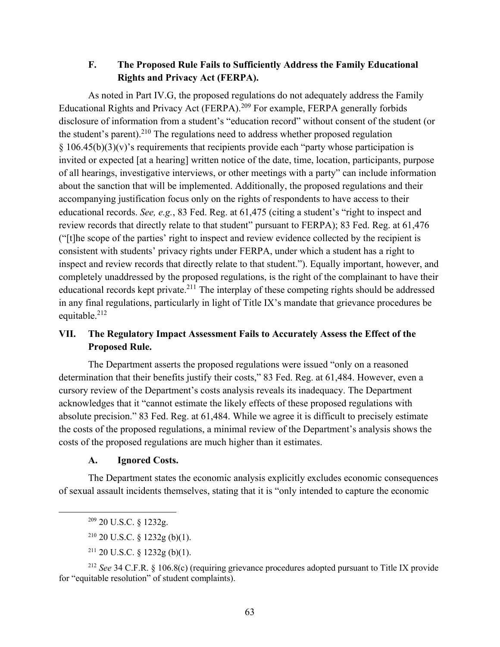### **F. The Proposed Rule Fails to Sufficiently Address the Family Educational Rights and Privacy Act (FERPA).**

As noted in Part IV.G, the proposed regulations do not adequately address the Family Educational Rights and Privacy Act (FERPA).<sup>209</sup> For example, FERPA generally forbids disclosure of information from a student's "education record" without consent of the student (or the student's parent).<sup>210</sup> The regulations need to address whether proposed regulation  $§ 106.45(b)(3)(v)$ 's requirements that recipients provide each "party whose participation is invited or expected [at a hearing] written notice of the date, time, location, participants, purpose of all hearings, investigative interviews, or other meetings with a party" can include information about the sanction that will be implemented. Additionally, the proposed regulations and their accompanying justification focus only on the rights of respondents to have access to their educational records. *See, e.g.*, 83 Fed. Reg. at 61,475 (citing a student's "right to inspect and review records that directly relate to that student" pursuant to FERPA); 83 Fed. Reg. at 61,476 ("[t]he scope of the parties' right to inspect and review evidence collected by the recipient is consistent with students' privacy rights under FERPA, under which a student has a right to inspect and review records that directly relate to that student."). Equally important, however, and completely unaddressed by the proposed regulations, is the right of the complainant to have their educational records kept private.<sup>211</sup> The interplay of these competing rights should be addressed in any final regulations, particularly in light of Title IX's mandate that grievance procedures be equitable.<sup>212</sup>

# **VII. The Regulatory Impact Assessment Fails to Accurately Assess the Effect of the Proposed Rule.**

The Department asserts the proposed regulations were issued "only on a reasoned determination that their benefits justify their costs," 83 Fed. Reg. at 61,484. However, even a cursory review of the Department's costs analysis reveals its inadequacy. The Department acknowledges that it "cannot estimate the likely effects of these proposed regulations with absolute precision." 83 Fed. Reg. at 61,484. While we agree it is difficult to precisely estimate the costs of the proposed regulations, a minimal review of the Department's analysis shows the costs of the proposed regulations are much higher than it estimates.

#### **A. Ignored Costs.**

The Department states the economic analysis explicitly excludes economic consequences of sexual assault incidents themselves, stating that it is "only intended to capture the economic

 $211$  20 U.S.C. § 1232g (b)(1).

<sup>212</sup> *See* 34 C.F.R. § 106.8(c) (requiring grievance procedures adopted pursuant to Title IX provide for "equitable resolution" of student complaints).

 <sup>209</sup> 20 U.S.C. § 1232g.

 $210$  20 U.S.C. § 1232g (b)(1).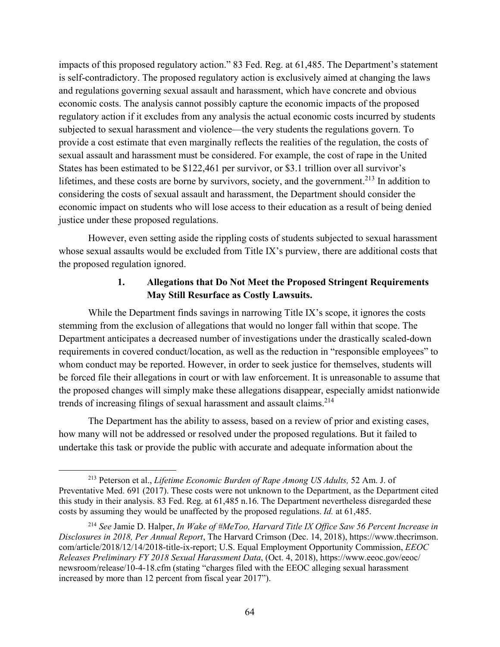impacts of this proposed regulatory action." 83 Fed. Reg. at 61,485. The Department's statement is self-contradictory. The proposed regulatory action is exclusively aimed at changing the laws and regulations governing sexual assault and harassment, which have concrete and obvious economic costs. The analysis cannot possibly capture the economic impacts of the proposed regulatory action if it excludes from any analysis the actual economic costs incurred by students subjected to sexual harassment and violence—the very students the regulations govern. To provide a cost estimate that even marginally reflects the realities of the regulation, the costs of sexual assault and harassment must be considered. For example, the cost of rape in the United States has been estimated to be \$122,461 per survivor, or \$3.1 trillion over all survivor's lifetimes, and these costs are borne by survivors, society, and the government.<sup>213</sup> In addition to considering the costs of sexual assault and harassment, the Department should consider the economic impact on students who will lose access to their education as a result of being denied justice under these proposed regulations.

However, even setting aside the rippling costs of students subjected to sexual harassment whose sexual assaults would be excluded from Title IX's purview, there are additional costs that the proposed regulation ignored.

# **1. Allegations that Do Not Meet the Proposed Stringent Requirements May Still Resurface as Costly Lawsuits.**

While the Department finds savings in narrowing Title IX's scope, it ignores the costs stemming from the exclusion of allegations that would no longer fall within that scope. The Department anticipates a decreased number of investigations under the drastically scaled-down requirements in covered conduct/location, as well as the reduction in "responsible employees" to whom conduct may be reported. However, in order to seek justice for themselves, students will be forced file their allegations in court or with law enforcement. It is unreasonable to assume that the proposed changes will simply make these allegations disappear, especially amidst nationwide trends of increasing filings of sexual harassment and assault claims.<sup>214</sup>

The Department has the ability to assess, based on a review of prior and existing cases, how many will not be addressed or resolved under the proposed regulations. But it failed to undertake this task or provide the public with accurate and adequate information about the

 <sup>213</sup> Peterson et al., *Lifetime Economic Burden of Rape Among US Adults,* 52 Am. J. of Preventative Med. 691 (2017). These costs were not unknown to the Department, as the Department cited this study in their analysis. 83 Fed. Reg. at 61,485 n.16. The Department nevertheless disregarded these costs by assuming they would be unaffected by the proposed regulations. *Id.* at 61,485.

<sup>214</sup> *See* Jamie D. Halper, *In Wake of #MeToo, Harvard Title IX Office Saw 56 Percent Increase in Disclosures in 2018, Per Annual Report*, The Harvard Crimson (Dec. 14, 2018), https://www.thecrimson. com/article/2018/12/14/2018-title-ix-report; U.S. Equal Employment Opportunity Commission, *EEOC Releases Preliminary FY 2018 Sexual Harassment Data*, (Oct. 4, 2018), https://www.eeoc.gov/eeoc/ newsroom/release/10-4-18.cfm (stating "charges filed with the EEOC alleging sexual harassment increased by more than 12 percent from fiscal year 2017").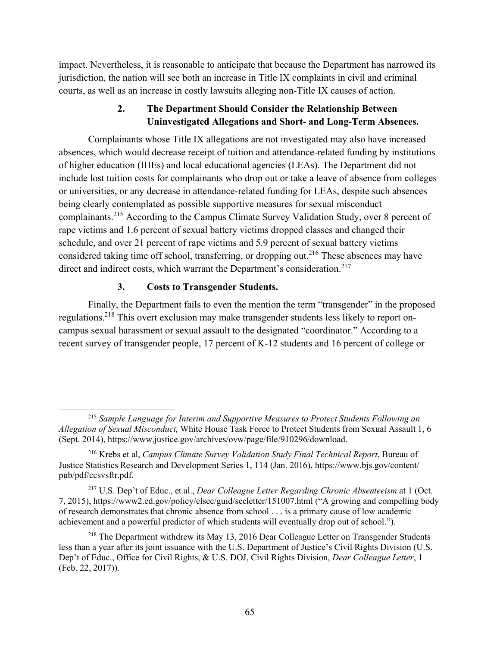impact. Nevertheless, it is reasonable to anticipate that because the Department has narrowed its jurisdiction, the nation will see both an increase in Title IX complaints in civil and criminal courts, as well as an increase in costly lawsuits alleging non-Title IX causes of action.

# **2. The Department Should Consider the Relationship Between Uninvestigated Allegations and Short- and Long-Term Absences.**

Complainants whose Title IX allegations are not investigated may also have increased absences, which would decrease receipt of tuition and attendance-related funding by institutions of higher education (IHEs) and local educational agencies (LEAs). The Department did not include lost tuition costs for complainants who drop out or take a leave of absence from colleges or universities, or any decrease in attendance-related funding for LEAs, despite such absences being clearly contemplated as possible supportive measures for sexual misconduct complainants.215 According to the Campus Climate Survey Validation Study, over 8 percent of rape victims and 1.6 percent of sexual battery victims dropped classes and changed their schedule, and over 21 percent of rape victims and 5.9 percent of sexual battery victims considered taking time off school, transferring, or dropping out.<sup>216</sup> These absences may have direct and indirect costs, which warrant the Department's consideration.<sup>217</sup>

### **3. Costs to Transgender Students.**

Finally, the Department fails to even the mention the term "transgender" in the proposed regulations.218 This overt exclusion may make transgender students less likely to report oncampus sexual harassment or sexual assault to the designated "coordinator." According to a recent survey of transgender people, 17 percent of K-12 students and 16 percent of college or

 <sup>215</sup> *Sample Language for Interim and Supportive Measures to Protect Students Following an Allegation of Sexual Misconduct,* White House Task Force to Protect Students from Sexual Assault 1, 6 (Sept. 2014), https://www.justice.gov/archives/ovw/page/file/910296/download.

<sup>216</sup> Krebs et al, *Campus Climate Survey Validation Study Final Technical Report*, Bureau of Justice Statistics Research and Development Series 1, 114 (Jan. 2016), https://www.bjs.gov/content/ pub/pdf/ccsvsftr.pdf.

<sup>217</sup> U.S. Dep't of Educ., et al., *Dear Colleague Letter Regarding Chronic Absenteeism* at 1 (Oct. 7, 2015), https://www2.ed.gov/policy/elsec/guid/secletter/151007.html ("A growing and compelling body of research demonstrates that chronic absence from school . . . is a primary cause of low academic achievement and a powerful predictor of which students will eventually drop out of school.").

<sup>&</sup>lt;sup>218</sup> The Department withdrew its May 13, 2016 Dear Colleague Letter on Transgender Students less than a year after its joint issuance with the U.S. Department of Justice's Civil Rights Division (U.S. Dep't of Educ., Office for Civil Rights, & U.S. DOJ, Civil Rights Division, *Dear Colleague Letter*, 1 (Feb. 22, 2017)).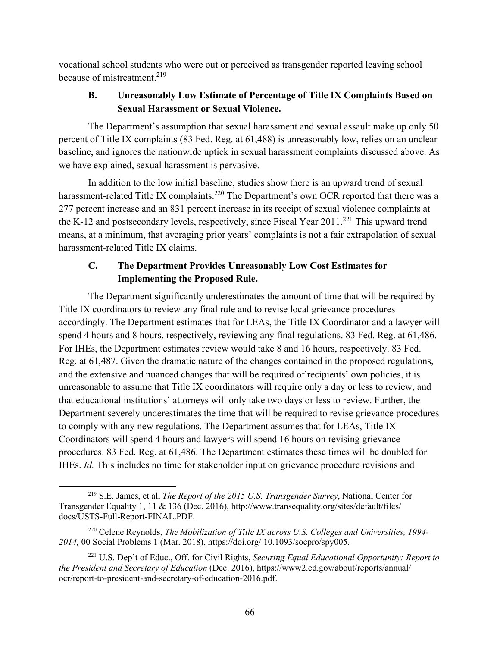vocational school students who were out or perceived as transgender reported leaving school because of mistreatment.<sup>219</sup>

# **B. Unreasonably Low Estimate of Percentage of Title IX Complaints Based on Sexual Harassment or Sexual Violence.**

The Department's assumption that sexual harassment and sexual assault make up only 50 percent of Title IX complaints (83 Fed. Reg. at 61,488) is unreasonably low, relies on an unclear baseline, and ignores the nationwide uptick in sexual harassment complaints discussed above. As we have explained, sexual harassment is pervasive.

In addition to the low initial baseline, studies show there is an upward trend of sexual harassment-related Title IX complaints.<sup>220</sup> The Department's own OCR reported that there was a 277 percent increase and an 831 percent increase in its receipt of sexual violence complaints at the K-12 and postsecondary levels, respectively, since Fiscal Year  $2011$ <sup>221</sup> This upward trend means, at a minimum, that averaging prior years' complaints is not a fair extrapolation of sexual harassment-related Title IX claims.

# **C. The Department Provides Unreasonably Low Cost Estimates for Implementing the Proposed Rule.**

The Department significantly underestimates the amount of time that will be required by Title IX coordinators to review any final rule and to revise local grievance procedures accordingly. The Department estimates that for LEAs, the Title IX Coordinator and a lawyer will spend 4 hours and 8 hours, respectively, reviewing any final regulations. 83 Fed. Reg. at 61,486. For IHEs, the Department estimates review would take 8 and 16 hours, respectively. 83 Fed. Reg. at 61,487. Given the dramatic nature of the changes contained in the proposed regulations, and the extensive and nuanced changes that will be required of recipients' own policies, it is unreasonable to assume that Title IX coordinators will require only a day or less to review, and that educational institutions' attorneys will only take two days or less to review. Further, the Department severely underestimates the time that will be required to revise grievance procedures to comply with any new regulations. The Department assumes that for LEAs, Title IX Coordinators will spend 4 hours and lawyers will spend 16 hours on revising grievance procedures. 83 Fed. Reg. at 61,486. The Department estimates these times will be doubled for IHEs. *Id.* This includes no time for stakeholder input on grievance procedure revisions and

 <sup>219</sup> S.E. James, et al, *The Report of the 2015 U.S. Transgender Survey*, National Center for Transgender Equality 1, 11 & 136 (Dec. 2016), http://www.transequality.org/sites/default/files/ docs/USTS-Full-Report-FINAL.PDF.

<sup>220</sup> Celene Reynolds, *The Mobilization of Title IX across U.S. Colleges and Universities, 1994- 2014,* 00 Social Problems 1 (Mar. 2018), https://doi.org/ 10.1093/socpro/spy005.

<sup>221</sup> U.S. Dep't of Educ., Off. for Civil Rights, *Securing Equal Educational Opportunity: Report to the President and Secretary of Education* (Dec. 2016), https://www2.ed.gov/about/reports/annual/ ocr/report-to-president-and-secretary-of-education-2016.pdf.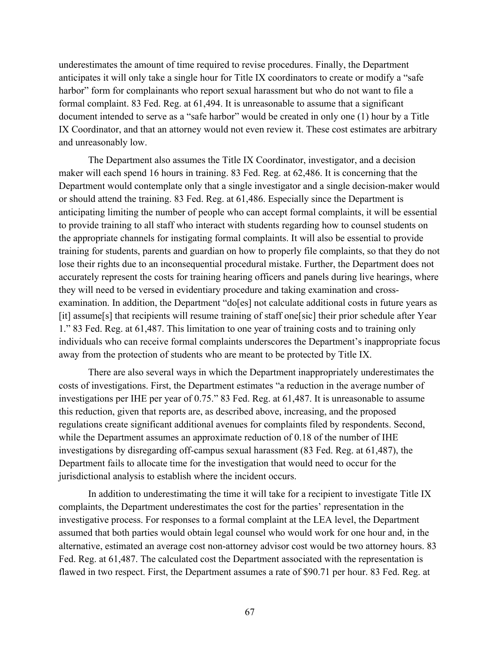underestimates the amount of time required to revise procedures. Finally, the Department anticipates it will only take a single hour for Title IX coordinators to create or modify a "safe harbor" form for complainants who report sexual harassment but who do not want to file a formal complaint. 83 Fed. Reg. at 61,494. It is unreasonable to assume that a significant document intended to serve as a "safe harbor" would be created in only one (1) hour by a Title IX Coordinator, and that an attorney would not even review it. These cost estimates are arbitrary and unreasonably low.

The Department also assumes the Title IX Coordinator, investigator, and a decision maker will each spend 16 hours in training. 83 Fed. Reg. at 62,486. It is concerning that the Department would contemplate only that a single investigator and a single decision-maker would or should attend the training. 83 Fed. Reg. at 61,486. Especially since the Department is anticipating limiting the number of people who can accept formal complaints, it will be essential to provide training to all staff who interact with students regarding how to counsel students on the appropriate channels for instigating formal complaints. It will also be essential to provide training for students, parents and guardian on how to properly file complaints, so that they do not lose their rights due to an inconsequential procedural mistake. Further, the Department does not accurately represent the costs for training hearing officers and panels during live hearings, where they will need to be versed in evidentiary procedure and taking examination and crossexamination. In addition, the Department "do[es] not calculate additional costs in future years as [it] assume[s] that recipients will resume training of staff one[sic] their prior schedule after Year 1." 83 Fed. Reg. at 61,487. This limitation to one year of training costs and to training only individuals who can receive formal complaints underscores the Department's inappropriate focus away from the protection of students who are meant to be protected by Title IX.

There are also several ways in which the Department inappropriately underestimates the costs of investigations. First, the Department estimates "a reduction in the average number of investigations per IHE per year of 0.75." 83 Fed. Reg. at 61,487. It is unreasonable to assume this reduction, given that reports are, as described above, increasing, and the proposed regulations create significant additional avenues for complaints filed by respondents. Second, while the Department assumes an approximate reduction of 0.18 of the number of IHE investigations by disregarding off-campus sexual harassment (83 Fed. Reg. at 61,487), the Department fails to allocate time for the investigation that would need to occur for the jurisdictional analysis to establish where the incident occurs.

In addition to underestimating the time it will take for a recipient to investigate Title IX complaints, the Department underestimates the cost for the parties' representation in the investigative process. For responses to a formal complaint at the LEA level, the Department assumed that both parties would obtain legal counsel who would work for one hour and, in the alternative, estimated an average cost non-attorney advisor cost would be two attorney hours. 83 Fed. Reg. at 61,487. The calculated cost the Department associated with the representation is flawed in two respect. First, the Department assumes a rate of \$90.71 per hour. 83 Fed. Reg. at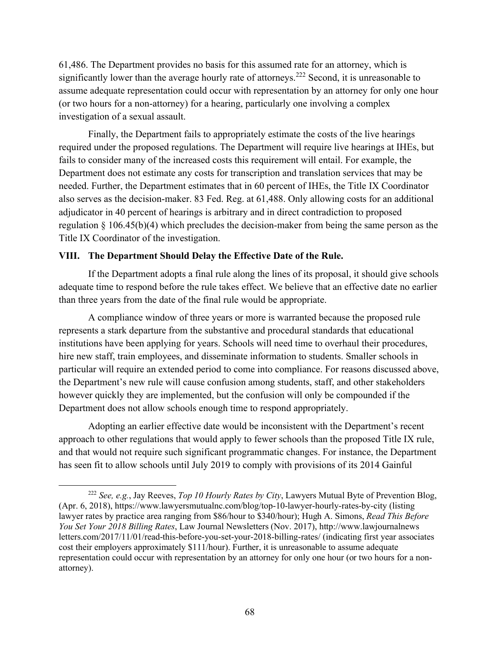61,486. The Department provides no basis for this assumed rate for an attorney, which is significantly lower than the average hourly rate of attorneys.<sup>222</sup> Second, it is unreasonable to assume adequate representation could occur with representation by an attorney for only one hour (or two hours for a non-attorney) for a hearing, particularly one involving a complex investigation of a sexual assault.

Finally, the Department fails to appropriately estimate the costs of the live hearings required under the proposed regulations. The Department will require live hearings at IHEs, but fails to consider many of the increased costs this requirement will entail. For example, the Department does not estimate any costs for transcription and translation services that may be needed. Further, the Department estimates that in 60 percent of IHEs, the Title IX Coordinator also serves as the decision-maker. 83 Fed. Reg. at 61,488. Only allowing costs for an additional adjudicator in 40 percent of hearings is arbitrary and in direct contradiction to proposed regulation § 106.45(b)(4) which precludes the decision-maker from being the same person as the Title IX Coordinator of the investigation.

### **VIII. The Department Should Delay the Effective Date of the Rule.**

If the Department adopts a final rule along the lines of its proposal, it should give schools adequate time to respond before the rule takes effect. We believe that an effective date no earlier than three years from the date of the final rule would be appropriate.

A compliance window of three years or more is warranted because the proposed rule represents a stark departure from the substantive and procedural standards that educational institutions have been applying for years. Schools will need time to overhaul their procedures, hire new staff, train employees, and disseminate information to students. Smaller schools in particular will require an extended period to come into compliance. For reasons discussed above, the Department's new rule will cause confusion among students, staff, and other stakeholders however quickly they are implemented, but the confusion will only be compounded if the Department does not allow schools enough time to respond appropriately.

Adopting an earlier effective date would be inconsistent with the Department's recent approach to other regulations that would apply to fewer schools than the proposed Title IX rule, and that would not require such significant programmatic changes. For instance, the Department has seen fit to allow schools until July 2019 to comply with provisions of its 2014 Gainful

 <sup>222</sup> *See, e.g.*, Jay Reeves, *Top 10 Hourly Rates by City*, Lawyers Mutual Byte of Prevention Blog, (Apr. 6, 2018), https://www.lawyersmutualnc.com/blog/top-10-lawyer-hourly-rates-by-city (listing lawyer rates by practice area ranging from \$86/hour to \$340/hour); Hugh A. Simons, *Read This Before You Set Your 2018 Billing Rates*, Law Journal Newsletters (Nov. 2017), http://www.lawjournalnews letters.com/2017/11/01/read-this-before-you-set-your-2018-billing-rates/ (indicating first year associates cost their employers approximately \$111/hour). Further, it is unreasonable to assume adequate representation could occur with representation by an attorney for only one hour (or two hours for a nonattorney).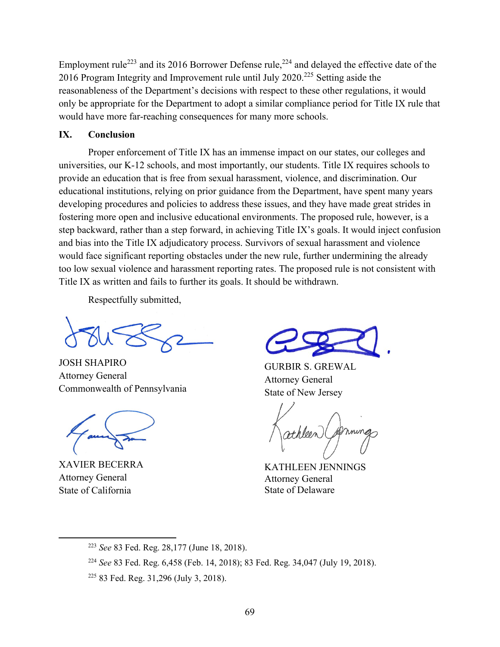Employment rule<sup>223</sup> and its 2016 Borrower Defense rule,<sup>224</sup> and delayed the effective date of the 2016 Program Integrity and Improvement rule until July 2020.225 Setting aside the reasonableness of the Department's decisions with respect to these other regulations, it would only be appropriate for the Department to adopt a similar compliance period for Title IX rule that would have more far-reaching consequences for many more schools.

### **IX. Conclusion**

Proper enforcement of Title IX has an immense impact on our states, our colleges and universities, our K-12 schools, and most importantly, our students. Title IX requires schools to provide an education that is free from sexual harassment, violence, and discrimination. Our educational institutions, relying on prior guidance from the Department, have spent many years developing procedures and policies to address these issues, and they have made great strides in fostering more open and inclusive educational environments. The proposed rule, however, is a step backward, rather than a step forward, in achieving Title IX's goals. It would inject confusion and bias into the Title IX adjudicatory process. Survivors of sexual harassment and violence would face significant reporting obstacles under the new rule, further undermining the already too low sexual violence and harassment reporting rates. The proposed rule is not consistent with Title IX as written and fails to further its goals. It should be withdrawn.

Respectfully submitted,

JOSH SHAPIRO Attorney General Commonwealth of Pennsylvania

XAVIER BECERRA Attorney General State of California

GURBIR S. GREWAL Attorney General State of New Jersey

KATHLEEN JENNINGS Attorney General State of Delaware

 <sup>223</sup> *See* 83 Fed. Reg. 28,177 (June 18, 2018).

<sup>224</sup> *See* 83 Fed. Reg. 6,458 (Feb. 14, 2018); 83 Fed. Reg. 34,047 (July 19, 2018).

<sup>225</sup> 83 Fed. Reg. 31,296 (July 3, 2018).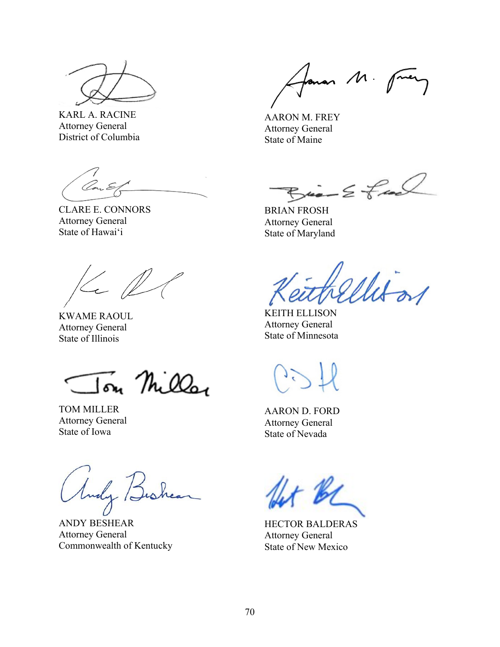

KARL A. RACINE Attorney General District of Columbia

CLARE E. CONNORS Attorney General State of Hawaiʻi

 $\ll \ell$ 

KWAME RAOUL Attorney General State of Illinois

Ton Miller

TOM MILLER Attorney General State of Iowa

Andy Bus

ANDY BESHEAR Attorney General Commonwealth of Kentucky

forman M. fuery

AARON M. FREY Attorney General State of Maine

 $Bia - E faab$ 

BRIAN FROSH Attorney General State of Maryland

Witzs

KEITH ELLISON Attorney General State of Minnesota

AARON D. FORD Attorney General State of Nevada

HECTOR BALDERAS Attorney General State of New Mexico